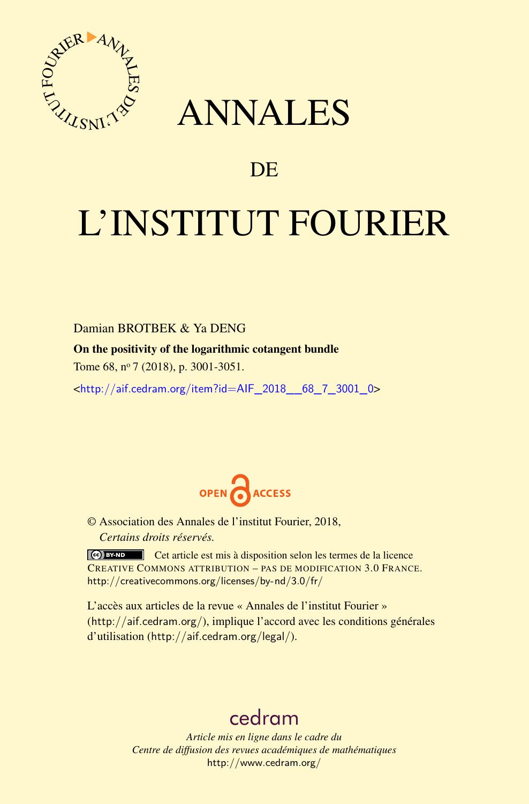

## ANNALES

### **DE**

# L'INSTITUT FOURIER

Damian BROTBEK & Ya DENG

On the positivity of the logarithmic cotangent bundle

Tome 68, nº 7 (2018), p. 3001-3051.

<[http://aif.cedram.org/item?id=AIF\\_2018\\_\\_68\\_7\\_3001\\_0](http://aif.cedram.org/item?id=AIF_2018__68_7_3001_0)>



© Association des Annales de l'institut Fourier, 2018, *Certains droits réservés.*

Cet article est mis à disposition selon les termes de la licence CREATIVE COMMONS ATTRIBUTION – PAS DE MODIFICATION 3.0 FRANCE. <http://creativecommons.org/licenses/by-nd/3.0/fr/>

L'accès aux articles de la revue « Annales de l'institut Fourier » (<http://aif.cedram.org/>), implique l'accord avec les conditions générales d'utilisation (<http://aif.cedram.org/legal/>).

## [cedram](http://www.cedram.org/)

*Article mis en ligne dans le cadre du Centre de diffusion des revues académiques de mathématiques* <http://www.cedram.org/>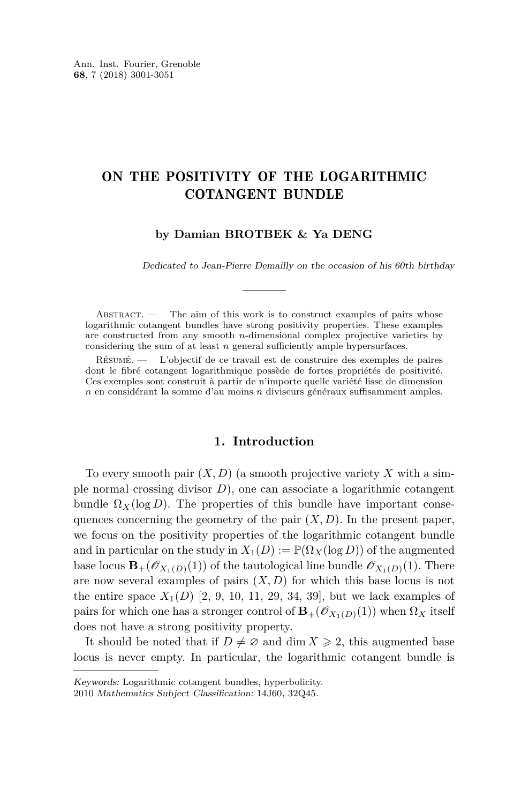#### ON THE POSITIVITY OF THE LOGARITHMIC COTANGENT BUNDLE

#### **by Damian BROTBEK & Ya DENG**

Dedicated to Jean-Pierre Demailly on the occasion of his 60th birthday

ABSTRACT. — The aim of this work is to construct examples of pairs whose logarithmic cotangent bundles have strong positivity properties. These examples are constructed from any smooth *n*-dimensional complex projective varieties by considering the sum of at least *n* general sufficiently ample hypersurfaces.

Résumé. — L'objectif de ce travail est de construire des exemples de paires dont le fibré cotangent logarithmique possède de fortes propriétés de positivité. Ces exemples sont construit à partir de n'importe quelle variété lisse de dimension *n* en considérant la somme d'au moins *n* diviseurs généraux suffisamment amples.

#### **1. Introduction**

To every smooth pair  $(X, D)$  (a smooth projective variety X with a simple normal crossing divisor *D*), one can associate a logarithmic cotangent bundle  $\Omega_X(\log D)$ . The properties of this bundle have important consequences concerning the geometry of the pair  $(X, D)$ . In the present paper, we focus on the positivity properties of the logarithmic cotangent bundle and in particular on the study in  $X_1(D) := \mathbb{P}(\Omega_X(\log D))$  of the augmented base locus  $\mathbf{B}_{+}(\mathscr{O}_{X_1(D)}(1))$  of the tautological line bundle  $\mathscr{O}_{X_1(D)}(1)$ . There are now several examples of pairs  $(X, D)$  for which this base locus is not the entire space  $X_1(D)$  [\[2,](#page-49-0) [9,](#page-49-1) [10,](#page-49-2) [11,](#page-49-3) [29,](#page-50-0) [34,](#page-51-0) [39\]](#page-51-1), but we lack examples of pairs for which one has a stronger control of  $\mathbf{B}_{+}(\mathscr{O}_{X_1(D)}(1))$  when  $\Omega_X$  itself does not have a strong positivity property.

It should be noted that if  $D \neq \emptyset$  and dim  $X \geq 2$ , this augmented base locus is never empty. In particular, the logarithmic cotangent bundle is

Keywords: Logarithmic cotangent bundles, hyperbolicity.

<sup>2010</sup> Mathematics Subject Classification: 14J60, 32Q45.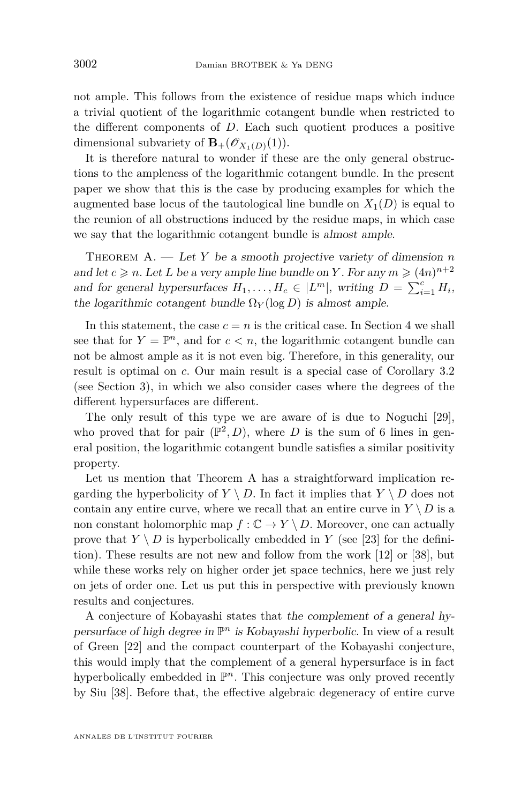not ample. This follows from the existence of residue maps which induce a trivial quotient of the logarithmic cotangent bundle when restricted to the different components of *D*. Each such quotient produces a positive dimensional subvariety of  $\mathbf{B}_{+}(\mathscr{O}_{X_1(D)}(1)).$ 

It is therefore natural to wonder if these are the only general obstructions to the ampleness of the logarithmic cotangent bundle. In the present paper we show that this is the case by producing examples for which the augmented base locus of the tautological line bundle on  $X_1(D)$  is equal to the reunion of all obstructions induced by the residue maps, in which case we say that the logarithmic cotangent bundle is almost ample.

<span id="page-2-0"></span>THEOREM A. — Let Y be a smooth projective variety of dimension *n* and let  $c \ge n$ . Let L be a very ample line bundle on Y. For any  $m \ge (4n)^{n+2}$ and for general hypersurfaces  $H_1, \ldots, H_c \in |L^m|$ , writing  $D = \sum_{i=1}^c H_i$ , the logarithmic cotangent bundle  $\Omega_Y(\log D)$  is almost ample.

In this statement, the case  $c = n$  is the critical case. In Section [4](#page-35-0) we shall see that for  $Y = \mathbb{P}^n$ , and for  $c < n$ , the logarithmic cotangent bundle can not be almost ample as it is not even big. Therefore, in this generality, our result is optimal on *c*. Our main result is a special case of Corollary [3.2](#page-19-0) (see Section [3\)](#page-18-0), in which we also consider cases where the degrees of the different hypersurfaces are different.

The only result of this type we are aware of is due to Noguchi [\[29\]](#page-50-0), who proved that for pair  $(\mathbb{P}^2, D)$ , where *D* is the sum of 6 lines in general position, the logarithmic cotangent bundle satisfies a similar positivity property.

Let us mention that Theorem [A](#page-2-0) has a straightforward implication regarding the hyperbolicity of  $Y \setminus D$ . In fact it implies that  $Y \setminus D$  does not contain any entire curve, where we recall that an entire curve in  $Y \setminus D$  is a non constant holomorphic map  $f: \mathbb{C} \to Y \setminus D$ . Moreover, one can actually prove that  $Y \setminus D$  is hyperbolically embedded in *Y* (see [\[23\]](#page-50-1) for the definition). These results are not new and follow from the work [\[12\]](#page-50-2) or [\[38\]](#page-51-2), but while these works rely on higher order jet space technics, here we just rely on jets of order one. Let us put this in perspective with previously known results and conjectures.

A conjecture of Kobayashi states that the complement of a general hypersurface of high degree in P *<sup>n</sup>* is Kobayashi hyperbolic. In view of a result of Green [\[22\]](#page-50-3) and the compact counterpart of the Kobayashi conjecture, this would imply that the complement of a general hypersurface is in fact hyperbolically embedded in  $\mathbb{P}^n$ . This conjecture was only proved recently by Siu [\[38\]](#page-51-2). Before that, the effective algebraic degeneracy of entire curve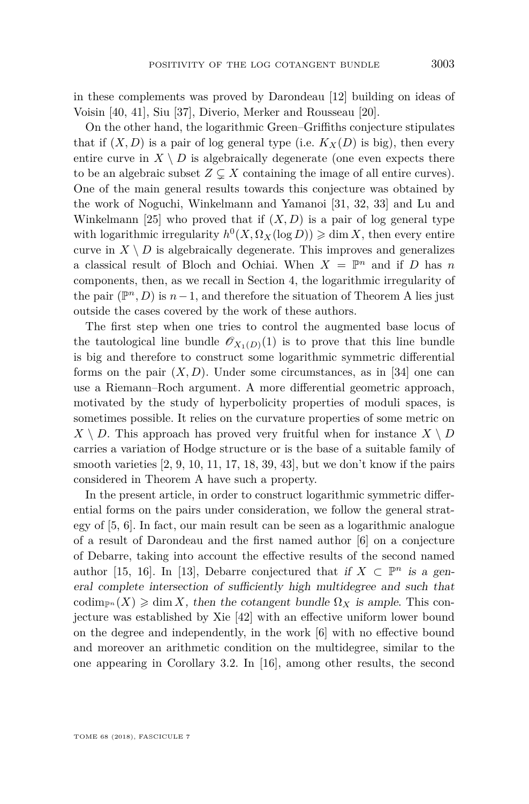in these complements was proved by Darondeau [\[12\]](#page-50-2) building on ideas of Voisin [\[40,](#page-51-3) [41\]](#page-51-4), Siu [\[37\]](#page-51-5), Diverio, Merker and Rousseau [\[20\]](#page-50-4).

On the other hand, the logarithmic Green–Griffiths conjecture stipulates that if  $(X, D)$  is a pair of log general type (i.e.  $K_X(D)$  is big), then every entire curve in  $X \setminus D$  is algebraically degenerate (one even expects there to be an algebraic subset  $Z \subseteq X$  containing the image of all entire curves). One of the main general results towards this conjecture was obtained by the work of Noguchi, Winkelmann and Yamanoi [\[31,](#page-50-5) [32,](#page-50-6) [33\]](#page-51-6) and Lu and Winkelmann [\[25\]](#page-50-7) who proved that if  $(X, D)$  is a pair of log general type with logarithmic irregularity  $h^0(X, \Omega_X(\log D)) \geq \dim X$ , then every entire curve in  $X \setminus D$  is algebraically degenerate. This improves and generalizes a classical result of Bloch and Ochiai. When  $X = \mathbb{P}^n$  and if *D* has *n* components, then, as we recall in Section [4,](#page-35-0) the logarithmic irregularity of the pair  $(\mathbb{P}^n, D)$  is  $n-1$ , and therefore the situation of Theorem [A](#page-2-0) lies just outside the cases covered by the work of these authors.

The first step when one tries to control the augmented base locus of the tautological line bundle  $\mathscr{O}_{X_1(D)}(1)$  is to prove that this line bundle is big and therefore to construct some logarithmic symmetric differential forms on the pair  $(X, D)$ . Under some circumstances, as in [\[34\]](#page-51-0) one can use a Riemann–Roch argument. A more differential geometric approach, motivated by the study of hyperbolicity properties of moduli spaces, is sometimes possible. It relies on the curvature properties of some metric on  $X \setminus D$ . This approach has proved very fruitful when for instance  $X \setminus D$ carries a variation of Hodge structure or is the base of a suitable family of smooth varieties  $[2, 9, 10, 11, 17, 18, 39, 43]$  $[2, 9, 10, 11, 17, 18, 39, 43]$  $[2, 9, 10, 11, 17, 18, 39, 43]$  $[2, 9, 10, 11, 17, 18, 39, 43]$  $[2, 9, 10, 11, 17, 18, 39, 43]$  $[2, 9, 10, 11, 17, 18, 39, 43]$  $[2, 9, 10, 11, 17, 18, 39, 43]$  $[2, 9, 10, 11, 17, 18, 39, 43]$  $[2, 9, 10, 11, 17, 18, 39, 43]$  $[2, 9, 10, 11, 17, 18, 39, 43]$  $[2, 9, 10, 11, 17, 18, 39, 43]$  $[2, 9, 10, 11, 17, 18, 39, 43]$  $[2, 9, 10, 11, 17, 18, 39, 43]$  $[2, 9, 10, 11, 17, 18, 39, 43]$  $[2, 9, 10, 11, 17, 18, 39, 43]$ , but we don't know if the pairs considered in Theorem [A](#page-2-0) have such a property.

In the present article, in order to construct logarithmic symmetric differential forms on the pairs under consideration, we follow the general strategy of [\[5,](#page-49-4) [6\]](#page-49-5). In fact, our main result can be seen as a logarithmic analogue of a result of Darondeau and the first named author [\[6\]](#page-49-5) on a conjecture of Debarre, taking into account the effective results of the second named author [\[15,](#page-50-10) [16\]](#page-50-11). In [\[13\]](#page-50-12), Debarre conjectured that if  $X \subset \mathbb{P}^n$  is a general complete intersection of sufficiently high multidegree and such that codim<sub>*Pn*</sub>  $(X) \geq \dim X$ , then the cotangent bundle  $\Omega_X$  is ample. This conjecture was established by Xie [\[42\]](#page-51-8) with an effective uniform lower bound on the degree and independently, in the work [\[6\]](#page-49-5) with no effective bound and moreover an arithmetic condition on the multidegree, similar to the one appearing in Corollary [3.2.](#page-19-0) In [\[16\]](#page-50-11), among other results, the second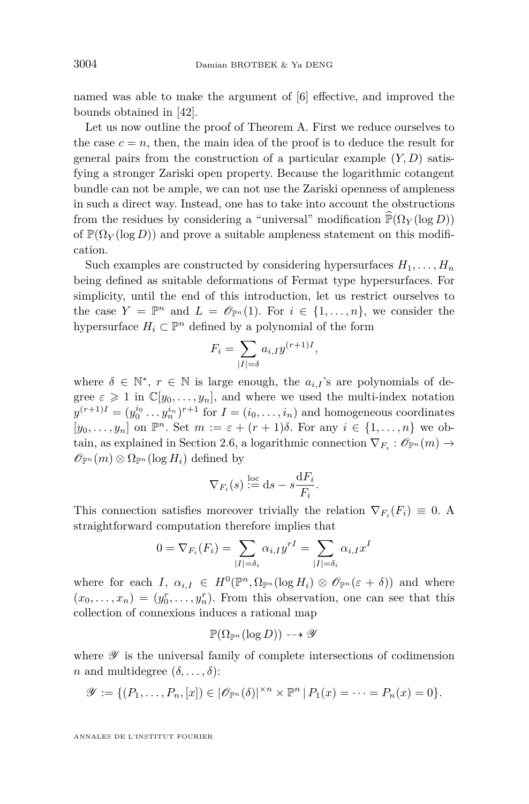named was able to make the argument of [\[6\]](#page-49-5) effective, and improved the bounds obtained in [\[42\]](#page-51-8).

Let us now outline the proof of Theorem [A.](#page-2-0) First we reduce ourselves to the case  $c = n$ , then, the main idea of the proof is to deduce the result for general pairs from the construction of a particular example (*Y, D*) satisfying a stronger Zariski open property. Because the logarithmic cotangent bundle can not be ample, we can not use the Zariski openness of ampleness in such a direct way. Instead, one has to take into account the obstructions from the residues by considering a "universal" modification  $\mathbb{P}(\Omega_Y(\log D))$ of  $\mathbb{P}(\Omega_Y(\log D))$  and prove a suitable ampleness statement on this modification.

Such examples are constructed by considering hypersurfaces  $H_1, \ldots, H_n$ being defined as suitable deformations of Fermat type hypersurfaces. For simplicity, until the end of this introduction, let us restrict ourselves to the case  $Y = \mathbb{P}^n$  and  $L = \mathcal{O}_{\mathbb{P}^n}(1)$ . For  $i \in \{1, ..., n\}$ , we consider the hypersurface  $H_i \subset \mathbb{P}^n$  defined by a polynomial of the form

$$
F_i = \sum_{|I| = \delta} a_{i,I} y^{(r+1)I},
$$

where  $\delta \in \mathbb{N}^*, r \in \mathbb{N}$  is large enough, the  $a_{i,I}$ 's are polynomials of degree  $\varepsilon \geq 1$  in  $\mathbb{C}[y_0, \ldots, y_n]$ , and where we used the multi-index notation  $y^{(r+1)I} = (y_0^{i_0} \dots y_n^{i_n})^{r+1}$  for  $I = (i_0, \dots, i_n)$  and homogeneous coordinates  $[y_0, \ldots, y_n]$  on  $\mathbb{P}^n$ . Set  $m := \varepsilon + (r+1)\delta$ . For any  $i \in \{1, \ldots, n\}$  we ob-tain, as explained in Section [2.6,](#page-17-0) a logarithmic connection  $\nabla_{F_i} : \mathscr{O}_{\mathbb{P}^n}(m) \to$  $\mathscr{O}_{\mathbb{P}^n}(m) \otimes \Omega_{\mathbb{P}^n}(\log H_i)$  defined by

$$
\nabla_{F_i}(s) \stackrel{\text{loc}}{:=} \mathrm{d} s - s \frac{\mathrm{d} F_i}{F_i}.
$$

This connection satisfies moreover trivially the relation  $\nabla_{F_i}(F_i) \equiv 0$ . A straightforward computation therefore implies that

$$
0 = \nabla_{F_i}(F_i) = \sum_{|I| = \delta_i} \alpha_{i,I} y^{rI} = \sum_{|I| = \delta_i} \alpha_{i,I} x^I
$$

where for each *I*,  $\alpha_{i,I} \in H^0(\mathbb{P}^n, \Omega_{\mathbb{P}^n}(\log H_i) \otimes \mathcal{O}_{\mathbb{P}^n}(\varepsilon + \delta))$  and where  $(x_0, \ldots, x_n) = (y_0^r, \ldots, y_n^r)$ . From this observation, one can see that this collection of connexions induces a rational map

$$
\mathbb{P}(\Omega_{\mathbb{P}^n}(\log D)) \dashrightarrow \mathscr{Y}
$$

where  $\mathscr Y$  is the universal family of complete intersections of codimension *n* and multidegree  $(\delta, \ldots, \delta)$ :

$$
\mathscr{Y} := \{ (P_1, \ldots, P_n, [x]) \in |\mathscr{O}_{\mathbb{P}^n}(\delta)|^{\times n} \times \mathbb{P}^n | P_1(x) = \cdots = P_n(x) = 0 \}.
$$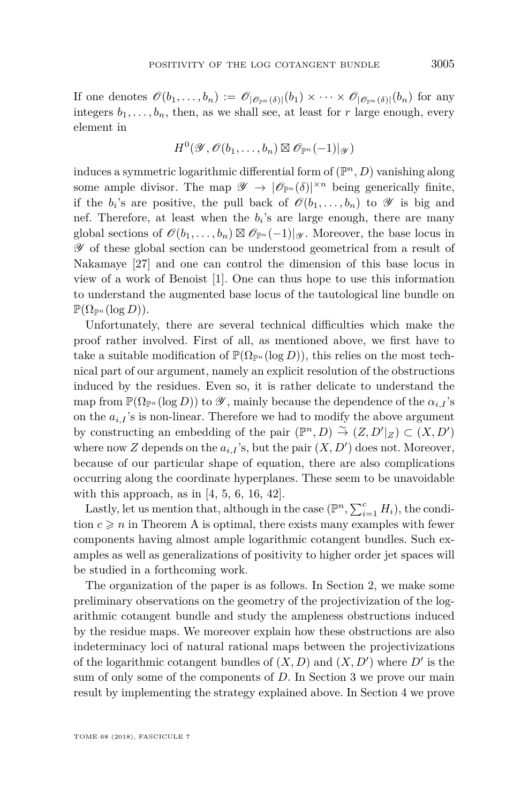If one denotes  $\mathscr{O}(b_1,\ldots,b_n) := \mathscr{O}_{|\mathscr{O}_{\mathbb{P}^n}(\delta)|}(b_1) \times \cdots \times \mathscr{O}_{|\mathscr{O}_{\mathbb{P}^n}(\delta)|}(b_n)$  for any integers  $b_1, \ldots, b_n$ , then, as we shall see, at least for *r* large enough, every element in

$$
H^0(\mathscr{Y},\mathscr{O}(b_1,\ldots,b_n)\boxtimes\mathscr{O}_{\mathbb{P}^n}(-1)|_{\mathscr{Y}})
$$

induces a symmetric logarithmic differential form of (P *<sup>n</sup>, D*) vanishing along some ample divisor. The map  $\mathscr{Y} \to |\mathscr{O}_{\mathbb{P}^n}(\delta)|^{\times n}$  being generically finite, if the  $b_i$ 's are positive, the pull back of  $\mathscr{O}(b_1, \ldots, b_n)$  to  $\mathscr{Y}$  is big and nef. Therefore, at least when the  $b_i$ 's are large enough, there are many global sections of  $\mathscr{O}(b_1, \ldots, b_n) \boxtimes \mathscr{O}_{\mathbb{P}^n}(-1)|_{\mathscr{Y}}$ . Moreover, the base locus in Y of these global section can be understood geometrical from a result of Nakamaye [\[27\]](#page-50-13) and one can control the dimension of this base locus in view of a work of Benoist [\[1\]](#page-49-6). One can thus hope to use this information to understand the augmented base locus of the tautological line bundle on  $\mathbb{P}(\Omega_{\mathbb{P}^n}(\log D)).$ 

Unfortunately, there are several technical difficulties which make the proof rather involved. First of all, as mentioned above, we first have to take a suitable modification of  $\mathbb{P}(\Omega_{\mathbb{P}^n}(\log D))$ , this relies on the most technical part of our argument, namely an explicit resolution of the obstructions induced by the residues. Even so, it is rather delicate to understand the map from  $\mathbb{P}(\Omega_{\mathbb{P}^n}(\log D))$  to  $\mathscr{Y}$ , mainly because the dependence of the  $\alpha_{i,I}$ 's on the  $a_{i,I}$ 's is non-linear. Therefore we had to modify the above argument by constructing an embedding of the pair  $(\mathbb{P}^n, D) \stackrel{\sim}{\rightarrow} (Z, D'|_Z) \subset (X, D')$ where now  $Z$  depends on the  $a_{i,I}$ 's, but the pair  $(X, D')$  does not. Moreover, because of our particular shape of equation, there are also complications occurring along the coordinate hyperplanes. These seem to be unavoidable with this approach, as in  $[4, 5, 6, 16, 42]$  $[4, 5, 6, 16, 42]$  $[4, 5, 6, 16, 42]$  $[4, 5, 6, 16, 42]$  $[4, 5, 6, 16, 42]$  $[4, 5, 6, 16, 42]$  $[4, 5, 6, 16, 42]$  $[4, 5, 6, 16, 42]$  $[4, 5, 6, 16, 42]$ .

Lastly, let us mention that, although in the case  $(\mathbb{P}^n, \sum_{i=1}^c H_i)$ , the condition  $c \geq n$  in Theorem [A](#page-2-0) is optimal, there exists many examples with fewer components having almost ample logarithmic cotangent bundles. Such examples as well as generalizations of positivity to higher order jet spaces will be studied in a forthcoming work.

The organization of the paper is as follows. In Section [2,](#page-6-0) we make some preliminary observations on the geometry of the projectivization of the logarithmic cotangent bundle and study the ampleness obstructions induced by the residue maps. We moreover explain how these obstructions are also indeterminacy loci of natural rational maps between the projectivizations of the logarithmic cotangent bundles of  $(X, D)$  and  $(X, D')$  where  $D'$  is the sum of only some of the components of *D*. In Section [3](#page-18-0) we prove our main result by implementing the strategy explained above. In Section [4](#page-35-0) we prove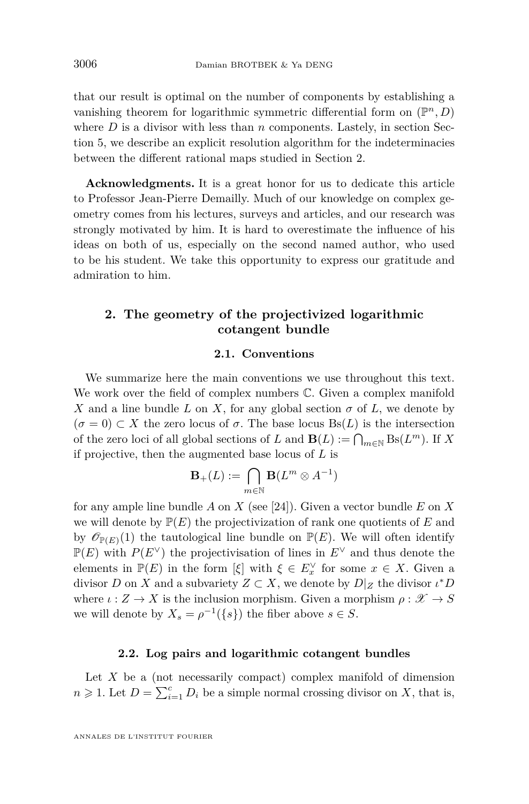that our result is optimal on the number of components by establishing a vanishing theorem for logarithmic symmetric differential form on  $(\mathbb{P}^n, D)$ where  $D$  is a divisor with less than  $n$  components. Lastely, in section Section [5,](#page-38-0) we describe an explicit resolution algorithm for the indeterminacies between the different rational maps studied in Section [2.](#page-6-0)

**Acknowledgments.** It is a great honor for us to dedicate this article to Professor Jean-Pierre Demailly. Much of our knowledge on complex geometry comes from his lectures, surveys and articles, and our research was strongly motivated by him. It is hard to overestimate the influence of his ideas on both of us, especially on the second named author, who used to be his student. We take this opportunity to express our gratitude and admiration to him.

#### <span id="page-6-0"></span>**2. The geometry of the projectivized logarithmic cotangent bundle**

#### **2.1. Conventions**

We summarize here the main conventions we use throughout this text. We work over the field of complex numbers C. Given a complex manifold *X* and a line bundle *L* on *X*, for any global section  $\sigma$  of *L*, we denote by  $(\sigma = 0) \subset X$  the zero locus of  $\sigma$ . The base locus Bs(*L*) is the intersection of the zero loci of all global sections of *L* and  $\mathbf{B}(L) := \bigcap_{m \in \mathbb{N}} \text{Bs}(L^m)$ . If *X* if projective, then the augmented base locus of *L* is

$$
\mathbf{B}_+(L):=\bigcap_{m\in\mathbb{N}}\mathbf{B}(L^m\otimes A^{-1})
$$

for any ample line bundle *A* on *X* (see [\[24\]](#page-50-14)). Given a vector bundle *E* on *X* we will denote by  $P(E)$  the projectivization of rank one quotients of  $E$  and by  $\mathscr{O}_{\mathbb{P}(E)}(1)$  the tautological line bundle on  $\mathbb{P}(E)$ . We will often identify  $\mathbb{P}(E)$  with  $P(E^{\vee})$  the projectivisation of lines in  $E^{\vee}$  and thus denote the elements in  $\mathbb{P}(E)$  in the form  $[\xi]$  with  $\xi \in E_x^{\vee}$  for some  $x \in X$ . Given a divisor *D* on *X* and a subvariety  $Z \subset X$ , we denote by  $D|_Z$  the divisor  $\iota^* D$ where  $\iota: Z \to X$  is the inclusion morphism. Given a morphism  $\rho: \mathscr{X} \to S$ we will denote by  $X_s = \rho^{-1}(\{s\})$  the fiber above  $s \in S$ .

#### **2.2. Log pairs and logarithmic cotangent bundles**

<span id="page-6-1"></span>Let *X* be a (not necessarily compact) complex manifold of dimension  $n \geq 1$ . Let  $D = \sum_{i=1}^{c} D_i$  be a simple normal crossing divisor on *X*, that is,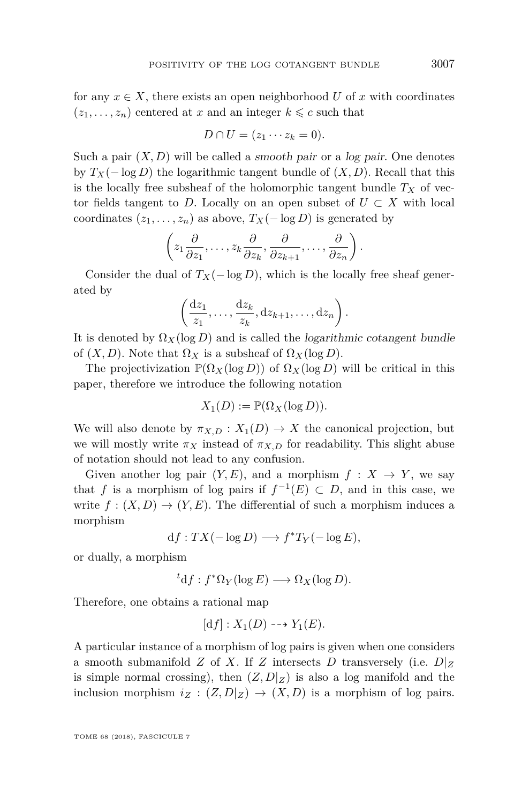for any  $x \in X$ , there exists an open neighborhood U of x with coordinates  $(z_1, \ldots, z_n)$  centered at *x* and an integer  $k \leq c$  such that

$$
D \cap U = (z_1 \cdots z_k = 0).
$$

Such a pair  $(X, D)$  will be called a smooth pair or a log pair. One denotes by  $T_X(-\log D)$  the logarithmic tangent bundle of  $(X, D)$ . Recall that this is the locally free subsheaf of the holomorphic tangent bundle  $T_X$  of vector fields tangent to *D*. Locally on an open subset of  $U \subset X$  with local coordinates  $(z_1, \ldots, z_n)$  as above,  $T_X(-\log D)$  is generated by

$$
\left(z_1\frac{\partial}{\partial z_1},\ldots,z_k\frac{\partial}{\partial z_k},\frac{\partial}{\partial z_{k+1}},\ldots,\frac{\partial}{\partial z_n}\right).
$$

Consider the dual of  $T_X(-\log D)$ , which is the locally free sheaf generated by

$$
\left(\frac{\mathrm{d}z_1}{z_1},\ldots,\frac{\mathrm{d}z_k}{z_k},\mathrm{d}z_{k+1},\ldots,\mathrm{d}z_n\right).
$$

It is denoted by  $\Omega_X(\log D)$  and is called the *logarithmic cotangent bundle* of  $(X, D)$ . Note that  $\Omega_X$  is a subsheaf of  $\Omega_X(\log D)$ .

The projectivization  $\mathbb{P}(\Omega_X(\log D))$  of  $\Omega_X(\log D)$  will be critical in this paper, therefore we introduce the following notation

$$
X_1(D) := \mathbb{P}(\Omega_X(\log D)).
$$

We will also denote by  $\pi_{X,D}: X_1(D) \to X$  the canonical projection, but we will mostly write  $\pi_X$  instead of  $\pi_{X,D}$  for readability. This slight abuse of notation should not lead to any confusion.

Given another log pair  $(Y, E)$ , and a morphism  $f : X \to Y$ , we say that *f* is a morphism of log pairs if  $f^{-1}(E) \subset D$ , and in this case, we write  $f: (X, D) \to (Y, E)$ . The differential of such a morphism induces a morphism

 $df: TX(-\log D) \longrightarrow f^*T_Y(-\log E),$ 

or dually, a morphism

 ${}^t {\rm d}f : f^* \Omega_Y(\log E) \longrightarrow \Omega_X(\log D).$ 

Therefore, one obtains a rational map

$$
[df]: X_1(D) \dashrightarrow Y_1(E).
$$

A particular instance of a morphism of log pairs is given when one considers a smooth submanifold *Z* of *X*. If *Z* intersects *D* transversely (i.e.  $D|_Z$ is simple normal crossing), then  $(Z, D|Z)$  is also a log manifold and the inclusion morphism  $i_Z$  :  $(Z, D|_Z) \rightarrow (X, D)$  is a morphism of log pairs.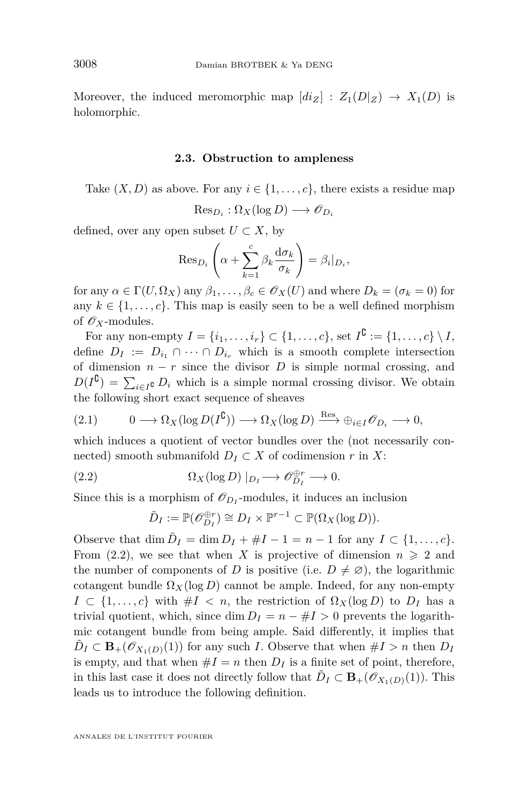Moreover, the induced meromorphic map  $\left[di_Z\right] : Z_1(D|_Z) \to X_1(D)$  is holomorphic.

#### **2.3. Obstruction to ampleness**

Take  $(X, D)$  as above. For any  $i \in \{1, \ldots, c\}$ , there exists a residue map

$$
\mathrm{Res}_{D_i} : \Omega_X(\log D) \longrightarrow \mathscr{O}_{D_i}
$$

defined, over any open subset  $U \subset X$ , by

$$
\operatorname{Res}_{D_i}\left(\alpha+\sum_{k=1}^c \beta_k \frac{\mathrm{d}\sigma_k}{\sigma_k}\right)=\beta_i|_{D_i},
$$

for any  $\alpha \in \Gamma(U, \Omega_X)$  any  $\beta_1, \ldots, \beta_c \in \mathscr{O}_X(U)$  and where  $D_k = (\sigma_k = 0)$  for any  $k \in \{1, \ldots, c\}$ . This map is easily seen to be a well defined morphism of  $\mathscr{O}_X$ -modules.

For any non-empty  $I = \{i_1, ..., i_r\} \subset \{1, ..., c\}$ , set  $I^{\complement} := \{1, ..., c\} \setminus I$ , define  $D_I := D_{i_1} \cap \cdots \cap D_{i_r}$  which is a smooth complete intersection of dimension  $n - r$  since the divisor *D* is simple normal crossing, and  $D(I^{\complement}) = \sum_{i \in I^{\complement}} D_i$  which is a simple normal crossing divisor. We obtain the following short exact sequence of sheaves

$$
(2.1) \t 0 \longrightarrow \Omega_X(\log D(I^{\complement})) \longrightarrow \Omega_X(\log D) \xrightarrow{\text{Res}} \oplus_{i \in I} \mathscr{O}_{D_i} \longrightarrow 0,
$$

which induces a quotient of vector bundles over the (not necessarily connected) smooth submanifold  $D_I \subset X$  of codimension  $r$  in  $X$ :

(2.2) 
$$
\Omega_X(\log D) \mid_{D_I} \longrightarrow \mathcal{O}_{D_I}^{\oplus r} \longrightarrow 0.
$$

Since this is a morphism of  $\mathcal{O}_{D_I}$ -modules, it induces an inclusion

<span id="page-8-0"></span>
$$
\tilde{D}_I := \mathbb{P}(\mathscr{O}_{D_I}^{\oplus r}) \cong D_I \times \mathbb{P}^{r-1} \subset \mathbb{P}(\Omega_X(\log D)).
$$

Observe that  $\dim \tilde{D}_I = \dim D_I + \#I - 1 = n - 1$  for any  $I \subset \{1, ..., c\}$ . From [\(2.2\)](#page-8-0), we see that when *X* is projective of dimension  $n \geq 2$  and the number of components of *D* is positive (i.e.  $D \neq \emptyset$ ), the logarithmic cotangent bundle  $\Omega_X(\log D)$  cannot be ample. Indeed, for any non-empty  $I \subset \{1, \ldots, c\}$  with  $\#I \leq n$ , the restriction of  $\Omega_X(\log D)$  to  $D_I$  has a trivial quotient, which, since dim  $D_I = n - #I > 0$  prevents the logarithmic cotangent bundle from being ample. Said differently, it implies that  $\tilde{D}_I \subset \mathbf{B}_+(\mathscr{O}_{X_1(D)}(1))$  for any such *I*. Observe that when  $\#I > n$  then  $D_I$ is empty, and that when  $#I = n$  then  $D_I$  is a finite set of point, therefore, in this last case it does not directly follow that  $\tilde{D}_I \subset \mathbf{B}_+(\mathscr{O}_{X_1(D)}(1))$ . This leads us to introduce the following definition.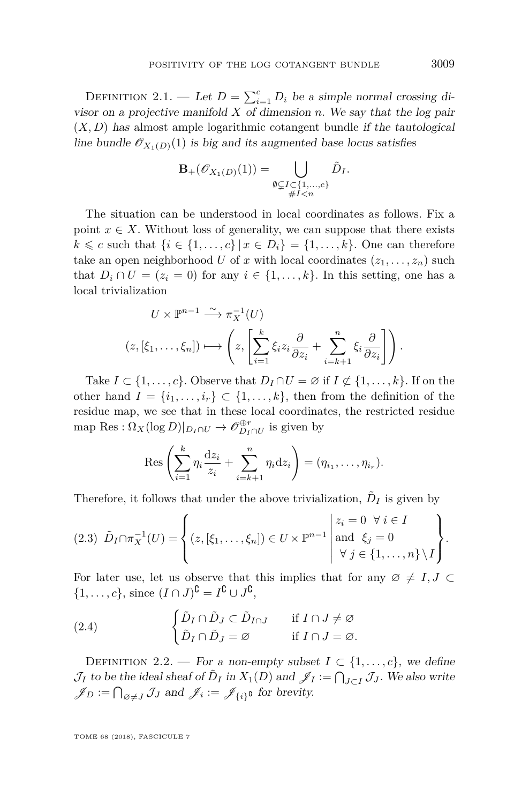DEFINITION 2.1. — Let  $D = \sum_{i=1}^{c} D_i$  be a simple normal crossing divisor on a projective manifold *X* of dimension *n*. We say that the log pair  $(X, D)$  has almost ample logarithmic cotangent bundle if the tautological line bundle  $\mathcal{O}_{X_1(D)}(1)$  is big and its augmented base locus satisfies

$$
\mathbf{B}_{+}(\mathscr{O}_{X_1(D)}(1)) = \bigcup_{\substack{\emptyset \subsetneq I \subset \{1,\ldots,c\} \\ \#I < n}} \tilde{D}_I.
$$

The situation can be understood in local coordinates as follows. Fix a point  $x \in X$ . Without loss of generality, we can suppose that there exists *k* ≤ *c* such that {*i* ∈ {1, ..., *c*} | *x* ∈ *D*<sub>*i*</sub>} = {1, ..., *k*}. One can therefore take an open neighborhood *U* of *x* with local coordinates  $(z_1, \ldots, z_n)$  such that  $D_i \cap U = (z_i = 0)$  for any  $i \in \{1, \ldots, k\}$ . In this setting, one has a local trivialization

$$
U \times \mathbb{P}^{n-1} \xrightarrow{\sim} \pi_X^{-1}(U)
$$
  

$$
(z, [\xi_1, \dots, \xi_n]) \longmapsto \left(z, \left[\sum_{i=1}^k \xi_i z_i \frac{\partial}{\partial z_i} + \sum_{i=k+1}^n \xi_i \frac{\partial}{\partial z_i}\right]\right).
$$

Take  $I \subset \{1, \ldots, c\}$ . Observe that  $D_I \cap U = \emptyset$  if  $I \not\subset \{1, \ldots, k\}$ . If on the other hand  $I = \{i_1, \ldots, i_r\} \subset \{1, \ldots, k\}$ , then from the definition of the residue map, we see that in these local coordinates, the restricted residue map Res :  $\Omega_X(\log D)|_{D_I \cap U} \to \mathcal{O}_{D_I \cap U}^{\oplus r}$  is given by

$$
\operatorname{Res}\left(\sum_{i=1}^k \eta_i \frac{\mathrm{d} z_i}{z_i} + \sum_{i=k+1}^n \eta_i \mathrm{d} z_i\right) = (\eta_{i_1}, \dots, \eta_{i_r}).
$$

Therefore, it follows that under the above trivialization,  $\tilde{D}_I$  is given by

$$
(2.3) \quad \tilde{D}_I \cap \pi_X^{-1}(U) = \left\{ (z, [\xi_1, \dots, \xi_n]) \in U \times \mathbb{P}^{n-1} \middle| \begin{array}{l} z_i = 0 \ \forall \ i \in I \\ \text{and} \ \xi_j = 0 \\ \forall \ j \in \{1, \dots, n\} \setminus I \end{array} \right\}.
$$

For later use, let us observe that this implies that for any  $\varnothing \,\neq\, I,J\, \subset\,$  $\{1,\ldots,c\}$ , since  $(I\cap J)^{\complement} = I^{\complement} \cup J^{\complement}$ ,

<span id="page-9-1"></span>(2.4) 
$$
\begin{cases} \tilde{D}_I \cap \tilde{D}_J \subset \tilde{D}_{I \cap J} & \text{if } I \cap J \neq \varnothing \\ \tilde{D}_I \cap \tilde{D}_J = \varnothing & \text{if } I \cap J = \varnothing. \end{cases}
$$

<span id="page-9-0"></span>DEFINITION 2.2. — For a non-empty subset  $I \subset \{1, \ldots, c\}$ , we define  $\mathcal{J}_I$  to be the ideal sheaf of  $\tilde{D}_I$  in  $X_1(D)$  and  $\mathcal{J}_I := \bigcap_{J \subset I} \mathcal{J}_J$ . We also write  $\mathscr{J}_D := \bigcap_{\varnothing \neq J} \mathcal{J}_J$  and  $\mathscr{J}_i := \mathscr{J}_{\{i\}^{\complement}}$  for brevity.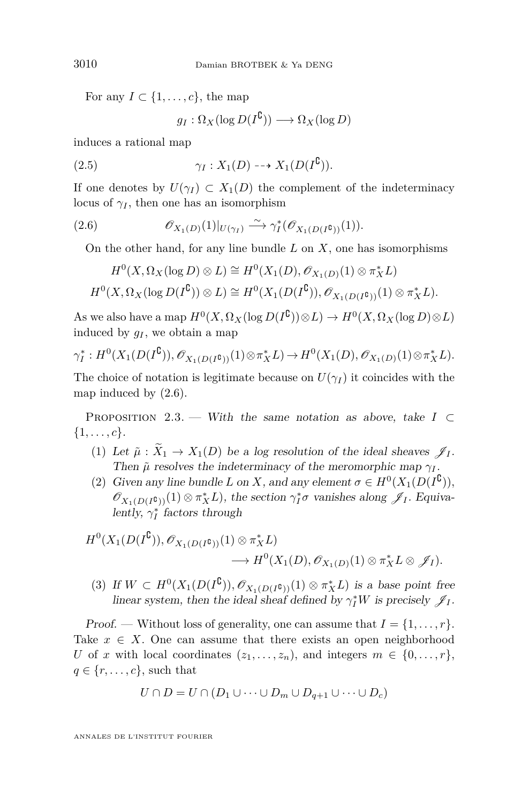For any  $I \subset \{1, \ldots, c\}$ , the map

<span id="page-10-3"></span>
$$
g_I: \Omega_X(\log D(I^{\complement})) \longrightarrow \Omega_X(\log D)
$$

induces a rational map

(2.5) 
$$
\gamma_I: X_1(D) \dashrightarrow X_1(D(I^{\complement})).
$$

If one denotes by  $U(\gamma_I) \subset X_1(D)$  the complement of the indeterminacy locus of  $\gamma$ *I*, then one has an isomorphism

(2.6) 
$$
\mathscr{O}_{X_1(D)}(1)|_{U(\gamma_I)} \xrightarrow{\sim} \gamma_I^*(\mathscr{O}_{X_1(D(I^{\complement}))}(1)).
$$

<span id="page-10-0"></span>On the other hand, for any line bundle *L* on *X*, one has isomorphisms

$$
H^0(X, \Omega_X(\log D) \otimes L) \cong H^0(X_1(D), \mathscr{O}_{X_1(D)}(1) \otimes \pi_X^*L)
$$
  

$$
H^0(X, \Omega_X(\log D(I^{\complement})) \otimes L) \cong H^0(X_1(D(I^{\complement})), \mathscr{O}_{X_1(D(I^{\complement}))}(1) \otimes \pi_X^*L).
$$

As we also have a map  $H^0(X, \Omega_X(\log D(I^{\complement}))\otimes L) \to H^0(X, \Omega_X(\log D)\otimes L)$ induced by  $g_I$ , we obtain a map

$$
\gamma_I^*: H^0(X_1(D(I^{\complement})), \mathscr{O}_{X_1(D(I^{\complement}))}(1) \otimes \pi_X^*L) \to H^0(X_1(D), \mathscr{O}_{X_1(D)}(1) \otimes \pi_X^*L).
$$

The choice of notation is legitimate because on  $U(\gamma_I)$  it coincides with the map induced by [\(2.6\)](#page-10-0).

<span id="page-10-1"></span>PROPOSITION 2.3. — With the same notation as above, take  $I \subset$  $\{1, \ldots, c\}.$ 

- <span id="page-10-2"></span>(1) Let  $\tilde{\mu}$  :  $\tilde{X}_1 \rightarrow X_1(D)$  be a log resolution of the ideal sheaves  $\mathscr{J}_I$ . Then  $\tilde{\mu}$  resolves the indeterminacy of the meromorphic map  $\gamma$ *I*.
- (2) Given any line bundle *L* on *X*, and any element  $\sigma \in H^0(X_1(D(I^{\complement})),$  $\mathscr{O}_{X_1(D(I^{\complement}))}(1) \otimes \pi_X^* L$ , the section  $\gamma_I^* \sigma$  vanishes along  $\mathscr{J}_I$ . Equivalently,  $\gamma_I^*$  factors through

$$
H^0(X_1(D(I^{\complement})), \mathscr{O}_{X_1(D(I^{\complement}))}(1) \otimes \pi_X^* L) \longrightarrow H^0(X_1(D), \mathscr{O}_{X_1(D)}(1) \otimes \pi_X^* L \otimes \mathscr{J}_I).
$$

(3) If  $W \subset H^0(X_1(D(I^{\complement})), \mathscr{O}_{X_1(D(I^{\complement}))}(1) \otimes \pi_X^*L)$  is a base point free linear system, then the ideal sheaf defined by  $\gamma_I^* W$  is precisely  $\mathscr{J}_I$ .

Proof. — Without loss of generality, one can assume that  $I = \{1, \ldots, r\}.$ Take  $x \in X$ . One can assume that there exists an open neighborhood *U* of *x* with local coordinates  $(z_1, \ldots, z_n)$ , and integers  $m \in \{0, \ldots, r\}$ ,  $q \in \{r, \ldots, c\}$ , such that

$$
U \cap D = U \cap (D_1 \cup \dots \cup D_m \cup D_{q+1} \cup \dots \cup D_c)
$$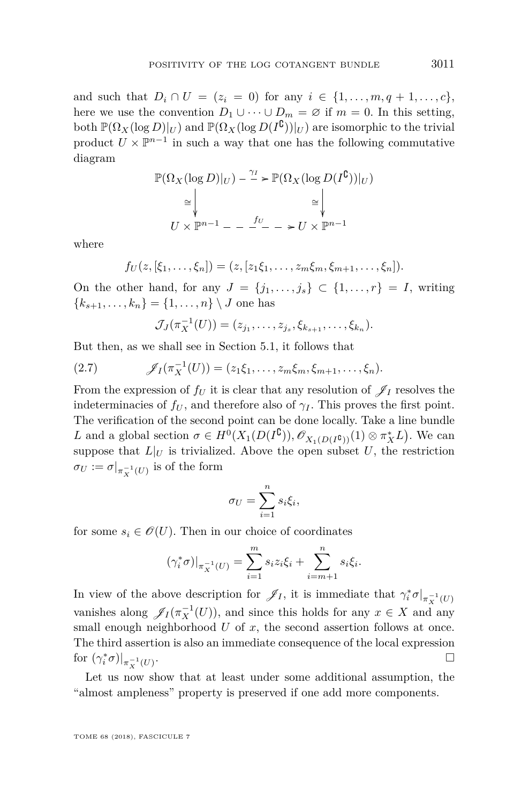and such that  $D_i \cap U = (z_i = 0)$  for any  $i \in \{1, ..., m, q + 1, ..., c\}$ , here we use the convention  $D_1 \cup \cdots \cup D_m = \emptyset$  if  $m = 0$ . In this setting,  $\text{both } \mathbb{P}(\Omega_X(\log D)|_U) \text{ and } \mathbb{P}(\Omega_X(\log D(I^{\complement}))|_U) \text{ are isomorphic to the trivial }$ product  $U \times \mathbb{P}^{n-1}$  in such a way that one has the following commutative diagram

$$
\mathbb{P}(\Omega_X(\log D)|_U) - \frac{\gamma_I}{\gamma} \ge \mathbb{P}(\Omega_X(\log D(I^{\complement}))|_U)
$$
  
\n
$$
\cong \bigvee_{U \times \mathbb{P}^{n-1}} \dots \longrightarrow \text{ for } U \times \mathbb{P}^{n-1}
$$

where

$$
f_U(z,[\xi_1,\ldots,\xi_n])=(z,[z_1\xi_1,\ldots,z_m\xi_m,\xi_{m+1},\ldots,\xi_n]).
$$

On the other hand, for any  $J = \{j_1, \ldots, j_s\} \subset \{1, \ldots, r\} = I$ , writing  ${k_{s+1}, \ldots, k_n} = {1, \ldots, n} \setminus J$  one has

<span id="page-11-0"></span>
$$
\mathcal{J}_J(\pi_X^{-1}(U)) = (z_{j_1}, \ldots, z_{j_s}, \xi_{k_{s+1}}, \ldots, \xi_{k_n}).
$$

But then, as we shall see in Section [5.1,](#page-38-1) it follows that

(2.7) 
$$
\mathscr{J}_I(\pi_X^{-1}(U)) = (z_1\xi_1,\ldots,z_m\xi_m,\xi_{m+1},\ldots,\xi_n).
$$

From the expression of  $f_U$  it is clear that any resolution of  $\mathscr{J}_I$  resolves the indeterminacies of  $f_U$ , and therefore also of  $\gamma_I$ . This proves the first point. The verification of the second point can be done locally. Take a line bundle *L* and a global section  $\sigma \in H^0(X_1(D(I^{\complement})), \mathscr{O}_{X_1(D(I^{\complement}))}(1) \otimes \pi_X^*L)$ . We can suppose that  $L|_U$  is trivialized. Above the open subset  $U$ , the restriction  $\sigma_U := \sigma|_{\pi_X^{-1}(U)}$  is of the form

$$
\sigma_U = \sum_{i=1}^n s_i \xi_i,
$$

for some  $s_i \in \mathcal{O}(U)$ . Then in our choice of coordinates

$$
(\gamma_i^* \sigma)|_{\pi_X^{-1}(U)} = \sum_{i=1}^m s_i z_i \xi_i + \sum_{i=m+1}^n s_i \xi_i.
$$

In view of the above description for  $\mathscr{J}_I$ , it is immediate that  $\gamma_i^* \sigma |_{\pi_X^{-1}(U)}$ vanishes along  $\mathscr{J}_I(\pi_X^{-1}(U))$ , and since this holds for any  $x \in X$  and any small enough neighborhood  $U$  of  $x$ , the second assertion follows at once. The third assertion is also an immediate consequence of the local expression for  $(\gamma_i^* \sigma)|_{\pi_X^{-1}(U)}$ .

Let us now show that at least under some additional assumption, the "almost ampleness" property is preserved if one add more components.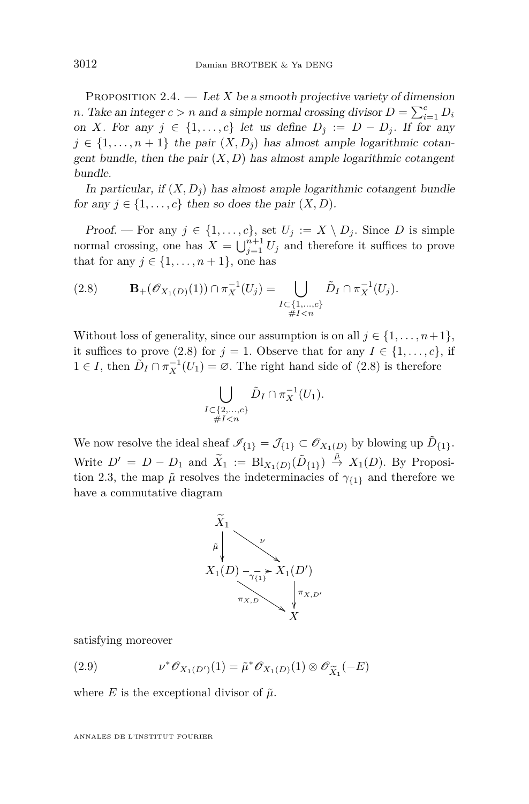<span id="page-12-2"></span>PROPOSITION 2.4.  $-$  Let X be a smooth projective variety of dimension *n*. Take an integer  $c > n$  and a simple normal crossing divisor  $D = \sum_{i=1}^{c} D_i$ on *X*. For any  $j \in \{1, \ldots, c\}$  let us define  $D_j := D - D_j$ . If for any  $j \in \{1, \ldots, n+1\}$  the pair  $(X, D_i)$  has almost ample logarithmic cotangent bundle, then the pair  $(X, D)$  has almost ample logarithmic cotangent bundle.

In particular, if  $(X, D_3)$  has almost ample logarithmic cotangent bundle for any  $j \in \{1, \ldots, c\}$  then so does the pair  $(X, D)$ .

Proof. — For any  $j \in \{1, \ldots, c\}$ , set  $U_j := X \setminus D_j$ . Since D is simple normal crossing, one has  $X = \bigcup_{j=1}^{n+1} U_j$  and therefore it suffices to prove that for any  $j \in \{1, \ldots, n+1\}$ , one has

<span id="page-12-0"></span>(2.8) 
$$
\mathbf{B}_{+}(\mathscr{O}_{X_1(D)}(1)) \cap \pi_X^{-1}(U_j) = \bigcup_{\substack{I \subset \{1,\ldots,c\} \\ \#I < n}} \tilde{D}_I \cap \pi_X^{-1}(U_j).
$$

Without loss of generality, since our assumption is on all  $j \in \{1, \ldots, n+1\}$ , it suffices to prove [\(2.8\)](#page-12-0) for  $j = 1$ . Observe that for any  $I \in \{1, ..., c\}$ , if 1 ∈ *I*, then  $\tilde{D}_I \cap \pi_X^{-1}(U_1) = \emptyset$ . The right hand side of [\(2.8\)](#page-12-0) is therefore

$$
\bigcup_{\substack{I \subset \{2,\ldots,c\} \\ \#I < n}} \tilde{D}_I \cap \pi_X^{-1}(U_1).
$$

We now resolve the ideal sheaf  $\mathscr{I}_{\{1\}} = \mathcal{J}_{\{1\}} \subset \mathscr{O}_{X_1(D)}$  by blowing up  $\tilde{D}_{\{1\}}$ . Write  $D' = D - D_1$  and  $\widetilde{X}_1 := \text{Bl}_{X_1(D)}(\widetilde{D}_{\{1\}}) \overset{\widetilde{\mu}}{\rightarrow} X_1(D)$ . By Proposi-tion [2.3,](#page-10-1) the map  $\tilde{\mu}$  resolves the indeterminacies of  $\gamma_{\{1\}}$  and therefore we have a commutative diagram



satisfying moreover

<span id="page-12-1"></span>(2.9) 
$$
\nu^* \mathscr{O}_{X_1(D')}(1) = \tilde{\mu}^* \mathscr{O}_{X_1(D)}(1) \otimes \mathscr{O}_{\widetilde{X}_1}(-E)
$$

where *E* is the exceptional divisor of  $\tilde{\mu}$ .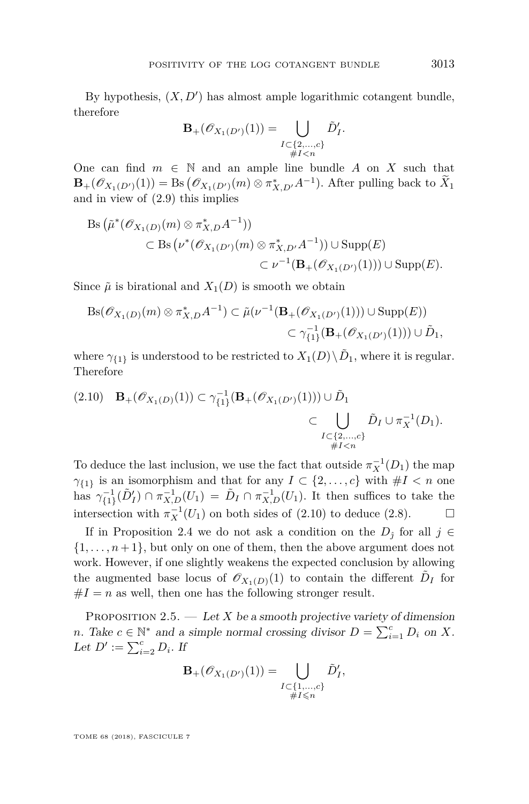By hypothesis,  $(X, D')$  has almost ample logarithmic cotangent bundle, therefore

$$
\mathbf{B}_{+}(\mathscr{O}_{X_{1}(D')}(1)) = \bigcup_{\substack{I \subset \{2,\ldots,c\} \\ \#I < n}} \tilde{D}'_{I}.
$$

One can find  $m \in \mathbb{N}$  and an ample line bundle  $A$  on  $X$  such that  $\mathbf{B}_{+}(\mathscr{O}_{X_1(D')}(1)) = \text{Bs}(\mathscr{O}_{X_1(D')}(m) \otimes \pi_{X,D'}^* A^{-1})$ . After pulling back to  $X_1$ and in view of [\(2.9\)](#page-12-1) this implies

$$
Bs ( \tilde{\mu}^*(\mathscr{O}_{X_1(D)}(m) \otimes \pi_{X,D}^* A^{-1}) )
$$
  
\nsubset Bs (ν\*(*Θ*<sub>X<sub>1</sub>(D')</sub>(m) ⊗ π<sup>\*</sup><sub>X,D'</sub>, A<sup>-1</sup>)) ∪ Supp(E)  
\n
$$
C \nu^{-1}(\mathbf{B}_+(\mathscr{O}_{X_1(D')}(1))) \cup \text{Supp}(E).
$$

Since  $\tilde{\mu}$  is birational and  $X_1(D)$  is smooth we obtain

$$
\begin{aligned} \mathrm{Bs}(\mathscr{O}_{X_1(D)}(m) \otimes \pi_{X,D}^* A^{-1}) &\subset \tilde{\mu}(\nu^{-1}(\mathbf{B}_+(\mathscr{O}_{X_1(D')}(1))) \cup \mathrm{Supp}(E)) \\ &\subset \gamma_{\{1\}}^{-1}(\mathbf{B}_+(\mathscr{O}_{X_1(D')}(1))) \cup \tilde{D}_1, \end{aligned}
$$

where  $\gamma_{\{1\}}$  is understood to be restricted to  $X_1(D)\setminus \tilde{D}_1$ , where it is regular. Therefore

<span id="page-13-0"></span>
$$
(2.10) \quad \mathbf{B}_{+}(\mathscr{O}_{X_{1}(D)}(1)) \subset \gamma_{\{1\}}^{-1}(\mathbf{B}_{+}(\mathscr{O}_{X_{1}(D')}(1))) \cup \tilde{D}_{1} \subset \bigcup_{\substack{I \subset \{2,\ldots,c\} \\ \#I < n}} \tilde{D}_{I} \cup \pi_{X}^{-1}(D_{1}).
$$

To deduce the last inclusion, we use the fact that outside  $\pi_X^{-1}(D_1)$  the map *γ*<sub>{1}</sub> is an isomorphism and that for any  $I \subset \{2, ..., c\}$  with  $\#I < n$  one has  $\gamma_{\{1\}}^{-1}(\tilde{D}'_I) \cap \pi_{X,D}^{-1}(U_1) = \tilde{D}_I \cap \pi_{X,D}^{-1}(U_1)$ . It then suffices to take the intersection with  $\pi_X^{-1}(U_1)$  on both sides of [\(2.10\)](#page-13-0) to deduce [\(2.8\)](#page-12-0).  $\Box$ 

If in Proposition [2.4](#page-12-2) we do not ask a condition on the  $D_i$  for all  $j \in$  $\{1, \ldots, n+1\}$ , but only on one of them, then the above argument does not work. However, if one slightly weakens the expected conclusion by allowing the augmented base locus of  $\mathcal{O}_{X_1(D)}(1)$  to contain the different  $\tilde{D}_I$  for  $#I = n$  as well, then one has the following stronger result.

PROPOSITION 2.5.  $-$  Let *X* be a smooth projective variety of dimension *n*. Take  $c \in \mathbb{N}^*$  and a simple normal crossing divisor  $D = \sum_{i=1}^c D_i$  on X. Let  $D' := \sum_{i=2}^{c} D_i$ . If

$$
\mathbf{B}_{+}(\mathscr{O}_{X_1(D')}(1)) = \bigcup_{\substack{I \subset \{1,\ldots,c\} \\ \#I \leq n}} \tilde{D}'_I,
$$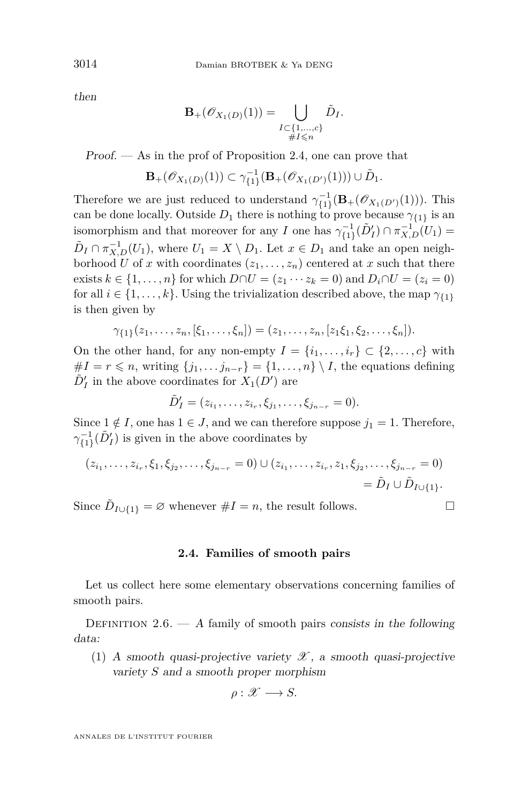then

$$
\mathbf{B}_{+}(\mathscr{O}_{X_1(D)}(1)) = \bigcup_{\substack{I \subset \{1,\ldots,c\} \\ \#I \leq n}} \tilde{D}_I.
$$

Proof. — As in the prof of Proposition [2.4,](#page-12-2) one can prove that

$$
\mathbf{B}_{+}(\mathscr{O}_{X_1(D)}(1)) \subset \gamma_{\{1\}}^{-1}(\mathbf{B}_{+}(\mathscr{O}_{X_1(D')}(1))) \cup \tilde{D}_1.
$$

Therefore we are just reduced to understand  $\gamma_{\{1\}}^{-1}(\mathbf{B}_{+}(\mathscr{O}_{X_1(D')}(1)))$ . This can be done locally. Outside  $D_1$  there is nothing to prove because  $\gamma_{\{1\}}$  is an isomorphism and that moreover for any *I* one has  $\gamma_{\{1\}}^{-1}(\tilde{D}'_I) \cap \pi_{X,D}^{-1}(U_1) =$  $\tilde{D}_I \cap \pi_{X,D}^{-1}(U_1)$ , where  $U_1 = X \setminus D_1$ . Let  $x \in D_1$  and take an open neighborhood *U* of *x* with coordinates  $(z_1, \ldots, z_n)$  centered at *x* such that there exists  $k \in \{1, ..., n\}$  for which  $D \cap U = (z_1 \cdots z_k = 0)$  and  $D_i \cap U = (z_i = 0)$ for all  $i \in \{1, ..., k\}$ . Using the trivialization described above, the map  $\gamma_{\{1\}}$ is then given by

$$
\gamma_{\{1\}}(z_1,\ldots,z_n,[\xi_1,\ldots,\xi_n])=(z_1,\ldots,z_n,[z_1\xi_1,\xi_2,\ldots,\xi_n]).
$$

On the other hand, for any non-empty  $I = \{i_1, \ldots, i_r\} \subset \{2, \ldots, c\}$  with  $#I = r \leqslant n$ , writing  $\{j_1, \ldots, j_{n-r}\} = \{1, \ldots, n\} \setminus I$ , the equations defining  $\tilde{D}'_I$  in the above coordinates for  $X_1(D')$  are

$$
\tilde{D}'_I = (z_{i_1}, \ldots, z_{i_r}, \xi_{j_1}, \ldots, \xi_{j_{n-r}} = 0).
$$

Since  $1 \notin I$ , one has  $1 \in J$ , and we can therefore suppose  $j_1 = 1$ . Therefore,  $\gamma^{-1}_{\{1\}}(\tilde{D}'_I)$  is given in the above coordinates by

$$
(z_{i_1}, \ldots, z_{i_r}, \xi_1, \xi_{j_2}, \ldots, \xi_{j_{n-r}} = 0) \cup (z_{i_1}, \ldots, z_{i_r}, z_1, \xi_{j_2}, \ldots, \xi_{j_{n-r}} = 0)
$$
  
=  $\tilde{D}_I \cup \tilde{D}_{I \cup \{1\}}.$ 

Since  $\tilde{D}_{I \cup \{1\}} = \emptyset$  whenever  $\#I = n$ , the result follows.

#### **2.4. Families of smooth pairs**

Let us collect here some elementary observations concerning families of smooth pairs.

<span id="page-14-0"></span>DEFINITION 2.6. — A family of smooth pairs consists in the following data:

(1) A smooth quasi-projective variety  $\mathscr X$ , a smooth quasi-projective variety *S* and a smooth proper morphism

$$
\rho: \mathscr{X} \longrightarrow S.
$$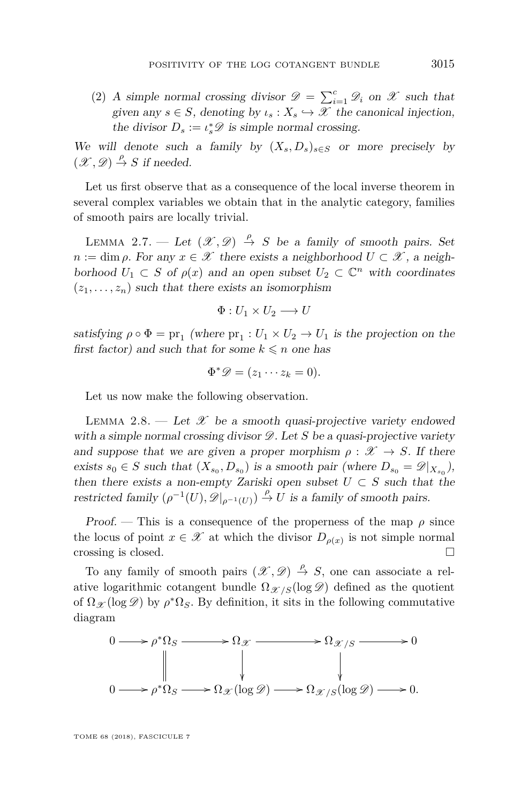(2) A simple normal crossing divisor  $\mathscr{D} = \sum_{i=1}^{c} \mathscr{D}_i$  on  $\mathscr{X}$  such that given any  $s \in S$ , denoting by  $\iota_s : X_s \hookrightarrow \mathscr{X}$  the canonical injection, the divisor  $D_s := \iota_s^* \mathscr{D}$  is simple normal crossing.

We will denote such a family by  $(X_s, D_s)_{s \in S}$  or more precisely by  $(\mathscr{X}, \mathscr{D}) \stackrel{\rho}{\rightarrow} S$  if needed.

Let us first observe that as a consequence of the local inverse theorem in several complex variables we obtain that in the analytic category, families of smooth pairs are locally trivial.

<span id="page-15-0"></span>LEMMA 2.7. — Let  $(\mathscr{X}, \mathscr{D}) \stackrel{\rho}{\rightarrow} S$  be a family of smooth pairs. Set  $n := \dim \rho$ . For any  $x \in \mathscr{X}$  there exists a neighborhood  $U \subset \mathscr{X}$ , a neighborhood  $U_1 \subset S$  of  $\rho(x)$  and an open subset  $U_2 \subset \mathbb{C}^n$  with coordinates  $(z_1, \ldots, z_n)$  such that there exists an isomorphism

$$
\Phi:U_1\times U_2\longrightarrow U
$$

satisfying  $\rho \circ \Phi = \text{pr}_1$  (where  $\text{pr}_1 : U_1 \times U_2 \to U_1$  is the projection on the first factor) and such that for some  $k \leq n$  one has

$$
\Phi^*\mathscr{D}=(z_1\cdots z_k=0).
$$

Let us now make the following observation.

LEMMA 2.8. — Let  $\mathscr X$  be a smooth quasi-projective variety endowed with a simple normal crossing divisor  $\mathscr{D}$ . Let *S* be a quasi-projective variety and suppose that we are given a proper morphism  $\rho : \mathscr{X} \to S$ . If there exists  $s_0 \in S$  such that  $(X_{s_0}, D_{s_0})$  is a smooth pair (where  $D_{s_0} = \mathscr{D}|_{X_{s_0}}$ ), then there exists a non-empty Zariski open subset  $U \subset S$  such that the restricted family  $(\rho^{-1}(U), \mathscr{D}|_{\rho^{-1}(U)}) \stackrel{\rho}{\to} U$  is a family of smooth pairs.

Proof. — This is a consequence of the properness of the map  $\rho$  since the locus of point  $x \in \mathcal{X}$  at which the divisor  $D_{\rho(x)}$  is not simple normal crossing is closed.

To any family of smooth pairs  $(\mathscr{X}, \mathscr{D}) \stackrel{\rho}{\rightarrow} S$ , one can associate a relative logarithmic cotangent bundle  $\Omega_{\mathscr{X}/S}(\log \mathscr{D})$  defined as the quotient of  $\Omega_{\mathscr{X}}(\log \mathscr{D})$  by  $\rho^*\Omega_S$ . By definition, it sits in the following commutative diagram

$$
0 \longrightarrow \rho^* \Omega_S \longrightarrow \Omega_{\mathcal{X}} \longrightarrow \Omega_{\mathcal{X}/S} \longrightarrow 0
$$
  
\n
$$
\parallel \qquad \qquad \downarrow \qquad \qquad \downarrow
$$
  
\n
$$
0 \longrightarrow \rho^* \Omega_S \longrightarrow \Omega_{\mathcal{X}}(\log \mathcal{D}) \longrightarrow \Omega_{\mathcal{X}/S}(\log \mathcal{D}) \longrightarrow 0.
$$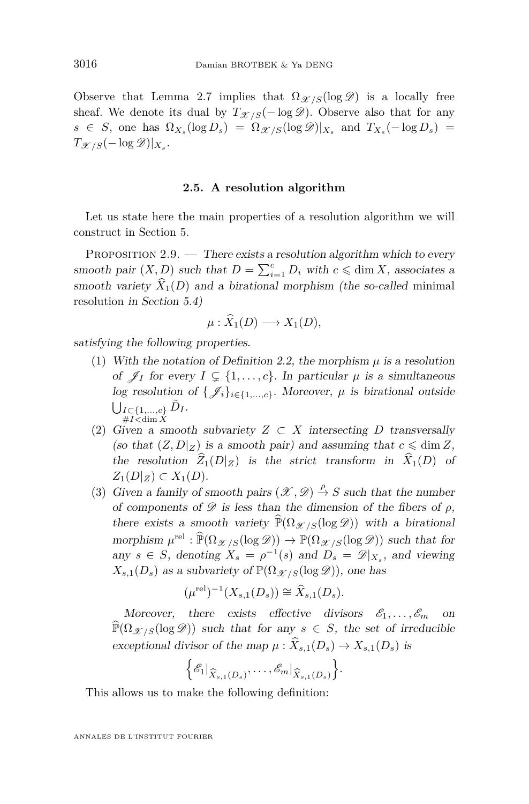Observe that Lemma [2.7](#page-15-0) implies that  $\Omega_{\mathscr{X}/S}(\log \mathscr{D})$  is a locally free sheaf. We denote its dual by  $T_{\mathcal{X}/S}(-\log \mathcal{D})$ . Observe also that for any  $s \in S$ , one has  $\Omega_{X_s}(\log D_s) = \Omega_{\mathscr{X}/S}(\log \mathscr{D})|_{X_s}$  and  $T_{X_s}(-\log D_s) =$  $T_{\mathscr{X}/S}(-\log \mathscr{D})|_{X_s}.$ 

#### **2.5. A resolution algorithm**

Let us state here the main properties of a resolution algorithm we will construct in Section [5.](#page-38-0)

<span id="page-16-0"></span>PROPOSITION  $2.9.$  — There exists a resolution algorithm which to every smooth pair  $(X, D)$  such that  $D = \sum_{i=1}^{c} D_i$  with  $c \leq \dim X$ , associates a smooth variety  $\hat{X}_1(D)$  and a birational morphism (the so-called minimal resolution in Section [5.4\)](#page-45-0)

$$
\mu: \widehat{X}_1(D) \longrightarrow X_1(D),
$$

<span id="page-16-2"></span>satisfying the following properties.

- (1) With the notation of Definition [2.2,](#page-9-0) the morphism *µ* is a resolution of  $\mathscr{J}_I$  for every  $I \subseteq \{1, \ldots, c\}$ . In particular  $\mu$  is a simultaneous log resolution of  $\{\mathcal{J}_i\}_{i\in\{1,\ldots,c\}}$ . Moreover,  $\mu$  is birational outside S *I*⊂{1*,...,c*} #*I<*dim *X*  $\tilde{D}_I$ .
- <span id="page-16-3"></span>(2) Given a smooth subvariety  $Z \subset X$  intersecting *D* transversally (so that  $(Z, D|Z)$  is a smooth pair) and assuming that  $c \leq \dim Z$ , the resolution  $\widehat{Z}_1(D|_Z)$  is the strict transform in  $\widehat{X}_1(D)$  of *Z*<sub>1</sub>(*D*)*z*) ⊂ *X*<sub>1</sub>(*D*)*.*
- <span id="page-16-1"></span>(3) Given a family of smooth pairs  $(\mathscr{X}, \mathscr{D}) \stackrel{\rho}{\to} S$  such that the number of components of  $\mathscr D$  is less than the dimension of the fibers of  $\rho$ , there exists a smooth variety  $\widehat{P}(\Omega_{\mathscr{X}/S}(\log \mathscr{D}))$  with a birational morphism  $\mu^{\text{rel}} : \widehat{\mathbb{P}}(\Omega_{\mathscr{X}/S}(\log \mathscr{D})) \to \mathbb{P}(\Omega_{\mathscr{X}/S}(\log \mathscr{D}))$  such that for any  $s \in S$ , denoting  $X_s = \rho^{-1}(s)$  and  $D_s = \mathscr{D}|_{X_s}$ , and viewing  $X_{s,1}(D_s)$  as a subvariety of  $\mathbb{P}(\Omega_{\mathcal{X}/S}(\log \mathcal{D}))$ , one has

$$
(\mu^{\text{rel}})^{-1}(X_{s,1}(D_s)) \cong \widehat{X}_{s,1}(D_s).
$$

Moreover, there exists effective divisors  $\mathscr{E}_1, \ldots, \mathscr{E}_m$  $\widehat{P}(\Omega_{\mathscr{X}/S}(\log \mathscr{D}))$  such that for any  $s \in S$ , the set of irreducible exceptional divisor of the map  $\mu$  :  $\widehat{X}_{s,1}(D_s) \to X_{s,1}(D_s)$  is

$$
\bigg\{\mathscr{E}_1\big|_{\widehat{X}_{s,1}(D_s)},\ldots,\mathscr{E}_m\big|_{\widehat{X}_{s,1}(D_s)}\bigg\}.
$$

This allows us to make the following definition: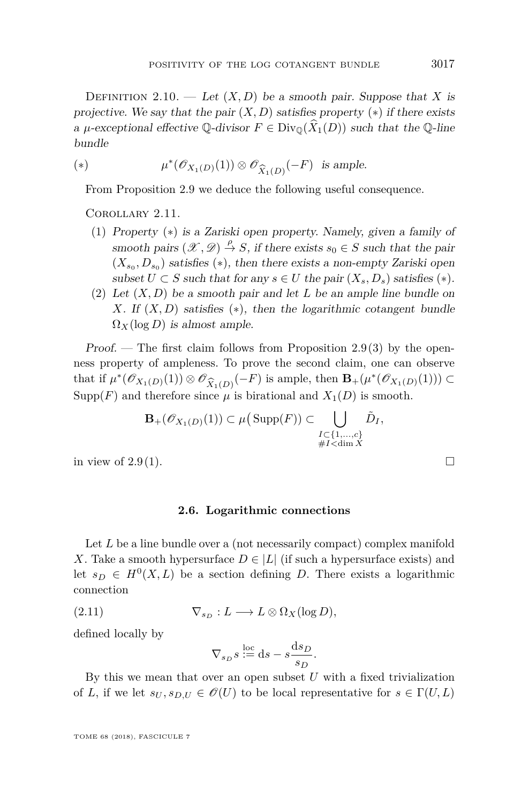DEFINITION 2.10. — Let  $(X, D)$  be a smooth pair. Suppose that X is projective. We say that the pair  $(X, D)$  satisfies property  $(*)$  if there exists a  $\mu$ -exceptional effective Q-divisor  $F \in Div_{\mathbb{Q}}(\hat{X}_1(D))$  such that the Q-line bundle

<span id="page-17-1"></span>(\*) 
$$
\mu^*(\mathscr{O}_{X_1(D)}(1)) \otimes \mathscr{O}_{\widehat{X}_1(D)}(-F) \text{ is ample.}
$$

From Proposition [2.9](#page-16-0) we deduce the following useful consequence.

Corollary 2.11.

- (1) Property ([∗](#page-17-1)) is a Zariski open property. Namely, given a family of smooth pairs  $(\mathcal{X}, \mathcal{D}) \stackrel{\rho}{\rightarrow} S$ , if there exists  $s_0 \in S$  such that the pair  $(X_{s_0}, D_{s_0})$  satisfies  $(*)$ , then there exists a non-empty Zariski open subset  $U \subset S$  such that for any  $s \in U$  the pair  $(X_s, D_s)$  satisfies (\*).
- <span id="page-17-3"></span>(2) Let (*X, D*) be a smooth pair and let *L* be an ample line bundle on *X*. If  $(X, D)$  satisfies  $(*)$ , then the logarithmic cotangent bundle  $\Omega_X(\log D)$  is almost ample.

Proof. — The first claim follows from Proposition [2.9](#page-16-0)[\(3\)](#page-16-1) by the openness property of ampleness. To prove the second claim, one can observe that if  $\mu^*(\mathscr{O}_{X_1(D)}(1)) \otimes \mathscr{O}_{\widehat{X}_1(D)}(-F)$  is ample, then  $\mathbf{B}_+(\mu^*(\mathscr{O}_{X_1(D)}(1))) \subset$ <br>Supp(F) and therefore since  $\mu$  is birational and  $X_1(D)$  is smooth Supp(*F*) and therefore since  $\mu$  is birational and  $X_1(D)$  is smooth.

$$
\mathbf{B}_{+}(\mathscr{O}_{X_1(D)}(1)) \subset \mu\big(\operatorname{Supp}(F)\big) \subset \bigcup_{\substack{I \subset \{1,\ldots,c\} \\ \#I < \dim X}} \tilde{D}_I,
$$

in view of  $2.9(1)$  $2.9(1)$ .

#### **2.6. Logarithmic connections**

<span id="page-17-0"></span>Let *L* be a line bundle over a (not necessarily compact) complex manifold *X*. Take a smooth hypersurface  $D \in |L|$  (if such a hypersurface exists) and let  $s_D \in H^0(X, L)$  be a section defining *D*. There exists a logarithmic connection

(2.11) 
$$
\nabla_{s_D}: L \longrightarrow L \otimes \Omega_X(\log D),
$$

defined locally by

<span id="page-17-2"></span>
$$
\nabla_{s_D} s \stackrel{\text{loc}}{:=} \mathrm{d} s - s \frac{\mathrm{d} s_D}{s_D}.
$$

By this we mean that over an open subset  $U$  with a fixed trivialization of *L*, if we let  $s_U, s_{D,U} \in \mathcal{O}(U)$  to be local representative for  $s \in \Gamma(U, L)$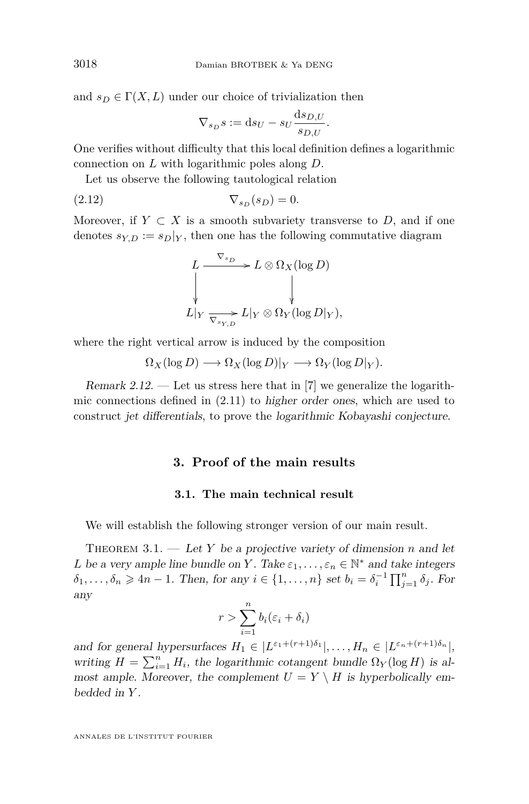and  $s_D \in \Gamma(X, L)$  under our choice of trivialization then

$$
\nabla_{s_D} s := \mathrm{d} s_U - s_U \frac{\mathrm{d} s_{D,U}}{s_{D,U}}.
$$

One verifies without difficulty that this local definition defines a logarithmic connection on *L* with logarithmic poles along *D*.

Let us observe the following tautological relation

$$
\nabla_{s_D}(s_D) = 0.
$$

Moreover, if  $Y \subset X$  is a smooth subvariety transverse to D, and if one denotes  $s_{Y,D} := s_D|_Y$ , then one has the following commutative diagram

<span id="page-18-2"></span>
$$
L \xrightarrow{\nabla_{s_D}} L \otimes \Omega_X(\log D)
$$
  
\n
$$
\downarrow
$$
  
\n
$$
L|_Y \xrightarrow{\nabla_{s_Y,D}} L|_Y \otimes \Omega_Y(\log D|_Y),
$$

where the right vertical arrow is induced by the composition

$$
\Omega_X(\log D) \longrightarrow \Omega_X(\log D)|_Y \longrightarrow \Omega_Y(\log D|_Y).
$$

Remark 2.12. — Let us stress here that in [\[7\]](#page-49-8) we generalize the logarithmic connections defined in [\(2.11\)](#page-17-2) to higher order ones, which are used to construct jet differentials, to prove the logarithmic Kobayashi conjecture.

#### **3. Proof of the main results**

#### **3.1. The main technical result**

<span id="page-18-0"></span>We will establish the following stronger version of our main result.

<span id="page-18-1"></span>THEOREM  $3.1.$  — Let Y be a projective variety of dimension *n* and let *L* be a very ample line bundle on *Y*. Take  $\varepsilon_1, \ldots, \varepsilon_n \in \mathbb{N}^*$  and take integers  $\delta_1, \ldots, \delta_n \geq 4n - 1$ . Then, for any  $i \in \{1, \ldots, n\}$  set  $b_i = \delta_i^{-1} \prod_{j=1}^n \delta_j$ . For any

$$
r > \sum_{i=1}^{n} b_i (\varepsilon_i + \delta_i)
$$

and for general hypersurfaces  $H_1 \in |L^{\varepsilon_1+(r+1)\delta_1}|, \ldots, H_n \in |L^{\varepsilon_n+(r+1)\delta_n}|,$ writing  $H = \sum_{i=1}^{n} H_i$ , the logarithmic cotangent bundle  $\Omega_Y(\log H)$  is almost ample. Moreover, the complement  $U = Y \setminus H$  is hyperbolically embedded in *Y* .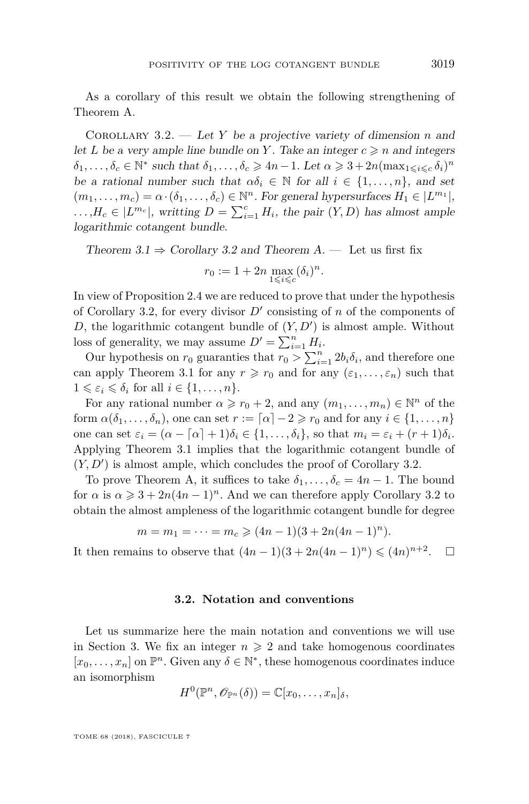As a corollary of this result we obtain the following strengthening of Theorem [A.](#page-2-0)

<span id="page-19-0"></span>Corollary 3.2. — Let *Y* be a projective variety of dimension *n* and let *L* be a very ample line bundle on *Y*. Take an integer  $c \ge n$  and integers  $\delta_1, \ldots, \delta_c \in \mathbb{N}^*$  such that  $\delta_1, \ldots, \delta_c \geq 4n-1$ . Let  $\alpha \geq 3 + 2n(\max_{1 \leq i \leq c} \delta_i)^n$ be a rational number such that  $\alpha \delta_i \in \mathbb{N}$  for all  $i \in \{1, \ldots, n\}$ , and set  $(m_1, \ldots, m_c) = \alpha \cdot (\delta_1, \ldots, \delta_c) \in \mathbb{N}^n$ . For general hypersurfaces  $H_1 \in |L^{m_1}|$ ,  $\ldots$ , $H_c \in |L^{m_c}|$ , writting  $D = \sum_{i=1}^c H_i$ , the pair  $(Y, D)$  has almost ample logarithmic cotangent bundle.

Theorem  $3.1 \Rightarrow$  $3.1 \Rightarrow$  Corollary [3.2](#page-19-0) and Theorem [A.](#page-2-0) — Let us first fix  $r_0 := 1 + 2n \max_{1 \leq i \leq c} (\delta_i)^n$ .

In view of Proposition [2.4](#page-12-2) we are reduced to prove that under the hypothesis of Corollary [3.2,](#page-19-0) for every divisor  $D'$  consisting of *n* of the components of *D*, the logarithmic cotangent bundle of  $(Y, D')$  is almost ample. Without loss of generality, we may assume  $D' = \sum_{i=1}^{n} H_i$ .

Our hypothesis on  $r_0$  guaranties that  $r_0 > \sum_{i=1}^n 2b_i \delta_i$ , and therefore one can apply Theorem [3.1](#page-18-1) for any  $r \ge r_0$  and for any  $(\varepsilon_1, \ldots, \varepsilon_n)$  such that  $1 \leqslant \varepsilon_i \leqslant \delta_i$  for all  $i \in \{1, \ldots, n\}.$ 

For any rational number  $\alpha \geq r_0 + 2$ , and any  $(m_1, \ldots, m_n) \in \mathbb{N}^n$  of the form  $\alpha(\delta_1, \ldots, \delta_n)$ , one can set  $r := \lceil \alpha \rceil - 2 \geq r_0$  and for any  $i \in \{1, \ldots, n\}$ one can set  $\varepsilon_i = (\alpha - \lceil \alpha \rceil + 1)\delta_i \in \{1, \ldots, \delta_i\}$ , so that  $m_i = \varepsilon_i + (r + 1)\delta_i$ . Applying Theorem [3.1](#page-18-1) implies that the logarithmic cotangent bundle of  $(Y, D')$  is almost ample, which concludes the proof of Corollary [3.2.](#page-19-0)

To prove Theorem [A,](#page-2-0) it suffices to take  $\delta_1, \ldots, \delta_c = 4n - 1$ . The bound for  $\alpha$  is  $\alpha \geq 3 + 2n(4n-1)^n$ . And we can therefore apply Corollary [3.2](#page-19-0) to obtain the almost ampleness of the logarithmic cotangent bundle for degree

$$
m = m_1 = \dots = m_c \geq (4n - 1)(3 + 2n(4n - 1)^n).
$$

It then remains to observe that  $(4n-1)(3 + 2n(4n-1)^n) \leq (4n)^{n+2}$  $\Box$ 

#### **3.2. Notation and conventions**

Let us summarize here the main notation and conventions we will use in Section [3.](#page-18-0) We fix an integer  $n \geqslant 2$  and take homogenous coordinates  $[x_0, \ldots, x_n]$  on  $\mathbb{P}^n$ . Given any  $\delta \in \mathbb{N}^*$ , these homogenous coordinates induce an isomorphism

$$
H^0(\mathbb{P}^n, \mathscr{O}_{\mathbb{P}^n}(\delta)) = \mathbb{C}[x_0, \ldots, x_n]_{\delta},
$$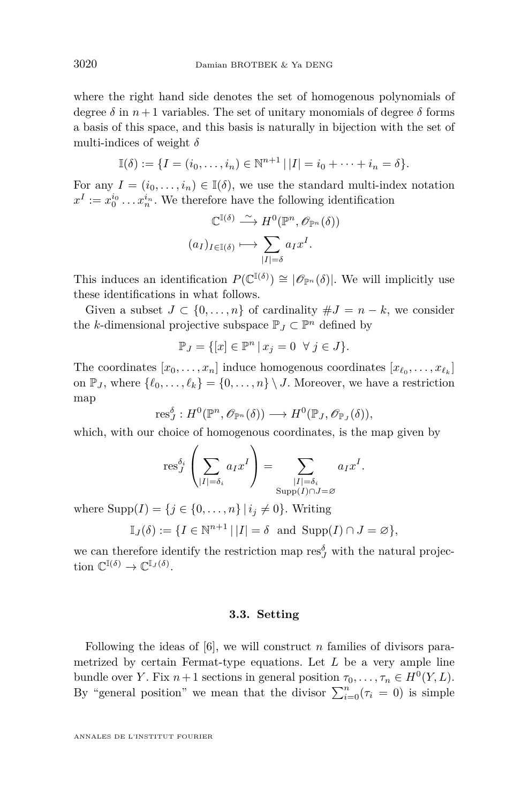where the right hand side denotes the set of homogenous polynomials of degree  $\delta$  in  $n+1$  variables. The set of unitary monomials of degree  $\delta$  forms a basis of this space, and this basis is naturally in bijection with the set of multi-indices of weight *δ*

$$
\mathbb{I}(\delta) := \{ I = (i_0, \dots, i_n) \in \mathbb{N}^{n+1} \, | \, |I| = i_0 + \dots + i_n = \delta \}.
$$

For any  $I = (i_0, \ldots, i_n) \in I(\delta)$ , we use the standard multi-index notation  $x^I := x_0^{i_0} \dots x_n^{i_n}$ . We therefore have the following identification

$$
\mathbb{C}^{\mathbb{I}(\delta)} \xrightarrow{\sim} H^0(\mathbb{P}^n, \mathscr{O}_{\mathbb{P}^n}(\delta))
$$

$$
(a_I)_{I \in \mathbb{I}(\delta)} \longmapsto \sum_{|I| = \delta} a_I x^I.
$$

This induces an identification  $P(\mathbb{C}^{(\delta)}) \cong |\mathscr{O}_{\mathbb{P}^n}(\delta)|$ . We will implicitly use these identifications in what follows.

Given a subset  $J \subset \{0, \ldots, n\}$  of cardinality  $\# J = n - k$ , we consider the *k*-dimensional projective subspace  $\mathbb{P}_J \subset \mathbb{P}^n$  defined by

$$
\mathbb{P}_J = \{ [x] \in \mathbb{P}^n \, | \, x_j = 0 \ \forall j \in J \}.
$$

The coordinates  $[x_0, \ldots, x_n]$  induce homogenous coordinates  $[x_{\ell_0}, \ldots, x_{\ell_k}]$ on  $\mathbb{P}_J$ , where  $\{\ell_0, \ldots, \ell_k\} = \{0, \ldots, n\} \setminus J$ . Moreover, we have a restriction map

$$
\textnormal{res}^{\delta}_{J}: H^{0}(\mathbb{P}^n, \mathscr{O}_{\mathbb{P}^n}(\delta)) \longrightarrow H^{0}(\mathbb{P}_{J}, \mathscr{O}_{\mathbb{P}_{J}}(\delta)),
$$

which, with our choice of homogenous coordinates, is the map given by

$$
\operatorname{res}_{J}^{\delta_{i}}\left(\sum_{|I|=\delta_{i}} a_{I} x^{I}\right) = \sum_{\substack{|I|=\delta_{i} \\ \operatorname{Supp}(I)\cap J=\varnothing}} a_{I} x^{I}.
$$

where  $\text{Supp}(I) = \{j \in \{0, \ldots, n\} \mid i_j \neq 0\}$ . Writing

$$
\mathbb{I}_J(\delta) := \{ I \in \mathbb{N}^{n+1} \, | \, |I| = \delta \text{ and } \text{Supp}(I) \cap J = \varnothing \},
$$

we can therefore identify the restriction map  $\text{res}_{J}^{\delta}$  with the natural projection  $\mathbb{C}^{\mathbb{I}(\delta)} \to \mathbb{C}^{\mathbb{I}_J(\delta)}$ .

#### **3.3. Setting**

<span id="page-20-0"></span>Following the ideas of [\[6\]](#page-49-5), we will construct *n* families of divisors parametrized by certain Fermat-type equations. Let *L* be a very ample line bundle over *Y*. Fix  $n+1$  sections in general position  $\tau_0, \ldots, \tau_n \in H^0(Y, L)$ . By "general position" we mean that the divisor  $\sum_{i=0}^{n}(\tau_i=0)$  is simple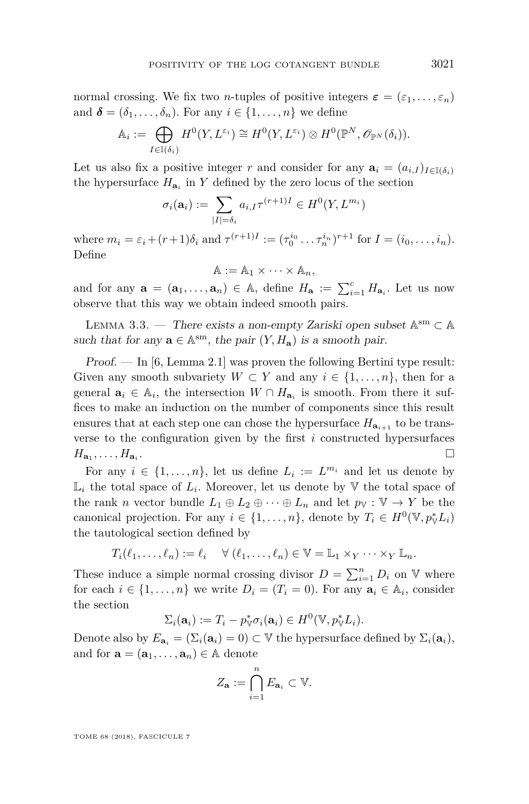normal crossing. We fix two *n*-tuples of positive integers  $\varepsilon = (\varepsilon_1, \ldots, \varepsilon_n)$ and  $\boldsymbol{\delta} = (\delta_1, \ldots, \delta_n)$ . For any  $i \in \{1, \ldots, n\}$  we define

$$
\mathbb{A}_i := \bigoplus_{I \in \mathbb{I}(\delta_i)} H^0(Y, L^{\varepsilon_i}) \cong H^0(Y, L^{\varepsilon_i}) \otimes H^0(\mathbb{P}^N, \mathscr{O}_{\mathbb{P}^N}(\delta_i)).
$$

Let us also fix a positive integer *r* and consider for any  $\mathbf{a}_i = (a_{i,I})_{I \in \mathbb{I}(\delta_i)}$ the hypersurface  $H_{a_i}$  in  $Y$  defined by the zero locus of the section

$$
\sigma_i(\mathbf{a}_i) := \sum_{|I| = \delta_i} a_{i,I} \tau^{(r+1)I} \in H^0(Y, L^{m_i})
$$

where  $m_i = \varepsilon_i + (r+1)\delta_i$  and  $\tau^{(r+1)I} := (\tau_0^{i_0} \dots \tau_n^{i_n})^{r+1}$  for  $I = (i_0, \dots, i_n)$ . Define

$$
\mathbb{A} := \mathbb{A}_1 \times \cdots \times \mathbb{A}_n,
$$

and for any  $\mathbf{a} = (\mathbf{a}_1, \dots, \mathbf{a}_n) \in \mathbb{A}$ , define  $H_{\mathbf{a}} := \sum_{i=1}^c H_{\mathbf{a}_i}$ . Let us now observe that this way we obtain indeed smooth pairs.

LEMMA 3.3. — There exists a non-empty Zariski open subset  $\mathbb{A}^{\text{sm}} \subset \mathbb{A}$ such that for any  $\mathbf{a} \in \mathbb{A}^{sm}$ , the pair  $(Y, H_{\mathbf{a}})$  is a smooth pair.

Proof. — In [\[6,](#page-49-5) Lemma 2.1] was proven the following Bertini type result: Given any smooth subvariety  $W \subset Y$  and any  $i \in \{1, \ldots, n\}$ , then for a general  $a_i \in A_i$ , the intersection  $W \cap H_{a_i}$  is smooth. From there it suffices to make an induction on the number of components since this result ensures that at each step one can chose the hypersurface  $H_{a_{i+1}}$  to be transverse to the configuration given by the first *i* constructed hypersurfaces  $H_{\mathbf{a}_1}, \ldots, H_{\mathbf{a}_i}$ . В последните последните под се при последните последните и се при последните под се при последните под се пр<br>В последните под се при последните под се при последните под се при последните под се при последните под се пр

For any  $i \in \{1, \ldots, n\}$ , let us define  $L_i := L^{m_i}$  and let us denote by  $\mathbb{L}_i$  the total space of  $L_i$ . Moreover, let us denote by  $\mathbb {V}$  the total space of the rank *n* vector bundle  $L_1 \oplus L_2 \oplus \cdots \oplus L_n$  and let  $p_{\mathbb{V}} : \mathbb{V} \to Y$  be the canonical projection. For any  $i \in \{1, ..., n\}$ , denote by  $T_i \in H^0(\mathbb{V}, p_{\mathbb{V}}^* L_i)$ the tautological section defined by

$$
T_i(\ell_1,\ldots,\ell_n):=\ell_i\quad\forall\;(\ell_1,\ldots,\ell_n)\in\mathbb{V}=\mathbb{L}_1\times_Y\cdots\times_Y\mathbb{L}_n.
$$

These induce a simple normal crossing divisor  $D = \sum_{i=1}^{n} D_i$  on V where for each  $i \in \{1, ..., n\}$  we write  $D_i = (T_i = 0)$ . For any  $\mathbf{a}_i \in \mathbb{A}_i$ , consider the section

$$
\Sigma_i(\mathbf{a}_i) := T_i - p_{\mathbb{V}}^* \sigma_i(\mathbf{a}_i) \in H^0(\mathbb{V}, p_{\mathbb{V}}^* L_i).
$$

Denote also by  $E_{\mathbf{a}_i} = (\Sigma_i(\mathbf{a}_i) = 0) \subset \mathbb{V}$  the hypersurface defined by  $\Sigma_i(\mathbf{a}_i)$ , and for  $\mathbf{a} = (\mathbf{a}_1, \dots, \mathbf{a}_n) \in \mathbb{A}$  denote

$$
Z_{\mathbf{a}} := \bigcap_{i=1}^{n} E_{\mathbf{a}_i} \subset \mathbb{V}.
$$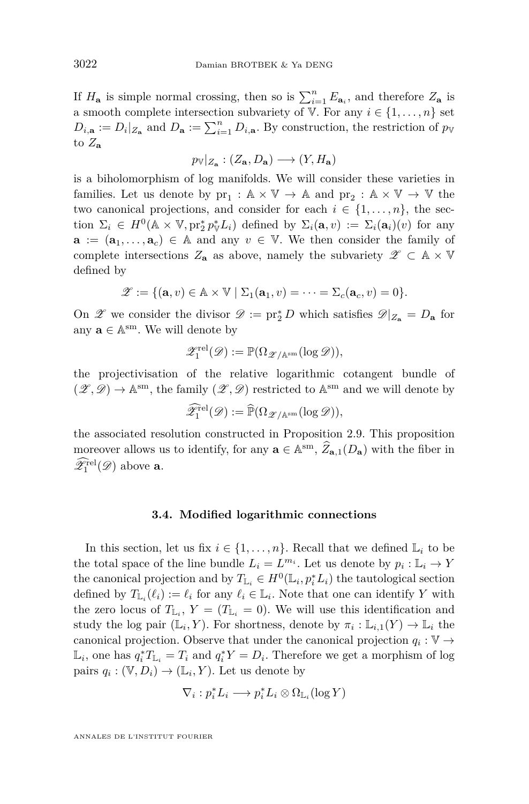If  $H_{\mathbf{a}}$  is simple normal crossing, then so is  $\sum_{i=1}^{n} E_{\mathbf{a}_i}$ , and therefore  $Z_{\mathbf{a}}$  is a smooth complete intersection subvariety of V. For any  $i \in \{1, \ldots, n\}$  set  $D_{i,\mathbf{a}} := D_i|_{Z_{\mathbf{a}}}$  and  $D_{\mathbf{a}} := \sum_{i=1}^n D_{i,\mathbf{a}}$ . By construction, the restriction of  $p_{\mathbb{V}}$ to  $Z_{\bf a}$ 

$$
p_{\mathbb{V}}|_{Z_{\mathbf{a}}}: (Z_{\mathbf{a}},D_{\mathbf{a}}) \longrightarrow (Y, H_{\mathbf{a}})
$$

is a biholomorphism of log manifolds. We will consider these varieties in families. Let us denote by  $pr_1 : \mathbb{A} \times \mathbb{V} \to \mathbb{A}$  and  $pr_2 : \mathbb{A} \times \mathbb{V} \to \mathbb{V}$  the two canonical projections, and consider for each  $i \in \{1, \ldots, n\}$ , the section  $\Sigma_i \in H^0(\mathbb{A} \times \mathbb{V}, \text{pr}_2^* p_{\mathbb{V}}^* L_i)$  defined by  $\Sigma_i(\mathbf{a}, v) := \Sigma_i(\mathbf{a}_i)(v)$  for any **a** :=  $(\mathbf{a}_1, \ldots, \mathbf{a}_c)$  ∈ A and any  $v \in \mathbb{V}$ . We then consider the family of complete intersections  $Z_{\mathbf{a}}$  as above, namely the subvariety  $\mathscr{Z} \subset \mathbb{A} \times \mathbb{V}$ defined by

$$
\mathscr{Z} := \{(\mathbf{a}, v) \in \mathbb{A} \times \mathbb{V} \mid \Sigma_1(\mathbf{a}_1, v) = \cdots = \Sigma_c(\mathbf{a}_c, v) = 0\}.
$$

On  $\mathscr{Z}$  we consider the divisor  $\mathscr{D} := \text{pr}_2^* D$  which satisfies  $\mathscr{D}|_{Z_{\mathbf{a}}} = D_{\mathbf{a}}$  for any  $\mathbf{a} \in \mathbb{A}^{\text{sm}}$ . We will denote by

$$
\mathscr{Z}^{\mathrm{rel}}_1(\mathscr{D}):=\mathbb{P}(\Omega_{\mathscr{Z}/\mathbb{A}^{\mathrm{sm}}}(\log \mathscr{D})),
$$

the projectivisation of the relative logarithmic cotangent bundle of  $(\mathscr{Z}, \mathscr{D}) \to \mathbb{A}^{\text{sm}}$ , the family  $(\mathscr{Z}, \mathscr{D})$  restricted to  $\mathbb{A}^{\text{sm}}$  and we will denote by

$$
\widehat{\mathscr{Z}}^{\textup{rel}}_1(\mathscr{D}):=\widehat{\mathbb{P}}(\Omega_{\mathscr{Z}/\mathbb{A}^{\textup{sm}}}(\log \mathscr{D})),
$$

the associated resolution constructed in Proposition [2.9.](#page-16-0) This proposition moreover allows us to identify, for any  $\mathbf{a} \in \mathbb{A}^{sm}$ ,  $\widehat{Z}_{\mathbf{a},1}(D_{\mathbf{a}})$  with the fiber in  $\mathscr{Z}_1^{\text{rel}}(\mathscr{D})$  above **a**.

#### **3.4. Modified logarithmic connections**

<span id="page-22-0"></span>In this section, let us fix  $i \in \{1, \ldots, n\}$ . Recall that we defined  $\mathbb{L}_i$  to be the total space of the line bundle  $L_i = L^{m_i}$ . Let us denote by  $p_i : \mathbb{L}_i \to Y$ the canonical projection and by  $T_{L_i} \in H^0(\mathbb{L}_i, p_i^* L_i)$  the tautological section defined by  $T_{\mathbb{L}_i}(\ell_i) := \ell_i$  for any  $\ell_i \in \mathbb{L}_i$ . Note that one can identify *Y* with the zero locus of  $T_{\mathbb{L}_i}$ ,  $Y = (T_{\mathbb{L}_i} = 0)$ . We will use this identification and study the log pair  $(\mathbb{L}_i, Y)$ . For shortness, denote by  $\pi_i : \mathbb{L}_{i,1}(Y) \to \mathbb{L}_i$  the canonical projection. Observe that under the canonical projection  $q_i : V \to V$  $\mathbb{L}_i$ , one has  $q_i^* T_{\mathbb{L}_i} = T_i$  and  $q_i^* Y = D_i$ . Therefore we get a morphism of log pairs  $q_i : (\mathbb{V}, D_i) \to (\mathbb{L}_i, Y)$ . Let us denote by

$$
\nabla_i: p_i^* L_i \longrightarrow p_i^* L_i \otimes \Omega_{\mathbb{L}_i}(\log Y)
$$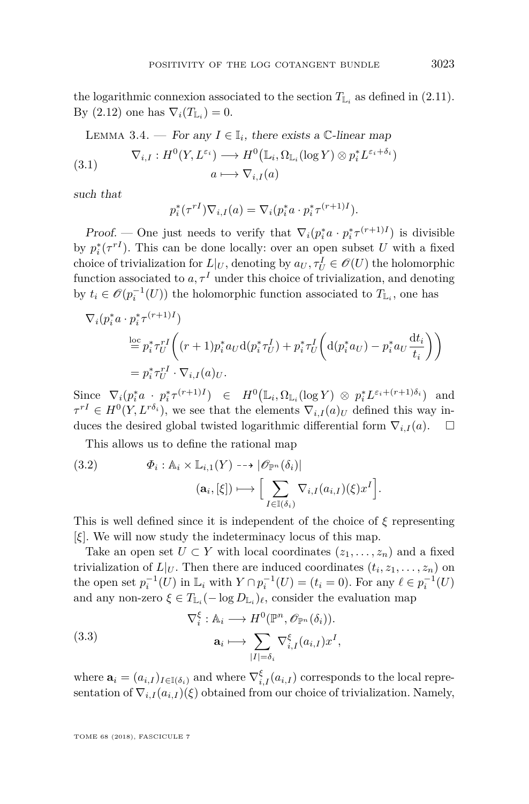the logarithmic connexion associated to the section  $T_{\mathbb{L}_i}$  as defined in [\(2.11\)](#page-17-2). By  $(2.12)$  one has  $\nabla_i(T_{\mathbb{L}_i})=0$ .

LEMMA 3.4. — For any 
$$
I \in \mathbb{I}_i
$$
, there exists a C-linear map  
\n
$$
\nabla_{i,I} : H^0(Y, L^{\varepsilon_i}) \longrightarrow H^0(\mathbb{L}_i, \Omega_{\mathbb{L}_i}(\log Y) \otimes p_i^* L^{\varepsilon_i + \delta_i})
$$
\n
$$
a \longmapsto \nabla_{i,I}(a)
$$

such that

$$
p_i^*(\tau^{rI}) \nabla_{i,I}(a) = \nabla_i (p_i^* a \cdot p_i^* \tau^{(r+1)I}).
$$

Proof. — One just needs to verify that  $\nabla_i (p_i^* a \cdot p_i^* \tau^{(r+1)I})$  is divisible by  $p_i^*(\tau^{rI})$ . This can be done locally: over an open subset *U* with a fixed choice of trivialization for  $L|_U$ , denoting by  $a_U, \tau_U^I \in \mathscr{O}(U)$  the holomorphic function associated to  $a, \tau^I$  under this choice of trivialization, and denoting by  $t_i \in \mathcal{O}(p_i^{-1}(U))$  the holomorphic function associated to  $T_{L_i}$ , one has

$$
\nabla_i (p_i^* a \cdot p_i^* \tau^{(r+1)I})
$$
\n
$$
\stackrel{\text{loc}}{=} p_i^* \tau_U^{rI} \left( (r+1) p_i^* a_U \, d(p_i^* \tau_U^I) + p_i^* \tau_U^I \left( d(p_i^* a_U) - p_i^* a_U \frac{dt_i}{t_i} \right) \right)
$$
\n
$$
= p_i^* \tau_U^{rI} \cdot \nabla_{i,I}(a)_U.
$$

Since  $\nabla_i (p_i^* a \cdot p_i^* \tau^{(r+1)I}) \in H^0(\mathbb{L}_i, \Omega_{\mathbb{L}_i}(\log Y) \otimes p_i^* L^{\varepsilon_i + (r+1)\delta_i})$  and  $\tau^{rI} \in H^{0}(Y, L^{r\delta_{i}})$ , we see that the elements  $\nabla_{i,I}(a)_{U}$  defined this way induces the desired global twisted logarithmic differential form  $\nabla_{i,I}(a)$ .  $\square$ 

This allows us to define the rational map

<span id="page-23-0"></span>(3.2) 
$$
\Phi_i : \mathbb{A}_i \times \mathbb{L}_{i,1}(Y) \dashrightarrow |\mathscr{O}_{\mathbb{P}^n}(\delta_i)|
$$

$$
(\mathbf{a}_i, [\xi]) \longmapsto \Big[\sum_{I \in \mathbb{I}(\delta_i)} \nabla_{i,I}(a_{i,I})(\xi) x^I \Big].
$$

This is well defined since it is independent of the choice of *ξ* representing [*ξ*]. We will now study the indeterminacy locus of this map.

Take an open set  $U \subset Y$  with local coordinates  $(z_1, \ldots, z_n)$  and a fixed trivialization of  $L|_U$ . Then there are induced coordinates  $(t_i, z_1, \ldots, z_n)$  on the open set  $p_i^{-1}(U)$  in  $\mathbb{L}_i$  with  $Y \cap p_i^{-1}(U) = (t_i = 0)$ . For any  $\ell \in p_i^{-1}(U)$ and any non-zero  $\xi \in T_{\mathbb{L}_i}(-\log D_{\mathbb{L}_i})_\ell$ , consider the evaluation map

(3.3) 
$$
\nabla_i^{\xi}: \mathbb{A}_i \longrightarrow H^0(\mathbb{P}^n, \mathscr{O}_{\mathbb{P}^n}(\delta_i)).
$$

$$
\mathbf{a}_i \longmapsto \sum_{|I| = \delta_i} \nabla_{i,I}^{\xi}(a_{i,I}) x^I,
$$

where  $\mathbf{a}_i = (a_{i,I})_{I \in \mathbb{I}(\delta_i)}$  and where  $\nabla_{i,I}^{\xi}(a_{i,I})$  corresponds to the local representation of  $\nabla_{i,I}(a_{i,I})(\xi)$  obtained from our choice of trivialization. Namely,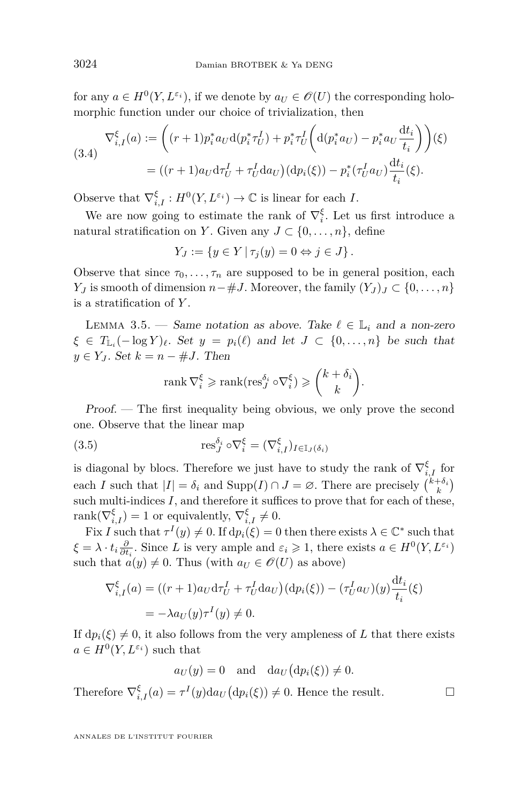for any  $a \in H^0(Y, L^{\varepsilon_i})$ , if we denote by  $a_U \in \mathscr{O}(U)$  the corresponding holomorphic function under our choice of trivialization, then

<span id="page-24-1"></span>
$$
\nabla_{i,I}^{\xi}(a) := \left( (r+1)p_i^* a_U \mathbf{d}(p_i^* \tau_U^I) + p_i^* \tau_U^I \left( \mathbf{d}(p_i^* a_U) - p_i^* a_U \frac{\mathbf{d}t_i}{t_i} \right) \right) (\xi)
$$
\n
$$
= ((r+1)a_U \mathbf{d}\tau_U^I + \tau_U^I \mathbf{d}a_U) (\mathbf{d}p_i(\xi)) - p_i^* (\tau_U^I a_U) \frac{\mathbf{d}t_i}{t_i} (\xi).
$$

Observe that  $\nabla_{i,I}^{\xi}: H^0(Y, L^{\varepsilon_i}) \to \mathbb{C}$  is linear for each *I*.

We are now going to estimate the rank of  $\nabla_i^{\xi}$ . Let us first introduce a natural stratification on *Y*. Given any  $J \subset \{0, \ldots, n\}$ , define

$$
Y_J := \{ y \in Y \mid \tau_j(y) = 0 \Leftrightarrow j \in J \}.
$$

Observe that since  $\tau_0, \ldots, \tau_n$  are supposed to be in general position, each *Y*<sub>*J*</sub> is smooth of dimension  $n - \#J$ . Moreover, the family  $(Y_J)_J \subset \{0, \ldots, n\}$ is a stratification of *Y* .

<span id="page-24-0"></span>LEMMA 3.5. — Same notation as above. Take  $\ell \in \mathbb{L}_i$  and a non-zero  $\zeta \in T_{\mathbb{L}_i}(-\log Y)_\ell$ . Set  $y = p_i(\ell)$  and let  $J \subset \{0, \ldots, n\}$  be such that  $y \in Y_I$ . Set  $k = n - \#J$ . Then

<span id="page-24-2"></span>
$$
\operatorname{rank} \nabla_i^{\xi} \geqslant \operatorname{rank}(\operatorname{res}_J^{\delta_i} \circ \nabla_i^{\xi}) \geqslant {k + \delta_i \choose k}
$$

*.*

d*t<sup>i</sup>*

Proof. — The first inequality being obvious, we only prove the second one. Observe that the linear map

(3.5) 
$$
\operatorname{res}_{J}^{\delta_{i}} \circ \nabla_{i}^{\xi} = (\nabla_{i,I}^{\xi})_{I \in I_{J}(\delta_{i})}
$$

is diagonal by blocs. Therefore we just have to study the rank of  $\nabla_{i,I}^{\xi}$  for each *I* such that  $|I| = \delta_i$  and  $\text{Supp}(I) \cap J = \emptyset$ . There are precisely  $\binom{k+\delta_i}{k}$ such multi-indices  $I$ , and therefore it suffices to prove that for each of these,  $rank(\nabla_{i,I}^{\xi}) = 1$  or equivalently,  $\nabla_{i,I}^{\xi} \neq 0$ .

Fix *I* such that  $\tau^I(y) \neq 0$ . If  $dp_i(\xi) = 0$  then there exists  $\lambda \in \mathbb{C}^*$  such that  $\xi = \lambda \cdot t_i \frac{\partial}{\partial t_i}$ . Since *L* is very ample and  $\varepsilon_i \geq 1$ , there exists  $a \in H^0(Y, L^{\varepsilon_i})$ such that  $a(y) \neq 0$ . Thus (with  $a_U \in \mathscr{O}(U)$  as above)

$$
\nabla_{i,I}^{\xi}(a) = ((r+1)a_U \mathrm{d}\tau_U^I + \tau_U^I \mathrm{d}a_U)(\mathrm{d}p_i(\xi)) - (\tau_U^I a_U)(y) \frac{\mathrm{d}t_i}{t_i}(\xi)
$$
  
=  $-\lambda a_U(y)\tau^I(y) \neq 0.$ 

If  $dp_i(\xi) \neq 0$ , it also follows from the very ampleness of L that there exists  $a \in H^0(Y, L^{\varepsilon_i})$  such that

$$
a_U(y) = 0
$$
 and  $da_U(dp_i(\xi)) \neq 0$ .

Therefore  $\nabla_{i,I}^{\xi}(a) = \tau^{I}(y)da_{U}(dp_{i}(\xi)) \neq 0$ . Hence the result.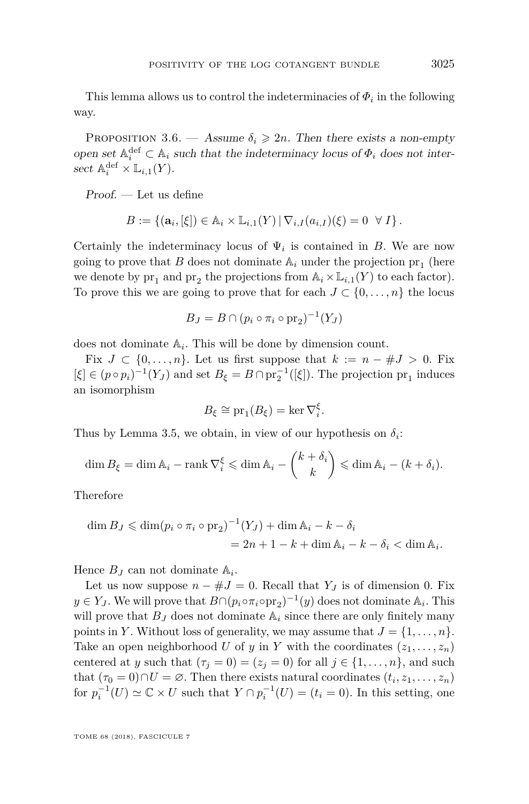This lemma allows us to control the indeterminacies of  $\Phi_i$  in the following way.

<span id="page-25-0"></span>PROPOSITION 3.6. — Assume  $\delta_i \geq 2n$ . Then there exists a non-empty open set  $\mathbb{A}_i^{\text{def}} \subset \mathbb{A}_i$  such that the indeterminacy locus of  $\Phi_i$  does not intersect  $\mathbb{A}_i^{\text{def}} \times \mathbb{L}_{i,1}(Y)$ .

Proof. — Let us define

$$
B := \{(\mathbf{a}_i, [\xi]) \in \mathbb{A}_i \times \mathbb{L}_{i,1}(Y) \,|\, \nabla_{i,I}(a_{i,I})(\xi) = 0 \ \ \forall \ I\}.
$$

Certainly the indeterminacy locus of  $\Psi_i$  is contained in *B*. We are now going to prove that  $B$  does not dominate  $\mathbb{A}_i$  under the projection  $\text{pr}_1$  (here we denote by  $pr_1$  and  $pr_2$  the projections from  $\mathbb{A}_i \times \mathbb{L}_{i,1}(Y)$  to each factor). To prove this we are going to prove that for each  $J \subset \{0, \ldots, n\}$  the locus

$$
B_J = B \cap (p_i \circ \pi_i \circ \text{pr}_2)^{-1}(Y_J)
$$

does not dominate  $\mathbb{A}_i$ . This will be done by dimension count.

Fix  $J \subset \{0, \ldots, n\}$ . Let us first suppose that  $k := n - #J > 0$ . Fix  $[\xi] \in (p \circ p_i)^{-1}(Y_J)$  and set  $B_{\xi} = B \cap \text{pr}_2^{-1}([\xi])$ . The projection  $\text{pr}_1$  induces an isomorphism

$$
B_{\xi} \cong \operatorname{pr}_1(B_{\xi}) = \ker \nabla_i^{\xi}.
$$

Thus by Lemma [3.5,](#page-24-0) we obtain, in view of our hypothesis on  $\delta_i$ :

$$
\dim B_{\xi} = \dim \mathbb{A}_i - \operatorname{rank} \nabla_i^{\xi} \leq \dim \mathbb{A}_i - \binom{k + \delta_i}{k} \leq \dim \mathbb{A}_i - (k + \delta_i).
$$

Therefore

$$
\dim B_J \leq \dim (p_i \circ \pi_i \circ \text{pr}_2)^{-1}(Y_J) + \dim \mathbb{A}_i - k - \delta_i
$$
  
=  $2n + 1 - k + \dim \mathbb{A}_i - k - \delta_i < \dim \mathbb{A}_i$ .

Hence  $B_J$  can not dominate  $\mathbb{A}_i$ .

Let us now suppose  $n - #J = 0$ . Recall that  $Y_J$  is of dimension 0. Fix  $y \in Y_J$ . We will prove that  $B \cap (p_i \circ \pi_i \circ pr_2)^{-1}(y)$  does not dominate  $\mathbb{A}_i$ . This will prove that  $B_J$  does not dominate  $A_i$  since there are only finitely many points in *Y*. Without loss of generality, we may assume that  $J = \{1, \ldots, n\}$ . Take an open neighborhood *U* of *y* in *Y* with the coordinates  $(z_1, \ldots, z_n)$ centered at *y* such that  $(\tau_j = 0) = (z_j = 0)$  for all  $j \in \{1, ..., n\}$ , and such that  $(\tau_0 = 0) \cap U = \emptyset$ . Then there exists natural coordinates  $(t_i, z_1, \ldots, z_n)$ for  $p_i^{-1}(U) \simeq \mathbb{C} \times U$  such that  $Y \cap p_i^{-1}(U) = (t_i = 0)$ . In this setting, one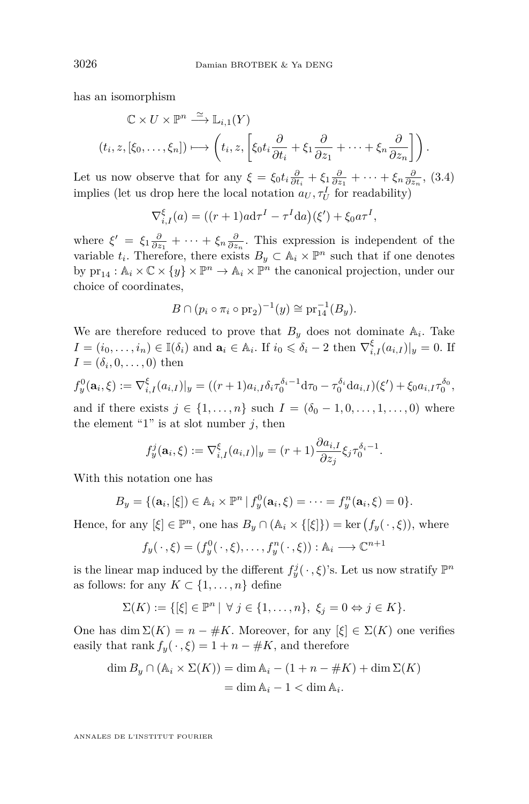has an isomorphism

$$
\mathbb{C} \times U \times \mathbb{P}^n \xrightarrow{\simeq} \mathbb{L}_{i,1}(Y)
$$
  

$$
(t_i, z, [\xi_0, \dots, \xi_n]) \mapsto \left( t_i, z, \left[ \xi_0 t_i \frac{\partial}{\partial t_i} + \xi_1 \frac{\partial}{\partial z_1} + \dots + \xi_n \frac{\partial}{\partial z_n} \right] \right).
$$

Let us now observe that for any  $\xi = \xi_0 t_i \frac{\partial}{\partial t_i} + \xi_1 \frac{\partial}{\partial z_1} + \cdots + \xi_n \frac{\partial}{\partial z_n}$ , [\(3.4\)](#page-24-1) implies (let us drop here the local notation  $a_U, \tau_U^I$  for readability)

$$
\nabla_{i,I}^{\xi}(a) = ((r+1)ad\tau^I - \tau^I da)(\xi') + \xi_0 a \tau^I,
$$

where  $\xi' = \xi_1 \frac{\partial}{\partial z_1} + \cdots + \xi_n \frac{\partial}{\partial z_n}$ . This expression is independent of the variable  $t_i$ . Therefore, there exists  $B_y \subset \mathbb{A}_i \times \mathbb{P}^n$  such that if one denotes by  $\text{pr}_{14} : \mathbb{A}_i \times \mathbb{C} \times \{y\} \times \mathbb{P}^n \to \mathbb{A}_i \times \mathbb{P}^n$  the canonical projection, under our choice of coordinates,

$$
B \cap (p_i \circ \pi_i \circ pr_2)^{-1}(y) \cong pr_{14}^{-1}(B_y).
$$

We are therefore reduced to prove that  $B_y$  does not dominate  $A_i$ . Take  $I = (i_0, \ldots, i_n) \in \mathbb{I}(\delta_i)$  and  $\mathbf{a}_i \in \mathbb{A}_i$ . If  $i_0 \leq \delta_i - 2$  then  $\nabla_{i,I}^{\xi}(a_{i,I})|_{y} = 0$ . If  $I = (\delta_i, 0, \ldots, 0)$  then

$$
f_y^0(\mathbf{a}_i, \xi) := \nabla_{i,I}^{\xi} (a_{i,I})|_y = ((r+1)a_{i,I}\delta_i \tau_0^{\delta_i - 1} d\tau_0 - \tau_0^{\delta_i} da_{i,I})(\xi') + \xi_0 a_{i,I} \tau_0^{\delta_0},
$$

and if there exists  $j \in \{1, \ldots, n\}$  such  $I = (\delta_0 - 1, 0, \ldots, 1, \ldots, 0)$  where the element "1" is at slot number  $j$ , then

$$
f_y^j(\mathbf{a}_i, \xi) := \nabla_{i,I}^{\xi}(a_{i,I})|_y = (r+1) \frac{\partial a_{i,I}}{\partial z_j} \xi_j \tau_0^{\delta_i - 1}.
$$

With this notation one has

$$
B_y = \{(\mathbf{a}_i, [\xi]) \in \mathbb{A}_i \times \mathbb{P}^n \, | \, f_y^0(\mathbf{a}_i, \xi) = \cdots = f_y^n(\mathbf{a}_i, \xi) = 0\}.
$$

Hence, for any  $[\xi] \in \mathbb{P}^n$ , one has  $B_y \cap (\mathbb{A}_i \times {\{\xi\}}) = \text{ker}(f_y(\cdot,\xi))$ , where

$$
f_y(\cdot,\xi)=(f_y^0(\cdot,\xi),\ldots,f_y^n(\cdot,\xi)):\mathbb{A}_i\longrightarrow\mathbb{C}^{n+1}
$$

is the linear map induced by the different  $f_y^j(\cdot, \xi)$ 's. Let us now stratify  $\mathbb{P}^n$ as follows: for any  $K \subset \{1, \ldots, n\}$  define

$$
\Sigma(K) := \{ [\xi] \in \mathbb{P}^n \mid \forall j \in \{1, \ldots, n\}, \xi_j = 0 \Leftrightarrow j \in K \}.
$$

One has dim  $\Sigma(K) = n - #K$ . Moreover, for any  $[\xi] \in \Sigma(K)$  one verifies easily that rank  $f_y(\cdot, \xi) = 1 + n - \#K$ , and therefore

$$
\dim B_y \cap (\mathbb{A}_i \times \Sigma(K)) = \dim \mathbb{A}_i - (1 + n - \#K) + \dim \Sigma(K)
$$

$$
= \dim \mathbb{A}_i - 1 < \dim \mathbb{A}_i.
$$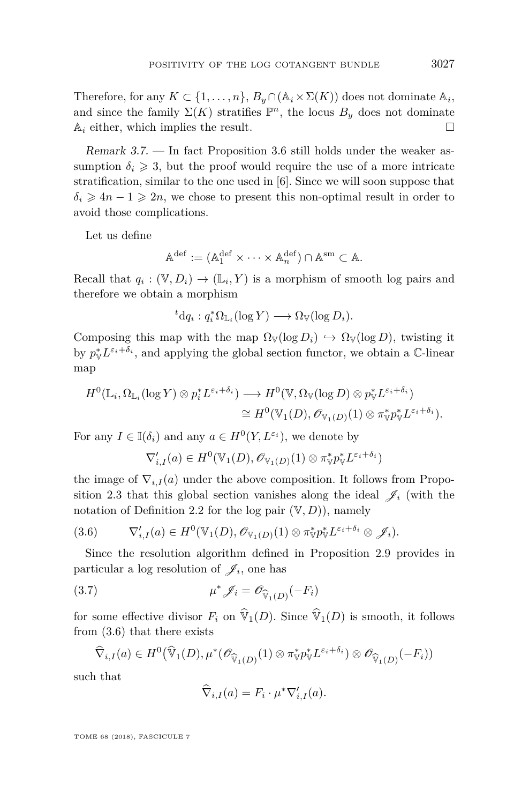Therefore, for any  $K \subset \{1, \ldots, n\}$ ,  $B_y \cap (A_i \times \Sigma(K))$  does not dominate  $A_i$ , and since the family  $\Sigma(K)$  stratifies  $\mathbb{P}^n$ , the locus  $B_y$  does not dominate  $\mathbb{A}_i$  either, which implies the result.  $\square$ 

Remark 3.7. — In fact Proposition [3.6](#page-25-0) still holds under the weaker assumption  $\delta_i \geq 3$ , but the proof would require the use of a more intricate stratification, similar to the one used in [\[6\]](#page-49-5). Since we will soon suppose that  $\delta_i \geq 4n - 1 \geq 2n$ , we chose to present this non-optimal result in order to avoid those complications.

Let us define

$$
\mathbb{A}^{\mathrm{def}} := (\mathbb{A}_1^{\mathrm{def}} \times \cdots \times \mathbb{A}_n^{\mathrm{def}}) \cap \mathbb{A}^{\mathrm{sm}} \subset \mathbb{A}.
$$

Recall that  $q_i : (\mathbb{V}, D_i) \to (\mathbb{L}_i, Y)$  is a morphism of smooth log pairs and therefore we obtain a morphism

$$
{}^t \mathrm{d} q_i : q_i^* \Omega_{\mathbb{L}_i}(\log Y) \longrightarrow \Omega_{\mathbb{V}}(\log D_i).
$$

Composing this map with the map  $\Omega_{\mathbb{V}}(\log D_i) \hookrightarrow \Omega_{\mathbb{V}}(\log D)$ , twisting it by  $p_{\mathbb{V}}^* L^{\varepsilon_i + \delta_i}$ , and applying the global section functor, we obtain a  $\mathbb{C}\text{-linear}$ map

$$
H^{0}(\mathbb{L}_{i}, \Omega_{\mathbb{L}_{i}}(\log Y) \otimes p_{i}^{*} L^{\varepsilon_{i}+\delta_{i}}) \longrightarrow H^{0}(\mathbb{V}, \Omega_{\mathbb{V}}(\log D) \otimes p_{\mathbb{V}}^{*} L^{\varepsilon_{i}+\delta_{i}})
$$
  

$$
\cong H^{0}(\mathbb{V}_{1}(D), \mathscr{O}_{\mathbb{V}_{1}(D)}(1) \otimes \pi_{\mathbb{V}}^{*} p_{\mathbb{V}}^{*} L^{\varepsilon_{i}+\delta_{i}}).
$$

For any  $I \in \mathbb{I}(\delta_i)$  and any  $a \in H^0(Y, L^{\varepsilon_i})$ , we denote by

$$
\nabla'_{i,I}(a) \in H^0(\mathbb{V}_1(D), \mathscr{O}_{\mathbb{V}_1(D)}(1) \otimes \pi_{\mathbb{V}}^* p_{\mathbb{V}}^* L^{\varepsilon_i + \delta_i})
$$

the image of  $\nabla_{i,I}(a)$  under the above composition. It follows from Propo-sition [2.3](#page-10-1) that this global section vanishes along the ideal  $\mathscr{J}_i$  (with the notation of Definition [2.2](#page-9-0) for the log pair  $(V, D)$ , namely

<span id="page-27-0"></span>
$$
(3.6) \t\t \nabla'_{i,I}(a) \in H^0(\mathbb{V}_1(D), \mathscr{O}_{\mathbb{V}_1(D)}(1) \otimes \pi_{\mathbb{V}}^* p_{\mathbb{V}}^* L^{\varepsilon_i+\delta_i} \otimes \mathscr{J}_i).
$$

Since the resolution algorithm defined in Proposition [2.9](#page-16-0) provides in particular a log resolution of  $\mathscr{J}_i$ , one has

(3.7) 
$$
\mu^* \mathcal{J}_i = \mathcal{O}_{\widehat{\mathbb{V}}_1(D)}(-F_i)
$$

<span id="page-27-1"></span> $\lambda$ 

for some effective divisor  $F_i$  on  $\widehat{\mathbb{V}}_1(D)$ . Since  $\widehat{\mathbb{V}}_1(D)$  is smooth, it follows from [\(3.6\)](#page-27-0) that there exists

$$
\widehat{\nabla}_{i,I}(a) \in H^0(\widehat{\mathbb{V}}_1(D), \mu^*(\mathscr{O}_{\widehat{\mathbb{V}}_1(D)}(1) \otimes \pi^*_{\mathbb{V}} p^*_{\mathbb{V}} L^{\varepsilon_i+\delta_i}) \otimes \mathscr{O}_{\widehat{\mathbb{V}}_1(D)}(-F_i))
$$

such that

$$
\widehat{\nabla}_{i,I}(a) = F_i \cdot \mu^* \nabla'_{i,I}(a).
$$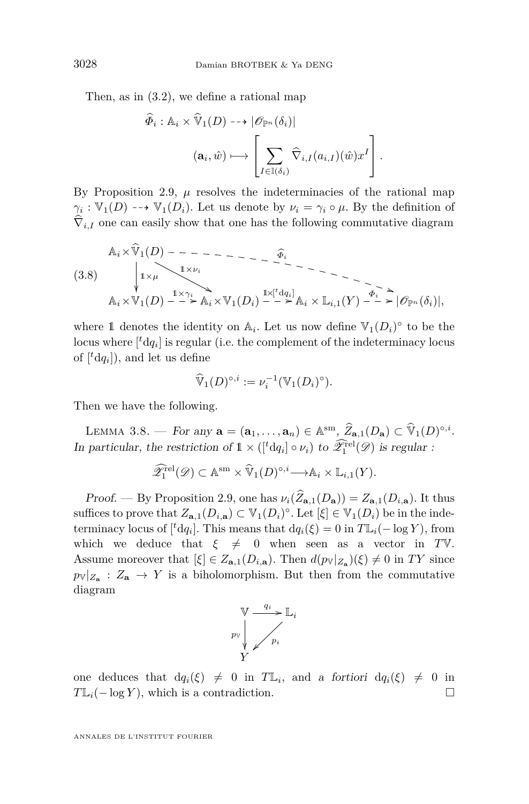Then, as in [\(3.2\)](#page-23-0), we define a rational map

$$
\widehat{\Phi}_i : \mathbb{A}_i \times \widehat{\mathbb{V}}_1(D) \dashrightarrow |\mathscr{O}_{\mathbb{P}^n}(\delta_i)|
$$

$$
(\mathbf{a}_i, \widehat{w}) \longmapsto \left[ \sum_{I \in \mathbb{I}(\delta_i)} \widehat{\nabla}_{i, I}(a_{i, I})(\widehat{w}) x^I \right].
$$

By Proposition [2.9,](#page-16-0)  $\mu$  resolves the indeterminacies of the rational map  $\gamma_i : \mathbb{V}_1(D) \dashrightarrow \mathbb{V}_1(D_i)$ . Let us denote by  $\nu_i = \gamma_i \circ \mu$ . By the definition of  $\nabla_{i,I}$  one can easily show that one has the following commutative diagram

<span id="page-28-0"></span>
$$
\mathbb{A}_{i} \times \widehat{\mathbb{V}}_{1}(D) \quad - \quad - \quad - \quad - \quad - \quad - \quad \widehat{\Phi}_{i}
$$
\n
$$
(3.8) \quad \downarrow_{1 \times \mu} \qquad \downarrow_{1 \times \nu_{i}}
$$
\n
$$
\mathbb{A}_{i} \times \mathbb{V}_{1}(D) \quad \stackrel{1 \times \gamma_{i}}{\text{---} \quad \uparrow \quad \uparrow_{1 \times \mu}} \times \mathbb{V}_{1}(D_{i}) \quad \stackrel{1 \times [^{t} d q_{i}]}{\text{---} \quad \uparrow \quad \uparrow \quad \uparrow_{1 \times \mu}} \mathbb{A}_{i} \times \mathbb{L}_{i,1}(Y) \quad \stackrel{\overline{\phi}_{i} \quad \searrow}{\text{---} \quad \uparrow \quad \uparrow_{1 \times \mu}} \partial_{p_{n}}(\delta_{i})|,
$$

where 1 denotes the identity on  $\mathbb{A}_i$ . Let us now define  $\mathbb{V}_1(D_i)^\circ$  to be the locus where  $\left[ {}^{t}\mathrm{d} q_{i}\right]$  is regular (i.e. the complement of the indeterminacy locus of  $[{}^t \text{d} q_i]$ ), and let us define

$$
\widehat{\mathbb{V}}_1(D)^{\circ,i} := \nu_i^{-1}(\mathbb{V}_1(D_i)^{\circ}).
$$

Then we have the following.

<span id="page-28-1"></span>LEMMA 3.8. — For any  $\mathbf{a} = (\mathbf{a}_1, \dots, \mathbf{a}_n) \in \mathbb{A}^{\text{sm}}, \widehat{Z}_{\mathbf{a},1}(D_{\mathbf{a}}) \subset \widehat{\mathbb{V}}_1(D)^{\circ,i}.$ In particular, the restriction of  $1 \times ( [{}^t dq_i] \circ \nu_i)$  to  $\widehat{\mathscr{L}}_1^{\text{rel}}(\mathscr{D})$  is regular :

$$
\widehat{\mathscr{Z}}_1^{\text{rel}}(\mathscr{D}) \subset \mathbb{A}^{\text{sm}} \times \widehat{\mathbb{V}}_1(D)^{\circ,i} \longrightarrow \mathbb{A}_i \times \mathbb{L}_{i,1}(Y).
$$

Proof. — By Proposition [2.9,](#page-16-0) one has  $\nu_i(\hat{Z}_{\mathbf{a},1}(D_{\mathbf{a}})) = Z_{\mathbf{a},1}(D_{i,\mathbf{a}})$ . It thus suffices to prove that  $Z_{\mathbf{a},1}(D_{i,\mathbf{a}}) \subset \mathbb{V}_1(D_i)^\circ$ . Let  $[\xi] \in \mathbb{V}_1(D_i)$  be in the indeterminacy locus of  $\left[ {}^{t}dq_{i}\right]$ . This means that  $dq_{i}(\xi) = 0$  in  $T\mathbb{L}_{i}(-\log Y)$ , from which we deduce that  $\xi \neq 0$  when seen as a vector in *T*V. Assume moreover that  $[\xi] \in Z_{\mathbf{a},1}(D_{i,\mathbf{a}})$ . Then  $d(p_{\mathbb{V}}|_{Z_{\mathbf{a}}})(\xi) \neq 0$  in TY since  $p_{\mathbb{V}}|_{Z_{\mathbf{a}}} : Z_{\mathbf{a}} \to Y$  is a biholomorphism. But then from the commutative diagram



one deduces that  $dq_i(\xi) \neq 0$  in  $T\mathbb{L}_i$ , and a fortiori  $dq_i(\xi) \neq 0$  in  $T\mathbb{L}_i(-\log Y)$ , which is a contradiction.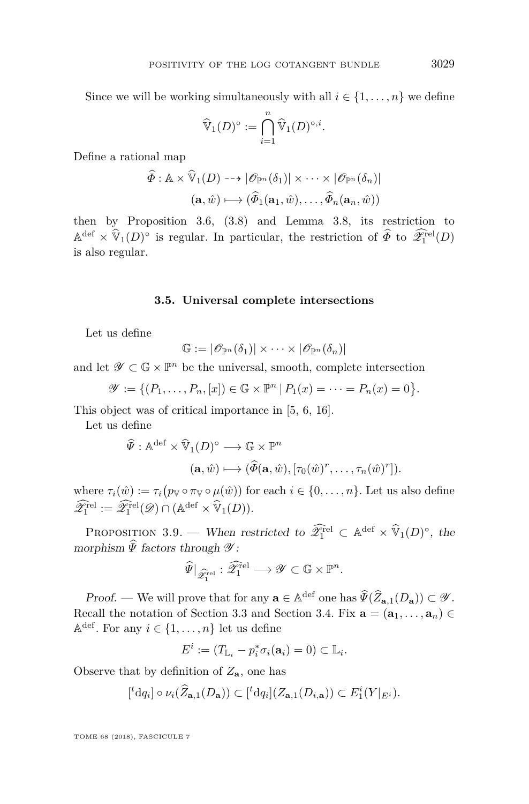Since we will be working simultaneously with all  $i \in \{1, \ldots, n\}$  we define

$$
\widehat{\mathbb{V}}_1(D)^\circ := \bigcap_{i=1}^n \widehat{\mathbb{V}}_1(D)^{\circ,i}.
$$

Define a rational map

$$
\widehat{\Phi}: \mathbb{A} \times \widehat{\mathbb{V}}_1(D) \dashrightarrow |\mathscr{O}_{\mathbb{P}^n}(\delta_1)| \times \cdots \times |\mathscr{O}_{\mathbb{P}^n}(\delta_n)|
$$

$$
(\mathbf{a}, \widehat{w}) \longmapsto (\widehat{\Phi}_1(\mathbf{a}_1, \widehat{w}), \dots, \widehat{\Phi}_n(\mathbf{a}_n, \widehat{w}))
$$

then by Proposition [3.6,](#page-25-0) [\(3.8\)](#page-28-0) and Lemma [3.8,](#page-28-1) its restriction to  $\mathbb{A}^{\text{def}} \times \hat{\mathbb{V}}_1(D)^\circ$  is regular. In particular, the restriction of  $\widehat{\Phi}$  to  $\widehat{\mathscr{Z}}_1^{\text{rel}}(D)$ is also regular.

#### **3.5. Universal complete intersections**

Let us define

$$
\mathbb{G}:=|\mathscr{O}_{\mathbb{P}^n}(\delta_1)|\times\cdots\times|\mathscr{O}_{\mathbb{P}^n}(\delta_n)|
$$

and let  $\mathscr{Y} \subset \mathbb{G} \times \mathbb{P}^n$  be the universal, smooth, complete intersection

$$
\mathscr{Y} := \{ (P_1, \ldots, P_n, [x]) \in \mathbb{G} \times \mathbb{P}^n \, | \, P_1(x) = \cdots = P_n(x) = 0 \}.
$$

This object was of critical importance in [\[5,](#page-49-4) [6,](#page-49-5) [16\]](#page-50-11).

Let us define

$$
\widehat{\Psi}: \mathbb{A}^{\mathrm{def}} \times \widehat{\mathbb{V}}_1(D)^\circ \longrightarrow \mathbb{G} \times \mathbb{P}^n
$$

$$
(\mathbf{a}, \widehat{w}) \longmapsto (\widehat{\Phi}(\mathbf{a}, \widehat{w}), [\tau_0(\widehat{w})^r, \dots, \tau_n(\widehat{w})^r]).
$$

where  $\tau_i(\hat{w}) := \tau_i(p_{\mathbb{V}} \circ \pi_{\mathbb{V}} \circ \mu(\hat{w}))$  for each  $i \in \{0, \ldots, n\}$ . Let us also define  $\widehat{\mathscr{Z}}_1^{\text{rel}} := \widehat{\mathscr{Z}}_1^{\text{rel}}(\mathscr{D}) \cap (\mathbb{A}^{\text{def}} \times \widehat{\mathbb{V}}_1(D)).$ 

<span id="page-29-0"></span>PROPOSITION 3.9. — When restricted to  $\widehat{\mathscr{L}}_1^{\text{rel}} \subset \mathbb{A}^{\text{def}} \times \widehat{V}_1(D)^\circ$ , the morphism  $\widehat{\Psi}$  factors through  $\mathscr{Y}$ :

$$
\widehat{\Psi}|_{\widehat{\mathscr{Z}}^{\textup{rel}}_1} : \widehat{\mathscr{Z}}^{\textup{rel}}_1 \longrightarrow \mathscr{Y} \subset \mathbb{G} \times \mathbb{P}^n.
$$

Proof. — We will prove that for any  $\mathbf{a} \in \mathbb{A}^{\text{def}}$  one has  $\widehat{\Psi}(\widehat{Z}_{\mathbf{a},1}(D_{\mathbf{a}})) \subset \mathcal{Y}$ . Recall the notation of Section [3.3](#page-20-0) and Section [3.4.](#page-22-0) Fix  $\mathbf{a} = (\mathbf{a}_1, \dots, \mathbf{a}_n) \in$  $\mathbb{A}^{\text{def}}$ . For any  $i \in \{1, \ldots, n\}$  let us define

$$
E^i := (T_{\mathbb{L}_i} - p_i^* \sigma_i(\mathbf{a}_i) = 0) \subset \mathbb{L}_i.
$$

Observe that by definition of  $Z_{\mathbf{a}}$ , one has

$$
[{}^t \mathrm{d} q_i] \circ \nu_i(\widehat{Z}_{\mathbf{a},1}(D_{\mathbf{a}})) \subset [{}^t \mathrm{d} q_i](Z_{\mathbf{a},1}(D_{i,\mathbf{a}})) \subset E_1^i(Y|_{E^i}).
$$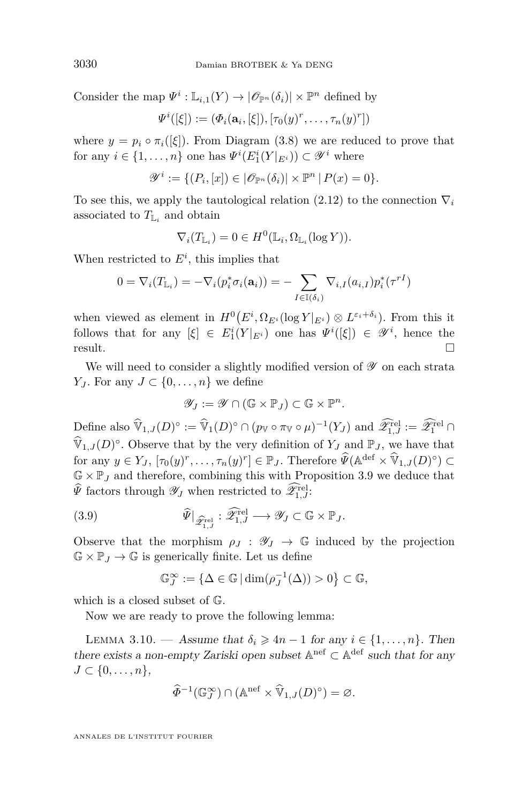Consider the map  $\Psi^i: \mathbb{L}_{i,1}(Y) \to |\mathscr{O}_{\mathbb{P}^n}(\delta_i)| \times \mathbb{P}^n$  defined by

$$
\Psi^i([\xi]):=(\Phi_i(\mathbf{a}_i,[\xi]),[\tau_0(y)^r,\ldots,\tau_n(y)^r])
$$

where  $y = p_i \circ \pi_i([\xi])$ . From Diagram [\(3.8\)](#page-28-0) we are reduced to prove that for any  $i \in \{1, ..., n\}$  one has  $\Psi^{i}(E_1^i(Y|_{E^i})) \subset \mathscr{Y}^i$  where

$$
\mathscr{Y}^i:=\{(P_i,[x])\in |\mathscr{O}_{\mathbb{P}^n}(\delta_i)|\times \mathbb{P}^n\,|\, P(x)=0\}.
$$

To see this, we apply the tautological relation  $(2.12)$  to the connection  $\nabla_i$ associated to  $T_{\mathbb{L}_i}$  and obtain

$$
\nabla_i(T_{\mathbb{L}_i}) = 0 \in H^0(\mathbb{L}_i, \Omega_{\mathbb{L}_i}(\log Y)).
$$

When restricted to  $E^i$ , this implies that

$$
0 = \nabla_i(T_{\mathbb{L}_i}) = -\nabla_i(p_i^*\sigma_i(\mathbf{a}_i)) = -\sum_{I \in \mathbb{I}(\delta_i)} \nabla_{i,I}(a_{i,I}) p_i^*(\tau^{rI})
$$

when viewed as element in  $H^0(E^i, \Omega_{E^i}(\log Y|_{E^i}) \otimes L^{\varepsilon_i + \delta_i})$ . From this it follows that for any  $[\xi] \in E_1^i(Y|_{E^i})$  one has  $\Psi^i([\xi]) \in \mathscr{Y}^i$ , hence the  $r$ esult.

We will need to consider a slightly modified version of  ${\mathscr Y}$  on each strata *Y*<sup>*J*</sup>. For any *J* ⊂ {0, ..., *n*} we define

$$
\mathscr{Y}_J := \mathscr{Y} \cap (\mathbb{G} \times \mathbb{P}_J) \subset \mathbb{G} \times \mathbb{P}^n.
$$

Define also  $\widehat{\mathbb{V}}_{1,J}(D)^\circ := \widehat{\mathbb{V}}_1(D)^\circ \cap (p_\mathbb{V} \circ \pi_\mathbb{V} \circ \mu)^{-1}(Y_J)$  and  $\widehat{\mathscr{X}}_{1,J}^{\text{rel}} := \widehat{\mathscr{X}}_1^{\text{rel}} \cap$  $\widehat{\mathbb{V}}_{1,J}(D)^\circ$ . Observe that by the very definition of  $Y_J$  and  $\mathbb{P}_J$ , we have that for any  $y \in Y_J$ ,  $[\tau_0(y)^r, \ldots, \tau_n(y)^r] \in \mathbb{P}_J$ . Therefore  $\widehat{\Psi}(\mathbb{A}^{\text{def}} \times \widehat{\mathbb{V}}_{1,J}(D)^\circ) \subset$  $\mathbb{G} \times \mathbb{P}_J$  and therefore, combining this with Proposition [3.9](#page-29-0) we deduce that  $\widehat{\Psi}$  factors through  $\mathscr{Y}_J$  when restricted to  $\widehat{\mathscr{Z}}_{1,J}^{\text{rel}}$ :

(3.9) 
$$
\widehat{\Psi}|_{\widehat{\mathscr{Z}}_{1,J}^{\text{rel}}} : \widehat{\mathscr{Z}}_{1,J}^{\text{rel}} \longrightarrow \mathscr{Y}_J \subset \mathbb{G} \times \mathbb{P}_J.
$$

Observe that the morphism  $\rho_J : \mathscr{Y}_J \to \mathbb{G}$  induced by the projection  $\mathbb{G} \times \mathbb{P}_J \to \mathbb{G}$  is generically finite. Let us define

<span id="page-30-0"></span>
$$
\mathbb{G}_J^{\infty} := \{ \Delta \in \mathbb{G} \mid \dim(\rho_J^{-1}(\Delta)) > 0 \} \subset \mathbb{G},
$$

which is a closed subset of G.

Now we are ready to prove the following lemma:

<span id="page-30-1"></span>LEMMA 3.10. — Assume that  $\delta_i \geq 4n - 1$  for any  $i \in \{1, \ldots, n\}$ . Then there exists a non-empty Zariski open subset  $\mathbb{A}^{\text{nef}} \subset \mathbb{A}^{\text{def}}$  such that for any *J* ⊂ {0, . . . , *n* },

$$
\widehat{\Phi}^{-1}(\mathbb{G}_J^{\infty}) \cap (\mathbb{A}^{\text{nef}} \times \widehat{\mathbb{V}}_{1,J}(D)^{\circ}) = \varnothing.
$$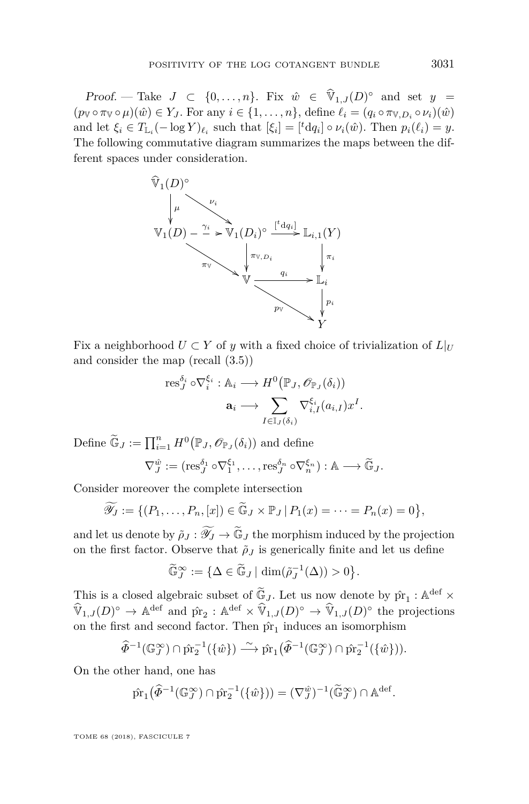Proof. — Take  $J \subset \{0, \ldots, n\}$ . Fix  $\hat{w} \in \hat{\mathbb{V}}_{1,J}(D)^\circ$  and set  $y =$  $(p_{\mathbb{V}} \circ \pi_{\mathbb{V}} \circ \mu)(\hat{w}) \in Y_J$ . For any  $i \in \{1, \ldots, n\}$ , define  $\ell_i = (q_i \circ \pi_{\mathbb{V}, D_i} \circ \nu_i)(\hat{w})$ and let  $\xi_i \in T_{\mathbb{L}_i}(-\log Y)_{\ell_i}$  such that  $[\xi_i] = [{}^t \mathrm{d} q_i] \circ \nu_i(\hat{w})$ . Then  $p_i(\ell_i) = y$ . The following commutative diagram summarizes the maps between the different spaces under consideration.



Fix a neighborhood  $U \subset Y$  of *y* with a fixed choice of trivialization of  $L|_U$ and consider the map (recall [\(3.5\)](#page-24-2))

$$
\mathrm{res}_{J}^{\delta_i} \circ \nabla_i^{\xi_i} : \mathbb{A}_i \longrightarrow H^0(\mathbb{P}_J, \mathscr{O}_{\mathbb{P}_J}(\delta_i))
$$

$$
\mathbf{a}_i \longrightarrow \sum_{I \in \mathbb{I}_J(\delta_i)} \nabla_{i,I}^{\xi_i}(a_{i,I}) x^I.
$$

Define  $\widetilde{\mathbb{G}}_J := \prod_{i=1}^n H^0(\mathbb{P}_J, \mathscr{O}_{\mathbb{P}_J}(\delta_i))$  and define

$$
\nabla_J^{\hat{w}} := (\text{res}_J^{\delta_1} \circ \nabla_1^{\xi_1}, \dots, \text{res}_J^{\delta_n} \circ \nabla_n^{\xi_n}) : \mathbb{A} \longrightarrow \widetilde{\mathbb{G}}_J.
$$

Consider moreover the complete intersection

$$
\widetilde{\mathscr{Y}_J} := \{ (P_1, \ldots, P_n, [x]) \in \widetilde{\mathbb{G}}_J \times \mathbb{P}_J \, | \, P_1(x) = \cdots = P_n(x) = 0 \},
$$

and let us denote by  $\tilde{\rho}_J : \widetilde{\mathscr{Y}}_J \to \widetilde{\mathbb{G}}_J$  the morphism induced by the projection on the first factor. Observe that  $\tilde{\rho}_J$  is generically finite and let us define

$$
\widetilde{\mathbb{G}}_J^{\infty} := {\Delta \in \widetilde{\mathbb{G}}_J \mid \dim(\widetilde{\rho}_J^{-1}(\Delta)) > 0}.
$$

This is a closed algebraic subset of  $\widetilde{\mathfrak{G}}_J$ . Let us now denote by  $\hat{\mathrm{pr}}_1 : \mathbb{A}^{\mathrm{def}} \times$  $\widehat{\mathbb{V}}_{1,J}(D)^\circ \to \mathbb{A}^{\text{def}}$  and  $\hat{\text{pr}}_2 : \mathbb{A}^{\text{def}} \times \widehat{\mathbb{V}}_{1,J}(D)^\circ \to \widehat{\mathbb{V}}_{1,J}(D)^\circ$  the projections on the first and second factor. Then  $\hat{pr}_1$  induces an isomorphism

$$
\widehat{\Phi}^{-1}(\mathbb{G}_J^{\infty}) \cap \widehat{\text{pr}}_2^{-1}(\{\hat{w}\}) \xrightarrow{\sim} \widehat{\text{pr}}_1(\widehat{\Phi}^{-1}(\mathbb{G}_J^{\infty}) \cap \widehat{\text{pr}}_2^{-1}(\{\hat{w}\})).
$$

On the other hand, one has

$$
\hat{\mathrm{pr}}_1(\widehat{\Phi}^{-1}(\mathbb{G}_J^{\infty}) \cap \hat{\mathrm{pr}}_2^{-1}(\{\hat{w}\})) = (\nabla_J^{\hat{w}})^{-1}(\widetilde{\mathbb{G}}_J^{\infty}) \cap \mathbb{A}^{\mathrm{def}}.
$$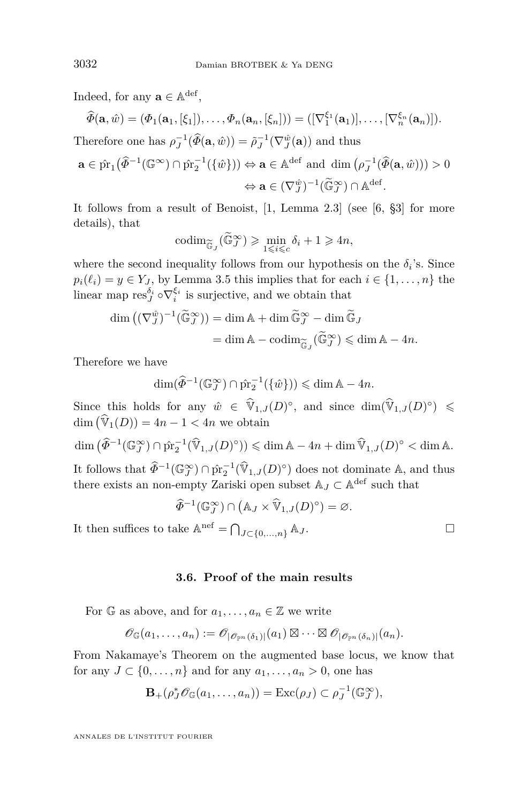Indeed, for any  $\mathbf{a} \in \mathbb{A}^{\text{def}}$ ,

$$
\widehat{\Phi}(\mathbf{a},\hat{w}) = (\Phi_1(\mathbf{a}_1,[\xi_1]),\ldots,\Phi_n(\mathbf{a}_n,[\xi_n])) = ([\nabla_1^{\xi_1}(\mathbf{a}_1)],\ldots,[\nabla_n^{\xi_n}(\mathbf{a}_n)]).
$$

Therefore one has  $\rho_J^{-1}(\widehat{\Phi}(\mathbf{a}, \hat{w})) = \tilde{\rho}_J^{-1}(\nabla_J^{\hat{w}}(\mathbf{a}))$  and thus

$$
\mathbf{a} \in \hat{\mathrm{pr}}_1(\widehat{\varPhi}^{-1}(\mathbb{G}^{\infty}) \cap \hat{\mathrm{pr}}_2^{-1}(\{\hat{w}\})) \Leftrightarrow \mathbf{a} \in \mathbb{A}^{\mathrm{def}} \text{ and } \dim (\rho_J^{-1}(\widehat{\varPhi}(\mathbf{a}, \hat{w}))) > 0
$$

$$
\Leftrightarrow \mathbf{a} \in (\nabla_J^{\hat{w}})^{-1}(\widetilde{\mathbb{G}}_J^{\infty}) \cap \mathbb{A}^{\mathrm{def}}.
$$

It follows from a result of Benoist, [\[1,](#page-49-6) Lemma 2.3] (see [\[6,](#page-49-5) §3] for more details), that

$$
\operatorname{codim}_{\widetilde{\mathbb{G}}_J}(\widetilde{\mathbb{G}}_J^{\infty}) \geqslant \min_{1 \leqslant i \leqslant c} \delta_i + 1 \geqslant 4n,
$$

where the second inequality follows from our hypothesis on the  $\delta_i$ 's. Since  $p_i(\ell_i) = y \in Y_J$ , by Lemma [3.5](#page-24-0) this implies that for each  $i \in \{1, ..., n\}$  the linear map  $\text{res}_{J}^{\delta_i} \circ \nabla_i^{\xi_i}$  is surjective, and we obtain that

$$
\dim\left((\nabla_J^{\hat{w}})^{-1}(\widetilde{\mathbb{G}}_J^{\infty})\right) = \dim \mathbb{A} + \dim \widetilde{\mathbb{G}}_J^{\infty} - \dim \widetilde{\mathbb{G}}_J
$$

$$
= \dim \mathbb{A} - \operatorname{codim}_{\widetilde{\mathbb{G}}_J}(\widetilde{\mathbb{G}}_J^{\infty}) \leqslant \dim \mathbb{A} - 4n.
$$

Therefore we have

$$
\dim(\widehat{\Phi}^{-1}(\mathbb{G}_J^\infty) \cap \widehat{\text{pr}}_2^{-1}(\{\hat{w}\}) ) \leq \dim \mathbb{A} - 4n.
$$

Since this holds for any  $\hat{w} \in \hat{\mathbb{V}}_{1,J}(D)^\circ$ , and since  $\dim(\hat{\mathbb{V}}_{1,J}(D)^\circ) \leq$  $\dim \left( \widehat{\mathbb{V}}_1(D) \right) = 4n - 1 < 4n$  we obtain

 $\dim (\widehat{\Phi}^{-1}(\mathbb{G}_J^\infty) \cap \widehat{\text{pr}}_2^{-1}(\widehat{\mathbb{V}}_{1,J}(D)^\circ)) \leq \dim \mathbb{A} - 4n + \dim \widehat{\mathbb{V}}_{1,J}(D)^\circ < \dim \mathbb{A}.$ It follows that  $\widehat{\Phi}^{-1}(\mathbb{G}_J^{\infty}) \cap \widehat{\text{pr}}_2^{-1}(\widehat{\mathbb{V}}_{1,J}(D)^{\circ})$  does not dominate A, and thus there exists an non-empty Zariski open subset  $\mathbb{A}_J \subset \mathbb{A}^{\mathrm{def}}$  such that

$$
\widehat{\Phi}^{-1}(\mathbb{G}_J^{\infty}) \cap (\mathbb{A}_J \times \widehat{\mathbb{V}}_{1,J}(D)^{\circ}) = \varnothing.
$$

It then suffices to take  $\mathbb{A}^{\text{nef}} = \bigcap_{J \subset \{0,\ldots,n\}} \mathbb{A}_J$ .

#### **3.6. Proof of the main results**

For  $\mathbb{G}$  as above, and for  $a_1, \ldots, a_n \in \mathbb{Z}$  we write

$$
\mathscr{O}_{\mathbb{G}}(a_1,\ldots,a_n):=\mathscr{O}_{|\mathscr{O}_{\mathbb{P}^n}(\delta_1)|}(a_1)\boxtimes\cdots\boxtimes\mathscr{O}_{|\mathscr{O}_{\mathbb{P}^n}(\delta_n)|}(a_n).
$$

From Nakamaye's Theorem on the augmented base locus, we know that for any  $J \subset \{0, \ldots, n\}$  and for any  $a_1, \ldots, a_n > 0$ , one has

$$
\mathbf{B}_{+}(\rho_{J}^{*}\mathscr{O}_{\mathbb{G}}(a_{1},...,a_{n}))=\mathrm{Exc}(\rho_{J})\subset\rho_{J}^{-1}(\mathbb{G}_{J}^{\infty}),
$$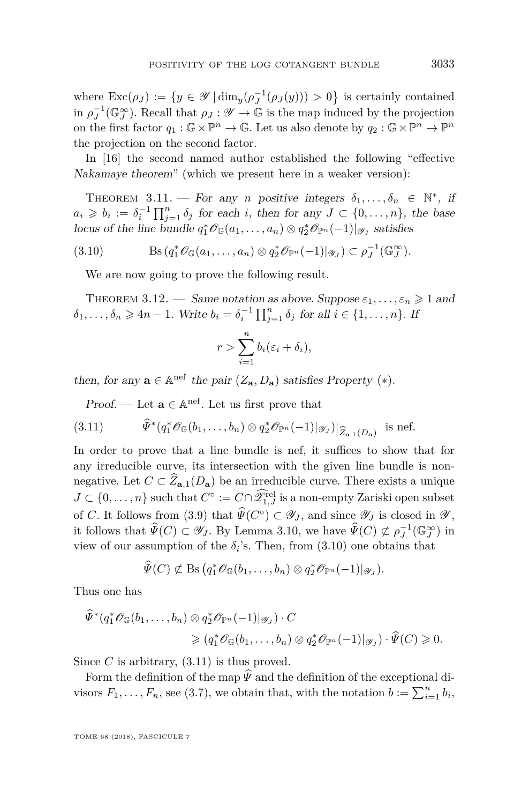where  $\text{Exc}(\rho_J) := \{y \in \mathscr{Y} \mid \dim_y(\rho_J^{-1}(\rho_J(y))) > 0\}$  is certainly contained in  $\rho_J^{-1}(\mathbb{G}_J^{\infty})$ . Recall that  $\rho_J : \mathscr{Y} \to \mathbb{G}$  is the map induced by the projection on the first factor  $q_1 : \mathbb{G} \times \mathbb{P}^n \to \mathbb{G}$ . Let us also denote by  $q_2 : \mathbb{G} \times \mathbb{P}^n \to \mathbb{P}^n$ the projection on the second factor.

In [\[16\]](#page-50-11) the second named author established the following "effective Nakamaye theorem" (which we present here in a weaker version):

THEOREM 3.11. — For any *n* positive integers  $\delta_1, \ldots, \delta_n \in \mathbb{N}^*$ , if  $a_i \geqslant b_i := \delta_i^{-1} \prod_{j=1}^n \delta_j$  for each *i*, then for any  $J \subset \{0, \ldots, n\}$ , the base locus of the line bundle  $q_1^* \mathcal{O}_{\mathbb{G}}(a_1, \ldots, a_n) \otimes q_2^* \mathcal{O}_{\mathbb{P}^n}(-1)|_{\mathscr{Y}_J}$  satisfies

(3.10) Bs (*q* ∗ <sup>1</sup>OG(*a*1*, . . . , an*) ⊗ *q* ∗ <sup>2</sup>O<sup>P</sup>*<sup>n</sup>* (−1)|<sup>Y</sup>*<sup>J</sup>* ) ⊂ *ρ* −1 *J* (G ∞ *J* )*.*

<span id="page-33-0"></span>We are now going to prove the following result.

THEOREM 3.12. — Same notation as above. Suppose  $\varepsilon_1, \ldots, \varepsilon_n \geq 1$  and  $\delta_1, \ldots, \delta_n \geq 4n - 1$ . Write  $b_i = \delta_i^{-1} \prod_{j=1}^n \delta_j$  for all  $i \in \{1, \ldots, n\}$ . If

$$
r > \sum_{i=1}^{n} b_i(\varepsilon_i + \delta_i),
$$

then, for any  $\mathbf{a} \in \mathbb{A}^{\text{nef}}$  the pair  $(Z_{\mathbf{a}}, D_{\mathbf{a}})$  satisfies Property  $(*)$ .

<span id="page-33-1"></span>Proof. — Let  $\mathbf{a} \in \mathbb{A}^{\text{nef}}$ . Let us first prove that

(3.11) 
$$
\widehat{\Psi}^*(q_1^*\mathscr{O}_{\mathbb{G}}(b_1,\ldots,b_n)\otimes q_2^*\mathscr{O}_{\mathbb{P}^n}(-1)|_{\mathscr{Y}_J})|_{\widehat{Z}_{\mathbf{a},1}(D_{\mathbf{a}})} \text{ is nef.}
$$

In order to prove that a line bundle is nef, it suffices to show that for any irreducible curve, its intersection with the given line bundle is nonnegative. Let  $C \subset \widehat{Z}_{\mathbf{a},1}(D_{\mathbf{a}})$  be an irreducible curve. There exists a unique  $J \subset \{0, \ldots, n\}$  such that  $C^{\circ} := C \cap \hat{\mathscr{Z}}_{1,J}^{\text{rel}}$  is a non-empty Zariski open subset of *C*. It follows from [\(3.9\)](#page-30-0) that  $\widehat{\Psi}(C^{\circ}) \subset \mathscr{Y}_J$ , and since  $\mathscr{Y}_J$  is closed in  $\mathscr{Y}$ , it follows that  $\widehat{\Psi}(C) \subset \mathscr{Y}_J$ . By Lemma [3.10,](#page-30-1) we have  $\widehat{\Psi}(C) \not\subset \rho_J^{-1}(\mathbb{G}_J^{\infty})$  in view of our assumption of the  $\delta_i$ 's. Then, from  $(3.10)$  one obtains that

$$
\widehat{\Psi}(C) \not\subset \text{Bs} \big( q_1^* \mathscr{O}_{\mathbb{G}}(b_1, \ldots, b_n) \otimes q_2^* \mathscr{O}_{\mathbb{P}^n}(-1) |_{\mathscr{Y}_J} \big).
$$

Thus one has

$$
\tilde{\Psi}^*(q_1^*\mathscr{O}_{\mathbb{G}}(b_1,\ldots,b_n) \otimes q_2^*\mathscr{O}_{\mathbb{P}^n}(-1)|_{\mathscr{Y}_J}) \cdot C \geq (q_1^*\mathscr{O}_{\mathbb{G}}(b_1,\ldots,b_n) \otimes q_2^*\mathscr{O}_{\mathbb{P}^n}(-1)|_{\mathscr{Y}_J}) \cdot \widehat{\Psi}(C) \geq 0.
$$

Since  $C$  is arbitrary,  $(3.11)$  is thus proved.

Form the definition of the map  $\hat{\Psi}$  and the definition of the exceptional divisors  $F_1, \ldots, F_n$ , see [\(3.7\)](#page-27-1), we obtain that, with the notation  $b := \sum_{i=1}^n b_i$ ,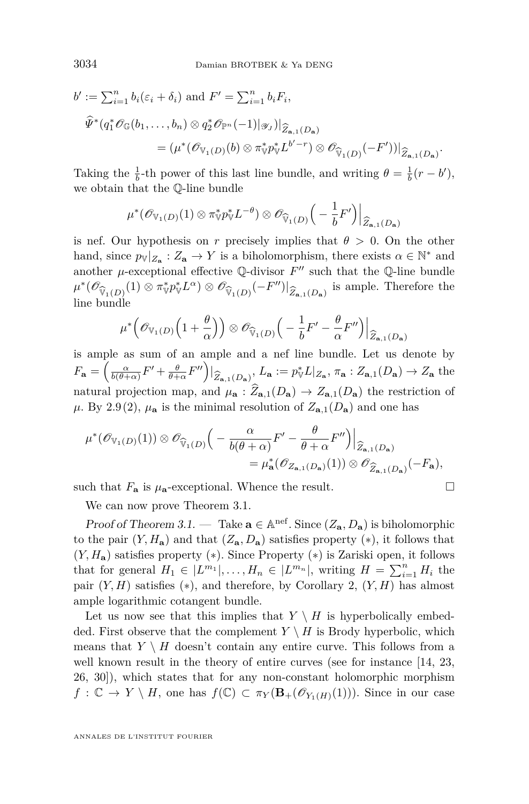$$
b' := \sum_{i=1}^{n} b_i(\varepsilon_i + \delta_i) \text{ and } F' = \sum_{i=1}^{n} b_i F_i,
$$
  

$$
\widehat{\Psi}^*(q_1^* \mathscr{O}_{\mathbb{G}}(b_1, \dots, b_n) \otimes q_2^* \mathscr{O}_{\mathbb{P}^n}(-1)|\mathscr{Y}_J)|_{\widehat{Z}_{\mathbf{a},1}(D_{\mathbf{a}})}
$$
  

$$
= (\mu^*(\mathscr{O}_{\mathbb{V}_1(D)}(b) \otimes \pi_{\mathbb{V}}^* p_{\mathbb{V}}^* L^{b'-r}) \otimes \mathscr{O}_{\widehat{\mathbb{V}}_1(D)}(-F'))|_{\widehat{Z}_{\mathbf{a},1}(D_{\mathbf{a}})}.
$$

Taking the  $\frac{1}{b}$ -th power of this last line bundle, and writing  $\theta = \frac{1}{b}(r - b')$ , we obtain that the Q-line bundle

$$
\mu^*(\mathscr{O}_{\mathbb{V}_1(D)}(1)\otimes \pi^*_{\mathbb{V}} p^*_{\mathbb{V}} L^{-\theta}) \otimes \mathscr{O}_{\widehat{\mathbb{V}}_1(D)}\Big(-\frac{1}{b}F'\Big)\Big|_{\widehat{Z}_{\mathbf{a},1}(D_{\mathbf{a}})}
$$

is nef. Our hypothesis on r precisely implies that  $\theta > 0$ . On the other hand, since  $p_{\mathbb{V}}|_{Z_{\mathbf{a}}}: Z_{\mathbf{a}} \to Y$  is a biholomorphism, there exists  $\alpha \in \mathbb{N}^*$  and another  $\mu$ -exceptional effective  $\mathbb Q$ -divisor  $F''$  such that the  $\mathbb Q$ -line bundle  $\mu^*(\mathscr{O}_{\widehat{V}_1(D)}(1) \otimes \pi^*_{\mathbb{V}} p^*_{\mathbb{V}} L^{\alpha}) \otimes \mathscr{O}_{\widehat{V}_1(D)}(-F'')|_{\widehat{Z}_{\mathbf{a},1}(D_{\mathbf{a}})}$  is ample. Therefore the line bundle

$$
\mu^*\Big(\mathscr{O}_{{\mathbb{V}}_1(D)}\Big(1+\frac{\theta}{\alpha}\Big)\Big)\otimes \mathscr{O}_{\widehat{{\mathbb{V}}}_1(D)}\Big(-\frac{1}{b}F'-\frac{\theta}{\alpha}F''\Big)\Big|_{\widehat{Z}_{{\mathbf{a}},1}(D_{\mathbf{a}})}
$$

is ample as sum of an ample and a nef line bundle. Let us denote by  $F_{\mathbf{a}} = \left(\frac{\alpha}{b(\theta+\alpha)}F' + \frac{\theta}{\theta+\alpha}F''\right)|_{\widehat{Z}_{\mathbf{a},1}(D_{\mathbf{a}})}, L_{\mathbf{a}} := p_{\mathbb{V}}^*L|_{Z_{\mathbf{a}}}, \pi_{\mathbf{a}} : Z_{\mathbf{a},1}(D_{\mathbf{a}}) \to Z_{\mathbf{a}}$  the natural projection map, and  $\mu_{\mathbf{a}} : \hat{Z}_{\mathbf{a},1}(D_{\mathbf{a}}) \to Z_{\mathbf{a},1}(D_{\mathbf{a}})$  the restriction of  $\mu$ . By [2.9](#page-16-0)[\(2\)](#page-16-3),  $\mu_a$  is the minimal resolution of  $Z_{a,1}(D_a)$  and one has

$$
\mu^*(\mathscr{O}_{V_1(D)}(1)) \otimes \mathscr{O}_{\widehat{V}_1(D)}\Big(-\frac{\alpha}{b(\theta+\alpha)}F' - \frac{\theta}{\theta+\alpha}F''\Big)\Big|_{\widehat{Z}_{a,1}(D_a)} \n= \mu_a^*(\mathscr{O}_{Z_{a,1}(D_a)}(1)) \otimes \mathscr{O}_{\widehat{Z}_{a,1}(D_a)}(-F_a),
$$

such that  $F_{\bf a}$  is  $\mu_{\bf a}$ -exceptional. Whence the result.

We can now prove Theorem [3.1.](#page-18-1)

Proof of Theorem [3.1.](#page-18-1) — Take  $\mathbf{a} \in \mathbb{A}^{nef}$ . Since  $(Z_{\mathbf{a}}, D_{\mathbf{a}})$  is biholomorphic to the pair  $(Y, H_a)$  and that  $(Z_a, D_a)$  satisfies property  $(*)$ , it follows that (*Y, H***a**) satisfies property ([∗](#page-17-1)). Since Property ([∗](#page-17-1)) is Zariski open, it follows that for general  $H_1 \in |L^{m_1}|, \ldots, H_n \in |L^{m_n}|$ , writing  $H = \sum_{i=1}^n H_i$  the pair  $(Y, H)$  satisfies  $(*),$  and therefore, by Corollary [2,](#page-17-3)  $(Y, H)$  has almost ample logarithmic cotangent bundle.

Let us now see that this implies that  $Y \setminus H$  is hyperbolically embedded. First observe that the complement  $Y \setminus H$  is Brody hyperbolic, which means that  $Y \setminus H$  doesn't contain any entire curve. This follows from a well known result in the theory of entire curves (see for instance [\[14,](#page-50-15) [23,](#page-50-1) [26,](#page-50-16) [30\]](#page-50-17)), which states that for any non-constant holomorphic morphism  $f: \mathbb{C} \to Y \setminus H$ , one has  $f(\mathbb{C}) \subset \pi_Y(\mathbf{B}_+(\mathscr{O}_{Y_1(H)}(1)))$ . Since in our case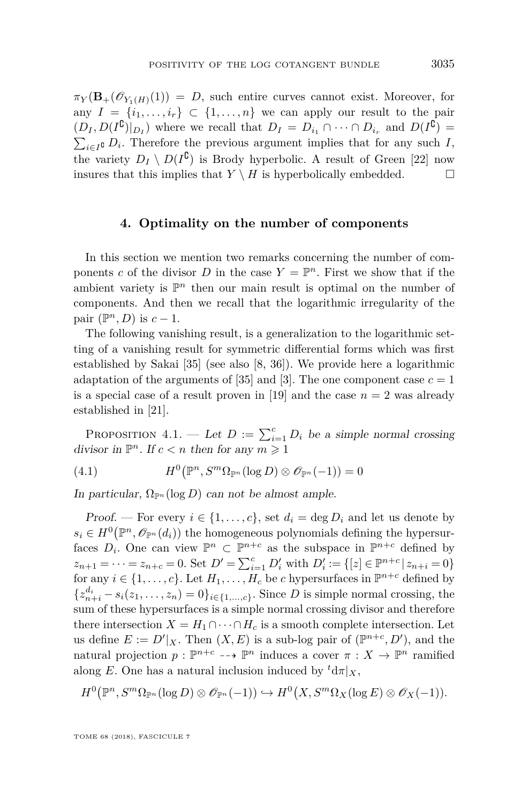$\pi_Y(\mathbf{B}_+(\mathscr{O}_{Y_1(H)}(1)) = D$ , such entire curves cannot exist. Moreover, for any  $I = \{i_1, \ldots, i_r\} \subset \{1, \ldots, n\}$  we can apply our result to the pair  $(D_I, D(I^{\complement})|_{D_I})$  where we recall that  $D_I = D_{i_1} \cap \cdots \cap D_{i_r}$  and  $D(I^{\complement}) =$  $\sum_{i \in I}$ **c** *D*<sub>*i*</sub>. Therefore the previous argument implies that for any such *I*, the variety  $D_I \setminus D(I^{\complement})$  is Brody hyperbolic. A result of Green [\[22\]](#page-50-3) now insures that this implies that  $Y \setminus H$  is hyperbolically embedded.

#### **4. Optimality on the number of components**

<span id="page-35-0"></span>In this section we mention two remarks concerning the number of components *c* of the divisor *D* in the case  $Y = \mathbb{P}^n$ . First we show that if the ambient variety is  $\mathbb{P}^n$  then our main result is optimal on the number of components. And then we recall that the logarithmic irregularity of the pair  $(\mathbb{P}^n, D)$  is  $c - 1$ .

The following vanishing result, is a generalization to the logarithmic setting of a vanishing result for symmetric differential forms which was first established by Sakai [\[35\]](#page-51-9) (see also [\[8,](#page-49-9) [36\]](#page-51-10)). We provide here a logarithmic adaptation of the arguments of [\[35\]](#page-51-9) and [\[3\]](#page-49-10). The one component case  $c = 1$ is a special case of a result proven in [\[19\]](#page-50-18) and the case  $n = 2$  was already established in [\[21\]](#page-50-19).

PROPOSITION 4.1. — Let  $D := \sum_{i=1}^{c} D_i$  be a simple normal crossing divisor in  $\mathbb{P}^n$ . If  $c < n$  then for any  $m \geq 1$ 

(4.1) 
$$
H^{0}(\mathbb{P}^{n}, S^{m}\Omega_{\mathbb{P}^{n}}(\log D) \otimes \mathscr{O}_{\mathbb{P}^{n}}(-1)) = 0
$$

In particular,  $\Omega_{\mathbb{P}^n}(\log D)$  can not be almost ample.

Proof. — For every  $i \in \{1, \ldots, c\}$ , set  $d_i = \deg D_i$  and let us denote by  $s_i \in H^0(\mathbb{P}^n, \mathcal{O}_{\mathbb{P}^n}(d_i))$  the homogeneous polynomials defining the hypersurfaces  $D_i$ . One can view  $\mathbb{P}^n \subset \mathbb{P}^{n+c}$  as the subspace in  $\mathbb{P}^{n+c}$  defined by  $z_{n+1} = \cdots = z_{n+c} = 0$ . Set  $D' = \sum_{i=1}^{c} D'_{i}$  with  $D'_{i} := \{ [z] \in \mathbb{P}^{n+c} | z_{n+i} = 0 \}$ for any  $i \in \{1, \ldots, c\}$ . Let  $H_1, \ldots, H_c$  be *c* hypersurfaces in  $\mathbb{P}^{n+c}$  defined by  ${z}_{n+i}^{d_i} - s_i(z_1, \ldots, z_n) = 0$ ,  $i \in \{1, \ldots, c\}$ . Since *D* is simple normal crossing, the sum of these hypersurfaces is a simple normal crossing divisor and therefore there intersection  $X = H_1 \cap \cdots \cap H_c$  is a smooth complete intersection. Let us define  $E := D'|_X$ . Then  $(X, E)$  is a sub-log pair of  $(\mathbb{P}^{n+c}, D')$ , and the natural projection  $p: \mathbb{P}^{n+c} \dashrightarrow \mathbb{P}^n$  induces a cover  $\pi: X \to \mathbb{P}^n$  ramified along *E*. One has a natural inclusion induced by  ${}^t d\pi|_X$ ,

$$
H^{0}(\mathbb{P}^{n}, S^{m}\Omega_{\mathbb{P}^{n}}(\log D) \otimes \mathscr{O}_{\mathbb{P}^{n}}(-1)) \hookrightarrow H^{0}(X, S^{m}\Omega_{X}(\log E) \otimes \mathscr{O}_{X}(-1)).
$$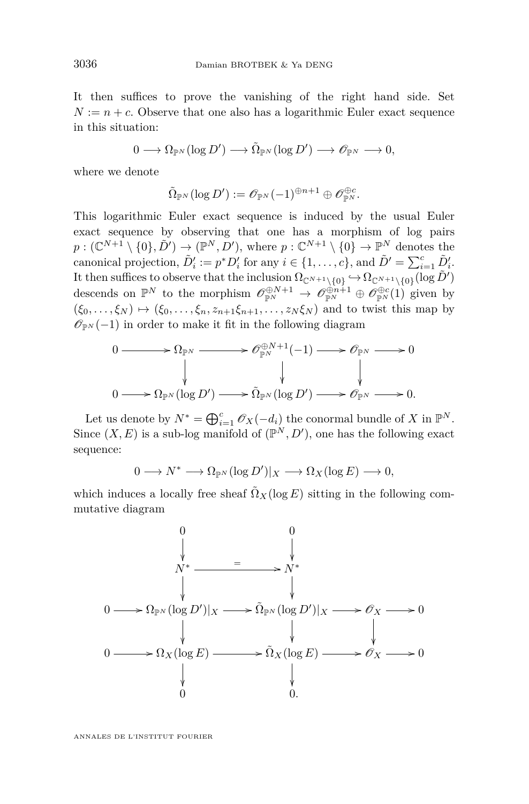It then suffices to prove the vanishing of the right hand side. Set  $N := n + c$ . Observe that one also has a logarithmic Euler exact sequence in this situation:

$$
0\longrightarrow \Omega_{\mathbb{P}^N}(\log D')\longrightarrow \tilde{\Omega}_{\mathbb{P}^N}(\log D')\longrightarrow \mathscr{O}_{\mathbb{P}^N}\longrightarrow 0,
$$

where we denote

$$
\tilde{\Omega}_{\mathbb{P}^N}(\log D'):=\mathscr{O}_{\mathbb{P}^N}(-1)^{\oplus n+1}\oplus \mathscr{O}_{\mathbb{P}^N}^{\oplus c}.
$$

This logarithmic Euler exact sequence is induced by the usual Euler exact sequence by observing that one has a morphism of log pairs  $p: (\mathbb{C}^{N+1} \setminus \{0\}, \tilde{D}') \to (\mathbb{P}^N, D')$ , where  $p: \mathbb{C}^{N+1} \setminus \{0\} \to \mathbb{P}^N$  denotes the canonical projection,  $\tilde{D}'_i := p^* D'_i$  for any  $i \in \{1, ..., c\}$ , and  $\tilde{D}' = \sum_{i=1}^c \tilde{D}'_i$ . It then suffices to observe that the inclusion  $\Omega_{\mathbb{C}^{N+1}\setminus\{0\}} \hookrightarrow \Omega_{\mathbb{C}^{N+1}\setminus\{0\}}(\log \tilde{D}')$ descends on  $\mathbb{P}^N$  to the morphism  $\mathcal{O}_{\mathbb{P}^N}^{\oplus N+1} \to \mathcal{O}_{\mathbb{P}^N}^{\oplus n+1} \oplus \mathcal{O}_{\mathbb{P}^N}^{\oplus c}(1)$  given by  $(\xi_0, \ldots, \xi_N) \mapsto (\xi_0, \ldots, \xi_n, z_{n+1} \xi_{n+1}, \ldots, z_N \xi_N)$  and to twist this map by  $\mathscr{O}_{\mathbb{P}^N}(-1)$  in order to make it fit in the following diagram

$$
0 \longrightarrow \Omega_{\mathbb{P}^N} \longrightarrow \mathscr{O}_{\mathbb{P}^N}^{\oplus N+1}(-1) \longrightarrow \mathscr{O}_{\mathbb{P}^N} \longrightarrow 0
$$
  
\n
$$
\downarrow \qquad \qquad \downarrow
$$
  
\n
$$
0 \longrightarrow \Omega_{\mathbb{P}^N}(\log D') \longrightarrow \tilde{\Omega}_{\mathbb{P}^N}(\log D') \longrightarrow \mathscr{O}_{\mathbb{P}^N} \longrightarrow 0.
$$

Let us denote by  $N^* = \bigoplus_{i=1}^c \mathcal{O}_X(-d_i)$  the conormal bundle of *X* in  $\mathbb{P}^N$ . Since  $(X, E)$  is a sub-log manifold of  $(\mathbb{P}^N, D')$ , one has the following exact sequence:

$$
0\longrightarrow N^*\longrightarrow \Omega_{\mathbb{P}^N}(\log D')|_X\longrightarrow \Omega_X(\log E)\longrightarrow 0,
$$

which induces a locally free sheaf  $\tilde{\Omega}_X(\log E)$  sitting in the following commutative diagram

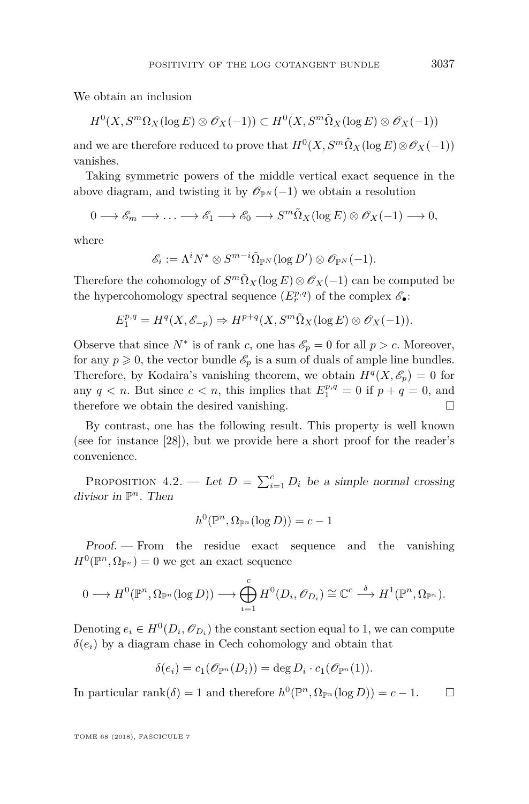We obtain an inclusion

$$
H^0(X, S^m \Omega_X(\log E) \otimes \mathscr{O}_X(-1)) \subset H^0(X, S^m \tilde{\Omega}_X(\log E) \otimes \mathscr{O}_X(-1))
$$

and we are therefore reduced to prove that  $H^0(X, S^m \tilde{\Omega}_X(\log E) \otimes \mathscr{O}_X(-1))$ vanishes.

Taking symmetric powers of the middle vertical exact sequence in the above diagram, and twisting it by  $\mathcal{O}_{\mathbb{P}^N}(-1)$  we obtain a resolution

$$
0 \longrightarrow \mathscr{E}_m \longrightarrow \dots \longrightarrow \mathscr{E}_1 \longrightarrow \mathscr{E}_0 \longrightarrow S^m \tilde{\Omega}_X(\log E) \otimes \mathscr{O}_X(-1) \longrightarrow 0,
$$

where

$$
\mathscr{E}_i:=\Lambda^iN^*\otimes S^{m-i}\tilde{\Omega}_{\mathbb{P}^N}(\log D')\otimes \mathscr{O}_{\mathbb{P}^N}(-1).
$$

Therefore the cohomology of  $S^m\tilde{\Omega}_X(\log E)\otimes \mathscr{O}_X(-1)$  can be computed be the hypercohomology spectral sequence  $(E_r^{p,q})$  of the complex  $\mathscr{E}_{\bullet}$ :

$$
E_1^{p,q} = H^q(X, \mathscr{E}_{-p}) \Rightarrow H^{p+q}(X, S^m \tilde{\Omega}_X(\log E) \otimes \mathscr{O}_X(-1)).
$$

Observe that since  $N^*$  is of rank *c*, one has  $\mathscr{E}_p = 0$  for all  $p > c$ . Moreover, for any  $p \geq 0$ , the vector bundle  $\mathcal{E}_p$  is a sum of duals of ample line bundles. Therefore, by Kodaira's vanishing theorem, we obtain  $H^q(X, \mathscr{E}_p) = 0$  for any  $q < n$ . But since  $c < n$ , this implies that  $E_1^{p,q} = 0$  if  $p + q = 0$ , and therefore we obtain the desired vanishing.

By contrast, one has the following result. This property is well known (see for instance [\[28\]](#page-50-20)), but we provide here a short proof for the reader's convenience.

PROPOSITION 4.2. — Let  $D = \sum_{i=1}^{c} D_i$  be a simple normal crossing divisor in P *<sup>n</sup>*. Then

$$
h^0(\mathbb{P}^n, \Omega_{\mathbb{P}^n}(\log D)) = c - 1
$$

Proof. — From the residue exact sequence and the vanishing  $H^0(\mathbb{P}^n, \Omega_{\mathbb{P}^n}) = 0$  we get an exact sequence

$$
0 \longrightarrow H^0(\mathbb{P}^n, \Omega_{\mathbb{P}^n}(\log D)) \longrightarrow \bigoplus_{i=1}^c H^0(D_i, \mathscr{O}_{D_i}) \cong \mathbb{C}^c \stackrel{\delta}{\longrightarrow} H^1(\mathbb{P}^n, \Omega_{\mathbb{P}^n}).
$$

Denoting  $e_i \in H^0(D_i, \mathcal{O}_{D_i})$  the constant section equal to 1, we can compute  $\delta(e_i)$  by a diagram chase in Cech cohomology and obtain that

$$
\delta(e_i) = c_1(\mathscr{O}_{\mathbb{P}^n}(D_i)) = \deg D_i \cdot c_1(\mathscr{O}_{\mathbb{P}^n}(1)).
$$

In particular rank $(\delta) = 1$  and therefore  $h^0(\mathbb{P}^n, \Omega_{\mathbb{P}^n}(\log D)) = c - 1.$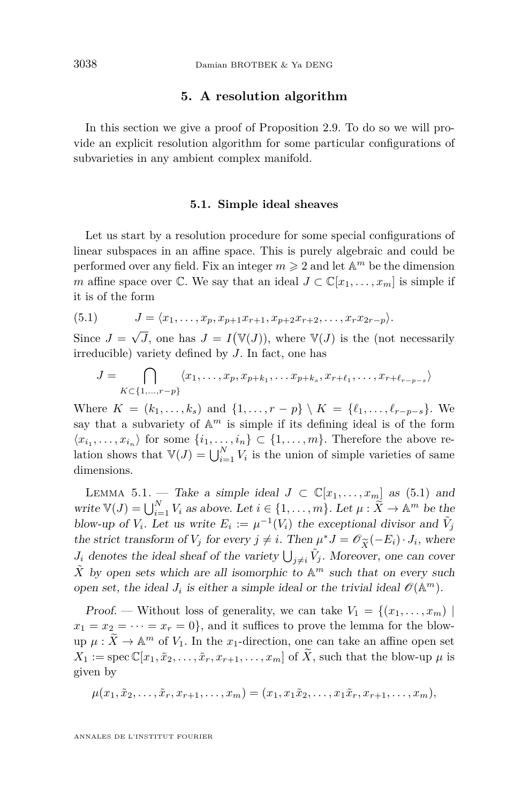#### **5. A resolution algorithm**

<span id="page-38-0"></span>In this section we give a proof of Proposition [2.9.](#page-16-0) To do so we will provide an explicit resolution algorithm for some particular configurations of subvarieties in any ambient complex manifold.

#### **5.1. Simple ideal sheaves**

<span id="page-38-1"></span>Let us start by a resolution procedure for some special configurations of linear subspaces in an affine space. This is purely algebraic and could be performed over any field. Fix an integer  $m \geqslant 2$  and let  $\mathbb{A}^m$  be the dimension *m* affine space over  $\mathbb{C}$ . We say that an ideal  $J \subset \mathbb{C}[x_1,\ldots,x_m]$  is simple if it is of the form

<span id="page-38-2"></span>
$$
(5.1) \t\t J = \langle x_1, \ldots, x_p, x_{p+1}x_{r+1}, x_{p+2}x_{r+2}, \ldots, x_rx_{2r-p} \rangle.
$$

Since  $J =$ √  $\overline{J}$ , one has  $J = I(\mathbb{V}(J))$ , where  $\mathbb{V}(J)$  is the (not necessarily irreducible) variety defined by *J*. In fact, one has

$$
J = \bigcap_{K \subset \{1,\ldots,r-p\}} \langle x_1,\ldots,x_p,x_{p+k_1},\ldots,x_{p+k_s},x_{r+\ell_1},\ldots,x_{r+\ell_{r-p-s}} \rangle
$$

Where  $K = (k_1, \ldots, k_s)$  and  $\{1, \ldots, r - p\} \setminus K = \{\ell_1, \ldots, \ell_{r-p-s}\}.$  We say that a subvariety of  $A^m$  is simple if its defining ideal is of the form  $\langle x_{i_1}, \ldots, x_{i_n} \rangle$  for some  $\{i_1, \ldots, i_n\} \subset \{1, \ldots, m\}$ . Therefore the above relation shows that  $V(J) = \bigcup_{i=1}^{N} V_i$  is the union of simple varieties of same dimensions.

<span id="page-38-3"></span>LEMMA 5.1. — Take a simple ideal  $J \subset \mathbb{C}[x_1,\ldots,x_m]$  as [\(5.1\)](#page-38-2) and write  $\mathbb{V}(J) = \bigcup_{i=1}^{N} V_i$  as above. Let  $i \in \{1, \ldots, m\}$ . Let  $\mu : \widetilde{X} \to \mathbb{A}^m$  be the blow-up of  $V_i$ . Let us write  $E_i := \mu^{-1}(V_i)$  the exceptional divisor and  $\tilde{V}_j$ the strict transform of *V*<sup>*j*</sup> for every  $j \neq i$ . Then  $\mu^* J = \mathcal{O}_{\widetilde{X}}(-E_i) \cdot J_i$ , where  $J_i$  denotes the ideal sheaf of the variety  $| \cdot | \cdot \tilde{V}_i$ . Moreover, one can cover *J*<sup>*i*</sup> denotes the ideal sheaf of the variety  $\bigcup_{j\neq i} \tilde{V}_j$ . Moreover, one can cover  $\tilde{X}$  by open sets which are all isomorphic to  $\mathbb{A}^m$  such that on every such open set, the ideal  $J_i$  is either a simple ideal or the trivial ideal  $\mathcal{O}(\mathbb{A}^m)$ .

Proof. — Without loss of generality, we can take  $V_1 = \{(x_1, \ldots, x_m) \mid$  $x_1 = x_2 = \cdots = x_r = 0$ , and it suffices to prove the lemma for the blow- $\sup \mu : \widetilde{X} \to \mathbb{A}^m$  of  $V_1$ . In the *x*<sub>1</sub>-direction, one can take an affine open set  $X_1 := \operatorname{spec} \mathbb{C}[x_1, \tilde{x}_2, \ldots, \tilde{x}_r, x_{r+1}, \ldots, x_m]$  of  $\tilde{X}$ , such that the blow-up  $\mu$  is given by

$$
\mu(x_1,\tilde{x}_2,\ldots,\tilde{x}_r,x_{r+1},\ldots,x_m)=(x_1,x_1\tilde{x}_2,\ldots,x_1\tilde{x}_r,x_{r+1},\ldots,x_m),
$$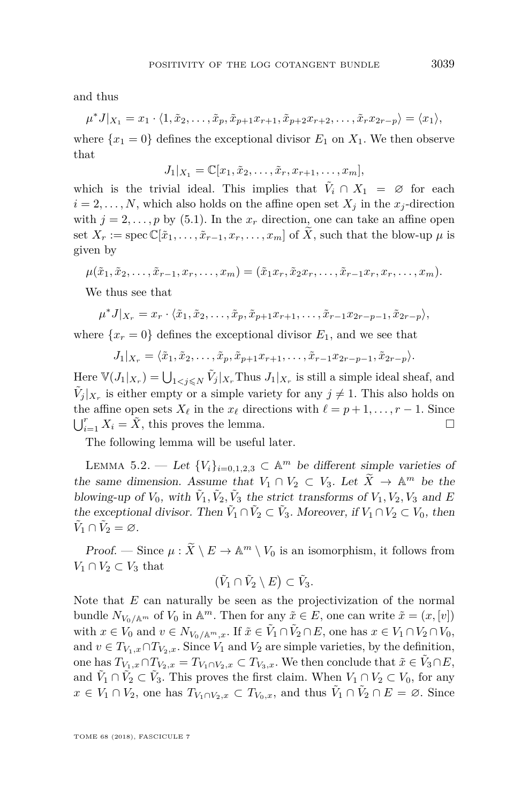and thus

$$
\mu^* J|_{X_1}=x_1\cdot\langle 1,\tilde{x}_2,\ldots,\tilde{x}_p,\tilde{x}_{p+1}x_{r+1},\tilde{x}_{p+2}x_{r+2},\ldots,\tilde{x}_r x_{2r-p}\rangle=\langle x_1\rangle,
$$

where  $\{x_1 = 0\}$  defines the exceptional divisor  $E_1$  on  $X_1$ . We then observe that

$$
J_1|_{X_1} = \mathbb{C}[x_1, \tilde{x}_2, \dots, \tilde{x}_r, x_{r+1}, \dots, x_m],
$$

which is the trivial ideal. This implies that  $\tilde{V}_i \cap X_1 = \emptyset$  for each  $i = 2, \ldots, N$ , which also holds on the affine open set  $X_i$  in the  $x_i$ -direction with  $j = 2, \ldots, p$  by [\(5.1\)](#page-38-2). In the  $x_r$  direction, one can take an affine open set  $X_r := \text{spec } \mathbb{C}[\tilde{x}_1,\ldots,\tilde{x}_{r-1},x_r,\ldots,x_m]$  of  $\tilde{X}$ , such that the blow-up  $\mu$  is given by

$$
\mu(\tilde{x}_1,\tilde{x}_2,\ldots,\tilde{x}_{r-1},x_r,\ldots,x_m)=(\tilde{x}_1x_r,\tilde{x}_2x_r,\ldots,\tilde{x}_{r-1}x_r,x_r,\ldots,x_m).
$$

We thus see that

$$
\mu^* J|_{X_r} = x_r \cdot \langle \tilde{x}_1, \tilde{x}_2, \dots, \tilde{x}_p, \tilde{x}_{p+1} x_{r+1}, \dots, \tilde{x}_{r-1} x_{2r-p-1}, \tilde{x}_{2r-p} \rangle,
$$

where  $\{x_r = 0\}$  defines the exceptional divisor  $E_1$ , and we see that

$$
J_1|_{X_r} = \langle \tilde{x}_1, \tilde{x}_2, \dots, \tilde{x}_p, \tilde{x}_{p+1}x_{r+1}, \dots, \tilde{x}_{r-1}x_{2r-p-1}, \tilde{x}_{2r-p} \rangle.
$$

Here  $\mathbb{V}(J_1|_{X_r}) = \bigcup_{1 \le j \le N} \tilde{V}_j|_{X_r}$  Thus  $J_1|_{X_r}$  is still a simple ideal sheaf, and  $\tilde{V}_j |_{X_r}$  is either empty or a simple variety for any  $j \neq 1$ . This also holds on the affine open sets  $X_\ell$  in the  $x_\ell$  directions with  $\ell = p + 1, \ldots, r - 1$ . Since  $\bigcup_{i=1}^r X_i = \tilde{X}$ , this proves the lemma.

The following lemma will be useful later.

<span id="page-39-0"></span>LEMMA 5.2. — Let  ${V_i}_{i=0,1,2,3} \subset \mathbb{A}^m$  be different simple varieties of the same dimension. Assume that  $V_1 \cap V_2 \subset V_3$ . Let  $\widetilde{X} \to \mathbb{A}^m$  be the blowing-up of  $V_0$ , with  $\tilde{V}_1, \tilde{V}_2, \tilde{V}_3$  the strict transforms of  $V_1, V_2, V_3$  and *E* the exceptional divisor. Then  $\tilde{V}_1 \cap \tilde{V}_2 \subset \tilde{V}_3$ . Moreover, if  $V_1 \cap V_2 \subset V_0$ , then  $\tilde{V}_1 \cap \tilde{V}_2 = \varnothing.$ 

Proof. — Since  $\mu : \widetilde{X} \setminus E \to \mathbb{A}^m \setminus V_0$  is an isomorphism, it follows from  $V_1 \cap V_2 \subset V_3$  that

$$
(\tilde{V}_1 \cap \tilde{V}_2 \setminus E) \subset \tilde{V}_3.
$$

Note that *E* can naturally be seen as the projectivization of the normal bundle  $N_{V_0/\mathbb{A}^m}$  of  $V_0$  in  $\mathbb{A}^m$ . Then for any  $\tilde{x} \in E$ , one can write  $\tilde{x} = (x, [v])$ with  $x \in V_0$  and  $v \in N_{V_0/\mathbb{A}^m,x}$ . If  $\tilde{x} \in \tilde{V}_1 \cap \tilde{V}_2 \cap E$ , one has  $x \in V_1 \cap V_2 \cap V_0$ , and  $v \in T_{V_1,x} \cap T_{V_2,x}$ . Since  $V_1$  and  $V_2$  are simple varieties, by the definition, one has  $T_{V_1,x} \cap T_{V_2,x} = T_{V_1 \cap V_2,x} \subset T_{V_3,x}$ . We then conclude that  $\tilde{x} \in \tilde{V}_3 \cap E$ , and  $\tilde{V}_1 \cap \tilde{V}_2 \subset \tilde{V}_3$ . This proves the first claim. When  $V_1 \cap V_2 \subset V_0$ , for any *x* ∈ *V*<sub>1</sub> ∩ *V*<sub>2</sub>, one has  $T_{V_1 \cap V_2, x}$  ⊂  $T_{V_0, x}$ , and thus  $\tilde{V}_1 \cap \tilde{V}_2 \cap E = \emptyset$ . Since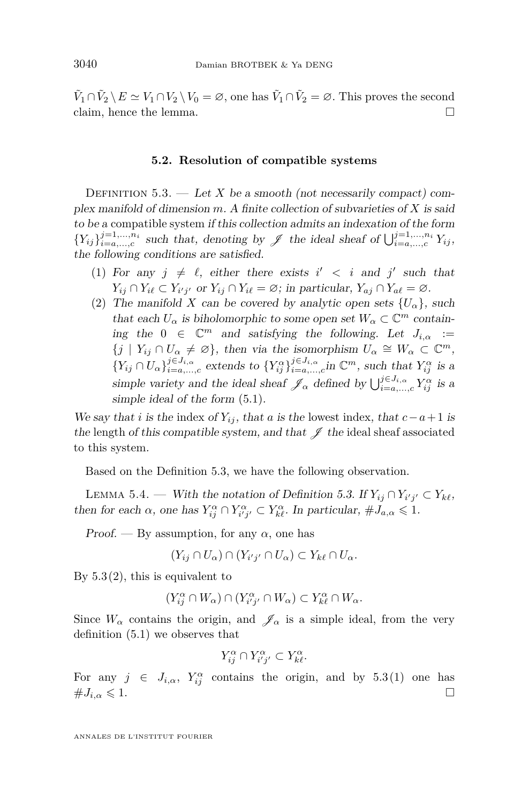$\tilde{V}_1 \cap \tilde{V}_2 \setminus E \simeq V_1 \cap V_2 \setminus V_0 = \emptyset$ , one has  $\tilde{V}_1 \cap \tilde{V}_2 = \emptyset$ . This proves the second claim, hence the lemma.

#### **5.2. Resolution of compatible systems**

<span id="page-40-0"></span>DEFINITION 5.3. — Let X be a smooth (not necessarily compact) complex manifold of dimension *m*. A finite collection of subvarieties of *X* is said to be a compatible system if this collection admits an indexation of the form  $\{Y_{ij}\}_{i=a,\dots,c}^{j=1,\dots,n_i}$  such that, denoting by  $\mathscr{J}$  the ideal sheaf of  $\bigcup_{i=a,\dots,c}^{j=1,\dots,n_i} Y_{ij}$ , the following conditions are satisfied.

- <span id="page-40-2"></span>(1) For any  $j \neq \ell$ , either there exists  $i' < i$  and  $j'$  such that  $Y_{ij} \cap Y_{i\ell} \subset Y_{i'j'}$  or  $Y_{ij} \cap Y_{i\ell} = \emptyset$ ; in particular,  $Y_{aj} \cap Y_{a\ell} = \emptyset$ .
- <span id="page-40-1"></span>(2) The manifold *X* can be covered by analytic open sets  $\{U_{\alpha}\}\$ , such that each  $U_{\alpha}$  is biholomorphic to some open set  $W_{\alpha} \subset \mathbb{C}^m$  containing the  $0 \in \mathbb{C}^m$  and satisfying the following. Let  $J_{i,\alpha} :=$  $\{j \mid Y_{ij} \cap U_\alpha \neq \emptyset\}$ , then via the isomorphism  $U_\alpha \cong W_\alpha \subset \mathbb{C}^m$ ,  $\{Y_{ij} \cap U_{\alpha}\}_{i=a,\dots,c}^{j \in J_{i,\alpha}}$  extends to  $\{Y_{ij}^{\alpha}\}_{i=a,\dots,c}^{j \in J_{i,\alpha}}$  in  $\mathbb{C}^m$ , such that  $Y_{ij}^{\alpha}$  is a simple variety and the ideal sheaf  $\mathscr{J}_{\alpha}$  defined by  $\bigcup_{i=a,\dots,c}^{j\in J_{i,\alpha}} Y_{ij}^{\alpha}$  is a simple ideal of the form [\(5.1\)](#page-38-2).

We say that *i* is the index of  $Y_{ij}$ , that *a* is the lowest index, that  $c - a + 1$  is the length of this compatible system, and that  $\mathscr J$  the ideal sheaf associated to this system.

Based on the Definition [5.3,](#page-40-0) we have the following observation.

<span id="page-40-3"></span>LEMMA 5.4. — With the notation of Definition [5.3.](#page-40-0) If  $Y_{ij} \cap Y_{i'j'} \subset Y_{k\ell}$ , then for each  $\alpha$ , one has  $Y_{ij}^{\alpha} \cap Y_{i'j'}^{\alpha} \subset Y_{k\ell}^{\alpha}$ . In particular,  $\#J_{a,\alpha} \leq 1$ .

Proof. — By assumption, for any  $\alpha$ , one has

 $(Y_{ij} \cap U_\alpha) \cap (Y_{i'j'} \cap U_\alpha) \subset Y_{k\ell} \cap U_\alpha.$ 

By  $5.3(2)$  $5.3(2)$ , this is equivalent to

$$
(Y_{ij}^{\alpha} \cap W_{\alpha}) \cap (Y_{i'j'}^{\alpha} \cap W_{\alpha}) \subset Y_{k\ell}^{\alpha} \cap W_{\alpha}.
$$

Since  $W_{\alpha}$  contains the origin, and  $\mathscr{J}_{\alpha}$  is a simple ideal, from the very definition [\(5.1\)](#page-38-2) we observes that

$$
Y_{ij}^{\alpha} \cap Y_{i'j'}^{\alpha} \subset Y_{k\ell}^{\alpha}.
$$

For any  $j \in J_{i,\alpha}$ ,  $Y_{ij}^{\alpha}$  contains the origin, and by [5.3](#page-40-0)[\(1\)](#page-40-2) one has  $\#J_{i,\alpha} \leqslant 1.$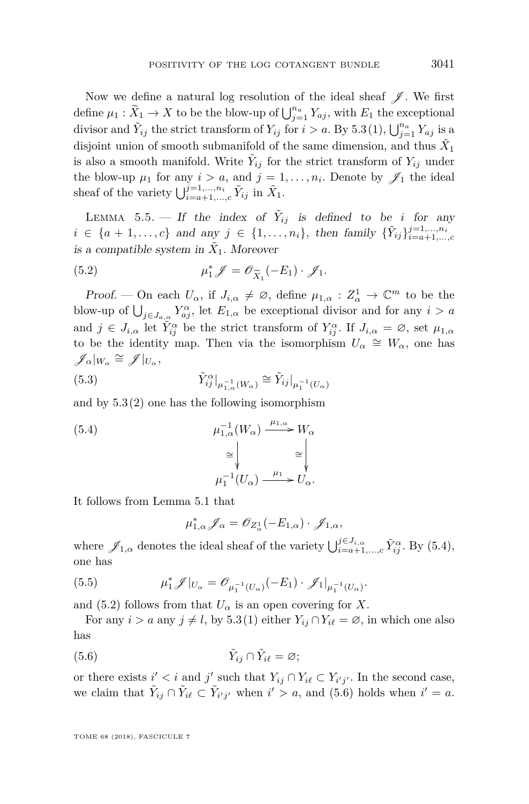Now we define a natural log resolution of the ideal sheaf  $\mathscr{J}$ . We first define  $\mu_1 : \widetilde{X}_1 \to X$  to be the blow-up of  $\bigcup_{j=1}^{n_a} Y_{aj}$ , with  $E_1$  the exceptional divisor and  $\tilde{Y}_{ij}$  the strict transform of  $Y_{ij}$  for  $i > a$ . By [5.3](#page-40-0)[\(1\)](#page-40-2),  $\bigcup_{j=1}^{n_a} Y_{aj}$  is a disjoint union of smooth submanifold of the same dimension, and thus  $\tilde{X}_1$ is also a smooth manifold. Write  $\tilde{Y}_{ij}$  for the strict transform of  $Y_{ij}$  under the blow-up  $\mu_1$  for any  $i > a$ , and  $j = 1, \ldots, n_i$ . Denote by  $\mathscr{J}_1$  the ideal sheaf of the variety  $\bigcup_{i=a+1,\dots,c}^{j=1,\dots,n_i} \tilde{Y}_{ij}$  in  $\tilde{X}_1$ .

<span id="page-41-4"></span>LEMMA 5.5. – If the index of  $\tilde{Y}_{ij}$  is defined to be *i* for any *i* ∈ {*a* + 1,...,*c*} and any *j* ∈ {1,...,*n<sub>i</sub>*}, then family { $\tilde{Y}_{ij}$ } $j_{i=a+1,...,n}^{j=1,...,n_i}$ is a compatible system in  $\tilde{X}_1$ . Moreover

<span id="page-41-1"></span>(5.2) 
$$
\mu_1^* \mathscr{J} = \mathscr{O}_{\widetilde{X}_1}(-E_1) \cdot \mathscr{J}_1.
$$

Proof. — On each  $U_{\alpha}$ , if  $J_{i,\alpha} \neq \emptyset$ , define  $\mu_{1,\alpha}: Z_{\alpha}^1 \to \mathbb{C}^m$  to be the blow-up of  $\bigcup_{j\in J_{a,\alpha}} Y_{aj}^{\alpha}$ , let  $E_{1,\alpha}$  be exceptional divisor and for any  $i > a$ and  $j \in J_{i,\alpha}$  let  $\tilde{Y}_{ij}^{\alpha}$  be the strict transform of  $Y_{ij}^{\alpha}$ . If  $J_{i,\alpha} = \emptyset$ , set  $\mu_{1,\alpha}$ to be the identity map. Then via the isomorphism  $U_{\alpha} \cong W_{\alpha}$ , one has  $\mathscr{J}_\alpha|_{W_\alpha} \cong \mathscr{J}|_{U_\alpha},$ 

<span id="page-41-3"></span>(5.3) 
$$
\tilde{Y}_{ij}^{\alpha}|_{\mu_{1,\alpha}^{-1}(W_{\alpha})} \cong \tilde{Y}_{ij}|_{\mu_{1}^{-1}(U_{\alpha})}
$$

and by  $5.3(2)$  $5.3(2)$  one has the following isomorphism

<span id="page-41-0"></span>(5.4) 
$$
\mu_{1,\alpha}^{-1}(W_{\alpha}) \xrightarrow{\mu_{1,\alpha}} W_{\alpha}
$$

$$
\cong \qquad \qquad \cong \qquad \qquad \cong \qquad \qquad \cong
$$

$$
\mu_1^{-1}(U_{\alpha}) \xrightarrow{\mu_1} U_{\alpha}.
$$

It follows from Lemma [5.1](#page-38-3) that

<span id="page-41-2"></span>
$$
\mu_{1,\alpha}^* \mathscr{J}_\alpha = \mathscr{O}_{Z_\alpha^1}(-E_{1,\alpha}) \cdot \mathscr{J}_{1,\alpha},
$$

where  $\mathscr{J}_{1,\alpha}$  denotes the ideal sheaf of the variety  $\bigcup_{i=a+1,\dots,c}^{j\in J_{i,\alpha}} \tilde{Y}_{ij}^{\alpha}$ . By [\(5.4\)](#page-41-0), one has

(5.5) 
$$
\mu_1^* \mathscr{J}|_{U_{\alpha}} = \mathscr{O}_{\mu_1^{-1}(U_{\alpha})}(-E_1) \cdot \mathscr{J}_1|_{\mu_1^{-1}(U_{\alpha})}.
$$

and [\(5.2\)](#page-41-1) follows from that  $U_{\alpha}$  is an open covering for *X*.

For any  $i > a$  any  $j \neq l$ , by [5.3](#page-40-0)[\(1\)](#page-40-2) either  $Y_{ij} \cap Y_{i\ell} = \emptyset$ , in which one also has

$$
(5.6) \t\t\t \tilde{Y}_{ij} \cap \tilde{Y}_{i\ell} = \varnothing;
$$

or there exists  $i' < i$  and  $j'$  such that  $Y_{ij} \cap Y_{i\ell} \subset Y_{i'j'}$ . In the second case, we claim that  $\tilde{Y}_{ij} \cap \tilde{Y}_{i\ell} \subset \tilde{Y}_{i'j'}$  when  $i' > a$ , and [\(5.6\)](#page-41-2) holds when  $i' = a$ .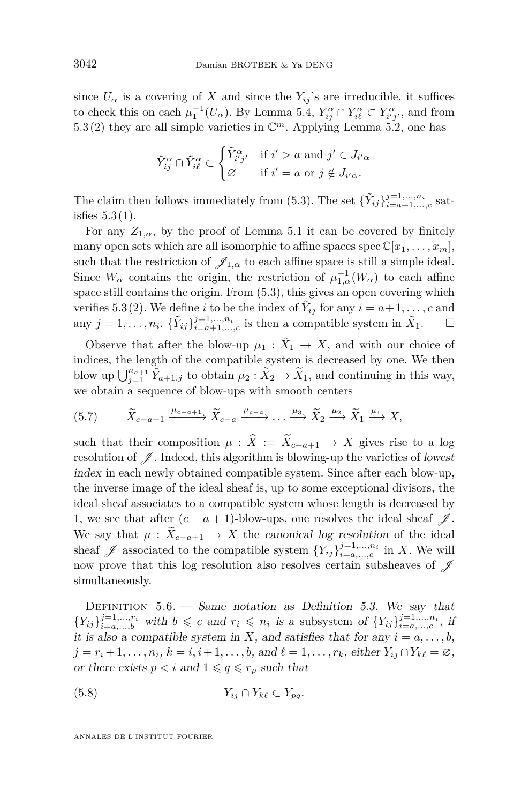since  $U_{\alpha}$  is a covering of *X* and since the  $Y_{ij}$ 's are irreducible, it suffices to check this on each  $\mu_1^{-1}(U_\alpha)$ . By Lemma [5.4,](#page-40-3)  $Y_{ij}^\alpha \cap Y_{i\ell}^\alpha \subset Y_{i'j'}^\alpha$ , and from [5.3](#page-40-0)[\(2\)](#page-40-1) they are all simple varieties in  $\mathbb{C}^m$ . Applying Lemma [5.2,](#page-39-0) one has

$$
\tilde{Y}_{ij}^{\alpha} \cap \tilde{Y}_{i\ell}^{\alpha} \subset \begin{cases} \tilde{Y}_{i'j'}^{\alpha} & \text{if } i' > a \text{ and } j' \in J_{i'\alpha} \\ \varnothing & \text{if } i' = a \text{ or } j \notin J_{i'\alpha}. \end{cases}
$$

The claim then follows immediately from [\(5.3\)](#page-41-3). The set  $\{\tilde{Y}_{ij}\}_{i=a+1,\dots,c}^{j=1,\dots,n_i}$  satisfies  $5.3(1)$  $5.3(1)$ .

For any  $Z_{1,\alpha}$ , by the proof of Lemma [5.1](#page-38-3) it can be covered by finitely many open sets which are all isomorphic to affine spaces spec  $\mathbb{C}[x_1, \ldots, x_m]$ , such that the restriction of  $\mathscr{J}_{1,\alpha}$  to each affine space is still a simple ideal. Since  $W_{\alpha}$  contains the origin, the restriction of  $\mu_{1,\alpha}^{-1}(W_{\alpha})$  to each affine space still contains the origin. From [\(5.3\)](#page-41-3), this gives an open covering which verifies [5.3](#page-40-0)[\(2\)](#page-40-1). We define *i* to be the index of  $\tilde{Y}_{ij}$  for any  $i = a+1, \ldots, c$  and any  $j = 1, \ldots, n_i$ .  $\{\tilde{Y}_{ij}\}_{i=a+1,\ldots,c}^{j=1,\ldots,n_i}$  is then a compatible system in  $\tilde{X}_1$ .  $\Box$ 

Observe that after the blow-up  $\mu_1 : \tilde{X}_1 \to X$ , and with our choice of indices, the length of the compatible system is decreased by one. We then blow up  $\bigcup_{j=1}^{n_{a+1}} \tilde{Y}_{a+1,j}$  to obtain  $\mu_2 : \tilde{X}_2 \to \tilde{X}_1$ , and continuing in this way, we obtain a sequence of blow-ups with smooth centers

<span id="page-42-1"></span>
$$
(5.7) \qquad \widetilde{X}_{c-a+1} \xrightarrow{\mu_{c-a+1}} \widetilde{X}_{c-a} \xrightarrow{\mu_{c-a}} \dots \xrightarrow{\mu_3} \widetilde{X}_2 \xrightarrow{\mu_2} \widetilde{X}_1 \xrightarrow{\mu_1} X,
$$

such that their composition  $\mu$  :  $\hat{X} := \tilde{X}_{c-a+1} \to X$  gives rise to a log resolution of  $\mathscr J$ . Indeed, this algorithm is blowing-up the varieties of lowest index in each newly obtained compatible system. Since after each blow-up, the inverse image of the ideal sheaf is, up to some exceptional divisors, the ideal sheaf associates to a compatible system whose length is decreased by 1, we see that after  $(c - a + 1)$ -blow-ups, one resolves the ideal sheaf  $\mathscr{J}$ . We say that  $\mu$  :  $\widetilde{X}_{c-a+1} \to X$  the canonical log resolution of the ideal sheaf  $\mathscr J$  associated to the compatible system  $\{Y_{ij}\}_{i=a,\dots,c}^{j=1,\dots,n_i}$  in *X*. We will now prove that this log resolution also resolves certain subsheaves of  $\mathscr I$ simultaneously.

<span id="page-42-0"></span>DEFINITION  $5.6.$  — Same notation as Definition [5.3.](#page-40-0) We say that  ${Y_{ij}}_{i=a,...,b}^{j=1,...,n_i}$  with  $b \leqslant c$  and  $r_i \leqslant n_i$  is a subsystem of  ${Y_{ij}}_{i=a,...,c}^{j=1,...,n_i}$ , if it is also a compatible system in *X*, and satisfies that for any  $i = a, \ldots, b$ ,  $j = r_i + 1, \ldots, n_i, k = i, i + 1, \ldots, b$ , and  $\ell = 1, \ldots, r_k$ , either  $Y_{ij} \cap Y_{k\ell} = \emptyset$ , or there exists  $p < i$  and  $1 \leqslant q \leqslant r_p$  such that

$$
(5.8) \t\t Y_{ij} \cap Y_{k\ell} \subset Y_{pq}.
$$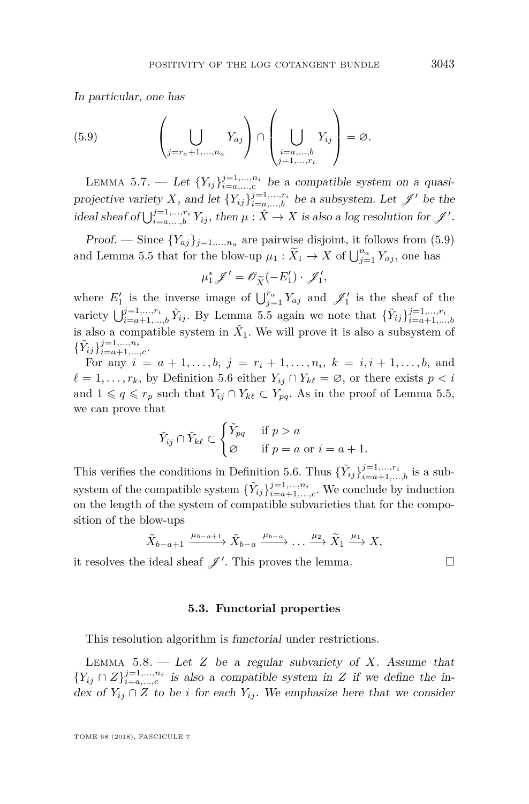In particular, one has

<span id="page-43-0"></span>(5.9) 
$$
\left(\bigcup_{j=r_a+1,\ldots,n_a} Y_{aj}\right) \cap \left(\bigcup_{\substack{i=a,\ldots,b\\j=1,\ldots,r_i}} Y_{ij}\right) = \varnothing.
$$

<span id="page-43-1"></span>LEMMA 5.7. — Let  ${Y_{ij}}_{i=a,...,c}^{j=1,...,n_i}$  be a compatible system on a quasiprojective variety *X*, and let  $\{Y_{ij}\}_{i=a,\dots,b}^{j=1,\dots,r_i}$  be a subsystem. Let  $\mathscr{J}'$  be the ideal sheaf of  $\bigcup_{i=a,\dots,b}^{j=1,\dots,r_i} Y_{ij}$ , then  $\mu : \hat{X} \to X$  is also a log resolution for  $\mathscr{J}'$ .

Proof. — Since  $\{Y_{aj}\}_{j=1,\ldots,n_a}$  are pairwise disjoint, it follows from [\(5.9\)](#page-43-0) and Lemma [5.5](#page-41-4) that for the blow-up  $\mu_1 : \widetilde{X}_1 \to X$  of  $\bigcup_{j=1}^{n_a} Y_{aj}$ , one has

$$
\mu_1^*\mathscr{J}'=\mathscr{O}_{\widetilde{X}}(-E_1')\cdot \mathscr{J}_1',
$$

 $\mu_1^* \mathscr{J}' = \mathscr{O}_{\widetilde{X}}(-E'_1) \cdot \mathscr{J}'_1,$ <br>where  $E'_1$  is the inverse image of  $\bigcup_{j=1}^{r_a} Y_{aj}$  and  $\mathscr{J}'_1$  is the sheaf of the variety  $\bigcup_{i=a+1,\dots,b}^{j=1,\dots,r_i} \tilde{Y}_{ij}$ . By Lemma [5.5](#page-41-4) again we note that  $\{\tilde{Y}_{ij}\}_{i=a+1,\dots,b}^{j=1,\dots,r_i}$ is also a compatible system in  $\tilde{X}_1$ . We will prove it is also a subsystem of  ${\{\tilde{Y}_{ij}\}}_{i=a+1,\ldots,c}^{j=1,\ldots,n_i}$ .

For any  $i = a + 1, \ldots, b, j = r_i + 1, \ldots, n_i, k = i, i + 1, \ldots, b$ , and  $\ell = 1, \ldots, r_k$ , by Definition [5.6](#page-42-0) either  $Y_{ij} \cap Y_{k\ell} = \emptyset$ , or there exists  $p < i$ and  $1 \leq q \leq r_p$  such that  $Y_{ij} \cap Y_{k\ell} \subset Y_{pq}$ . As in the proof of Lemma [5.5,](#page-41-4) we can prove that

$$
\tilde{Y}_{ij} \cap \tilde{Y}_{k\ell} \subset \begin{cases} \tilde{Y}_{pq} & \text{if } p > a \\ \varnothing & \text{if } p = a \text{ or } i = a + 1. \end{cases}
$$

This verifies the conditions in Definition [5.6.](#page-42-0) Thus  $\{\tilde{Y}_{ij}\}_{i=a+1,\ldots,b}^{j=1,\ldots,r_i}$  is a subsystem of the compatible system  $\{\tilde{Y}_{ij}\}_{i=a+1,\dots,c}^{j=1,\dots,n_i}$ . We conclude by induction on the length of the system of compatible subvarieties that for the composition of the blow-ups

$$
\tilde{X}_{b-a+1} \xrightarrow{\mu_{b-a+1}} \tilde{X}_{b-a} \xrightarrow{\mu_{b-a}} \dots \xrightarrow{\mu_2} \tilde{X}_1 \xrightarrow{\mu_1} X,
$$

it resolves the ideal sheaf  $\mathscr{J}'$ . This proves the lemma.

#### **5.3. Functorial properties**

This resolution algorithm is functorial under restrictions.

<span id="page-43-2"></span>LEMMA  $5.8.$  — Let  $Z$  be a regular subvariety of  $X$ . Assume that  ${Y_{ij} \cap Z}_{i=a,...,c}^{j=1,...,n_i}$  is also a compatible system in *Z* if we define the index of  $Y_{ij} \cap Z$  to be *i* for each  $Y_{ij}$ . We emphasize here that we consider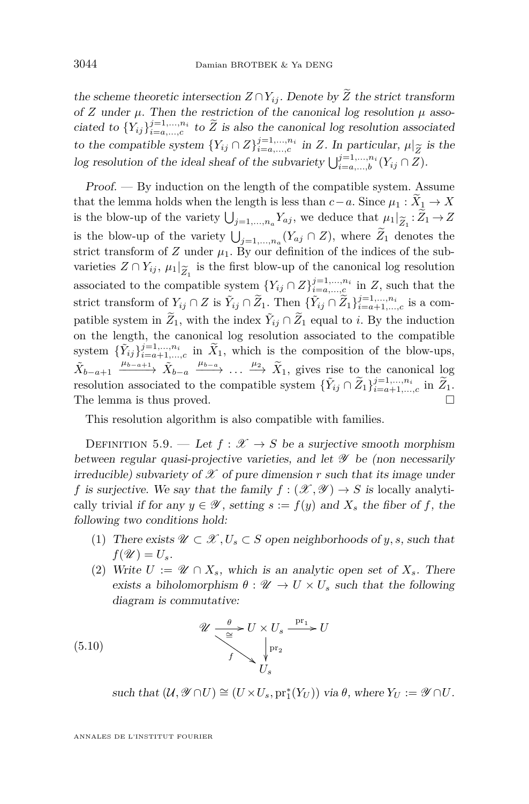the scheme theoretic intersection  $Z \cap Y_{ij}$ . Denote by  $\widetilde{Z}$  the strict transform of *Z* under  $\mu$ . Then the restriction of the canonical log resolution  $\mu$  associated to  ${Y_{ij}}\}_{i=a,...,c}^{j=1,...,n_i}$  to  $\widetilde{Z}$  is also the canonical log resolution associated to the compatible system  ${Y_{ij} \cap Z}^{j=1,...,n_i}_{i=a,...,c}$  in *Z*. In particular,  $\mu|_{\widetilde{Z}}$  is the  $\log$  resolution of the ideal sheaf of the subvariety  $\bigcup_{i=a,\dots,b}^{j=1,\dots,n_i} (Y_{ij} \cap Z)$ .

Proof. — By induction on the length of the compatible system. Assume that the lemma holds when the length is less than  $c-a$ . Since  $\mu_1 : \widetilde{X}_1 \to X$ is the blow-up of the variety  $\bigcup_{j=1,\dots,n_a} Y_{aj}$ , we deduce that  $\mu_1|_{\widetilde{Z}_1}: Z_1 \to Z$ is the blow-up of the variety  $\bigcup_{j=1,\dots,n_a}(Y_{aj} \cap Z)$ , where  $\widetilde{Z}_1$  denotes the strict transform of  $Z$  under  $\mu_1$ . By our definition of the indices of the subvarieties  $Z \cap Y_{ij}$ ,  $\mu_1|_{\widetilde{Z}_i}$  is the first blow-up of the canonical log resolution associated to the compatible system  $\{Y_{ij} \cap Z\}_{i=a,\dots,n}^{j=1,\dots,n_i}$  in *Z*, such that the strict transform of  $Y_{ij} \cap Z$  is  $\tilde{Y}_{ij} \cap \tilde{Z}_1$ . Then  $\{\tilde{Y}_{ij} \cap \tilde{Z}_1\}_{i=a+1,\dots,c}^{j=1,\dots,n_i}$  is a compatible system in  $\widetilde{Z}_1$ , with the index  $\widetilde{Y}_{ij} \cap \widetilde{Z}_1$  equal to *i*. By the induction on the length, the canonical log resolution associated to the compatible system  $\{\tilde{Y}_{ij}\}_{i=a+1,\dots,c}^{j=1,\dots,n_i}$  in  $\tilde{X}_1$ , which is the composition of the blow-ups,  $\tilde{X}_{b-a+1} \xrightarrow{\mu_{b-a+1}} \tilde{X}_{b-a} \xrightarrow{\mu_{b-a}} \ldots \xrightarrow{\mu_2} \tilde{X}_1$ , gives rise to the canonical log resolution associated to the compatible system  $\{\tilde{Y}_{ij} \cap \tilde{Z}_1\}_{i=a+1,\dots,c}^{j=1,\dots,n_i}$  in  $\tilde{Z}_1$ . The lemma is thus proved.

This resolution algorithm is also compatible with families.

<span id="page-44-0"></span>DEFINITION 5.9. — Let  $f : \mathcal{X} \to S$  be a surjective smooth morphism between regular quasi-projective varieties, and let  $\mathscr Y$  be (non necessarily irreducible) subvariety of  $\mathscr X$  of pure dimension  $r$  such that its image under *f* is surjective. We say that the family  $f : (\mathcal{X}, \mathcal{Y}) \to S$  is locally analytically trivial if for any  $y \in \mathcal{Y}$ , setting  $s := f(y)$  and  $X_s$  the fiber of f, the following two conditions hold:

- (1) There exists  $\mathscr{U} \subset \mathscr{X}, U_s \subset S$  open neighborhoods of *y*, *s*, such that  $f(\mathscr{U}) = U_s$ .
- <span id="page-44-1"></span>(2) Write  $U := \mathscr{U} \cap X_s$ , which is an analytic open set of  $X_s$ . There exists a biholomorphism  $\theta : \mathscr{U} \to U \times U_s$  such that the following diagram is commutative:

(5.10) 
$$
\mathcal{U} \xrightarrow{0} U \times U_s \xrightarrow{\mathrm{pr}_1} U
$$

$$
f \xrightarrow{\downarrow} U_s
$$

$$
U_s
$$

 $\text{such that } (\mathcal{U}, \mathscr{Y} \cap U) \cong (U \times U_s, \text{pr}_1^*(Y_U)) \text{ via } \theta, \text{ where } Y_U := \mathscr{Y} \cap U.$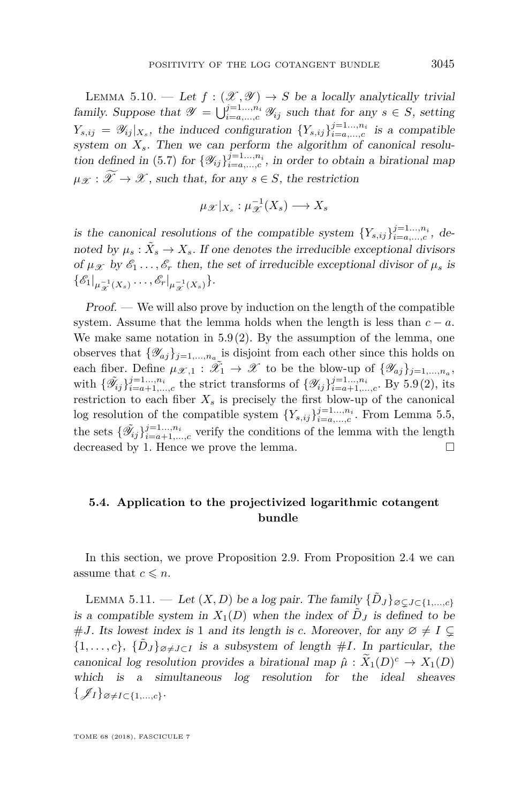<span id="page-45-2"></span>LEMMA 5.10. — Let  $f : (\mathcal{X}, \mathcal{Y}) \to S$  be a locally analytically trivial family. Suppose that  $\mathscr{Y} = \bigcup_{i=a,\dots,c}^{j=1\dots,n_i} \mathscr{Y}_{ij}$  such that for any  $s \in S$ , setting  $Y_{s,ij} = \mathscr{Y}_{ij}|_{X_s}$ , the induced configuration  $\{Y_{s,ij}\}_{i=a,\dots,c}^{j=1,\dots,n_i}$  is a compatible system on  $X_s$ . Then we can perform the algorithm of canonical resolu-tion defined in [\(5.7\)](#page-42-1) for  $\{\mathscr{Y}_{ij}\}_{i=a,\dots,c}^{j=1\dots,n_i}$ , in order to obtain a birational map  $\mu_{\mathscr{X}}:\mathscr{X}\to\mathscr{X}$ , such that, for any  $s\in S$ , the restriction

$$
\mu_{\mathscr{X}}|_{X_s} : \mu_{\mathscr{X}}^{-1}(X_s) \longrightarrow X_s
$$

is the canonical resolutions of the compatible system  $\{Y_{s,ij}\}_{i=a,\dots,c}^{j=1\ldots,n_i}$ , denoted by  $\mu_s : \tilde{X}_s \to X_s$ . If one denotes the irreducible exceptional divisors of  $\mu_{\mathcal{X}}$  by  $\mathcal{E}_1 \ldots, \mathcal{E}_r$  then, the set of irreducible exceptional divisor of  $\mu_s$  is  $\{\mathscr{E}_1|_{\mu_{\mathscr{X}}^{-1}(X_s)}\ldots,\mathscr{E}_r|_{\mu_{\mathscr{X}}^{-1}(X_s)}\}.$ 

Proof. — We will also prove by induction on the length of the compatible system. Assume that the lemma holds when the length is less than  $c - a$ . We make same notation in  $5.9(2)$  $5.9(2)$ . By the assumption of the lemma, one observes that  $\{\mathscr{Y}_{aj}\}_{j=1,\ldots,n_a}$  is disjoint from each other since this holds on each fiber. Define  $\mu_{\mathscr{X},1} : \tilde{\mathscr{X}}_1 \to \mathscr{X}$  to be the blow-up of  $\{\mathscr{Y}_{aj}\}_{j=1,\dots,n_a}$ , with  $\{\tilde{\mathscr{Y}}_{ij}\}_{i=a+1,...,c}^{j=1...,n_i}$  the strict transforms of  $\{\mathscr{Y}_{ij}\}_{i=a+1,...,c}^{j=1...,n_i}$ . By [5.9](#page-44-0)[\(2\)](#page-44-1), its restriction to each fiber  $X_s$  is precisely the first blow-up of the canonical log resolution of the compatible system  $\{Y_{s,ij}\}_{i=a,\dots,c}^{j=1\dots,n_i}$ . From Lemma [5.5,](#page-41-4) the sets  $\{\tilde{\mathscr{Y}}_{ij}\}_{i=a+1,\dots,c}^{j=1\dots,n_i}$  verify the conditions of the lemma with the length decreased by 1. Hence we prove the lemma.

#### <span id="page-45-0"></span>**5.4. Application to the projectivized logarithmic cotangent bundle**

In this section, we prove Proposition [2.9.](#page-16-0) From Proposition [2.4](#page-12-2) we can assume that  $c \leq n$ .

<span id="page-45-1"></span>LEMMA 5.11. — Let  $(X, D)$  be a log pair. The family  $\{\tilde{D}_J\}_{\emptyset \subsetneq J \subset \{1, ..., c\}}$ is a compatible system in  $X_1(D)$  when the index of  $D_J$  is defined to be #*J*. Its lowest index is 1 and its length is *c*. Moreover, for any  $\emptyset \neq I \subsetneq$  $\{1, \ldots, c\}, \{\tilde{D}_J\}_{\varnothing \neq J \subset I}$  is a subsystem of length #*I*. In particular, the canonical log resolution provides a birational map  $\hat{\mu}: X_1(D)^c \to X_1(D)$ which is a simultaneous log resolution for the ideal sheaves  $\{\mathscr{J}_I\}_{\emptyset \neq I \subset \{1,\dots,c\}}$ .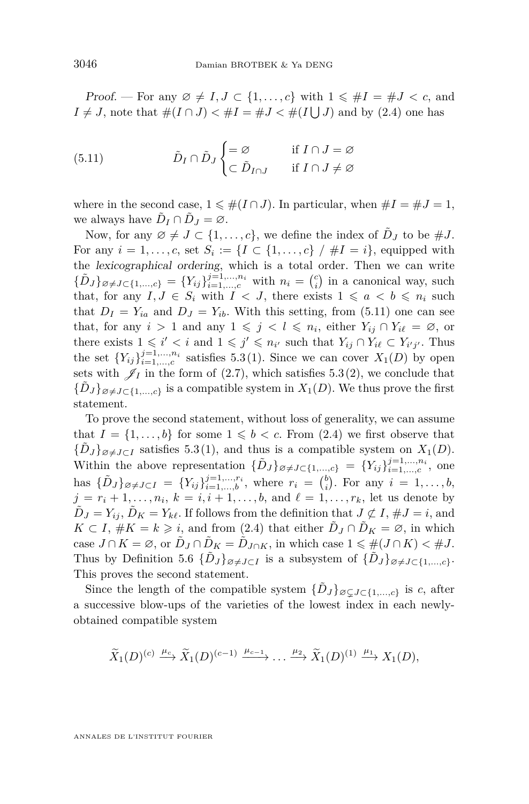Proof. — For any  $\emptyset \neq I, J \subset \{1, \ldots, c\}$  with  $1 \leq \#I = \#J < c$ , and  $I \neq J$ , note that  $\#(I \cap J) < \#I = \#J < \#(I \cup J)$  and by [\(2.4\)](#page-9-1) one has

<span id="page-46-0"></span>(5.11) 
$$
\tilde{D}_I \cap \tilde{D}_J \begin{cases} = \varnothing & \text{if } I \cap J = \varnothing \\ \subset \tilde{D}_{I \cap J} & \text{if } I \cap J \neq \varnothing \end{cases}
$$

where in the second case,  $1 \leq \#(I \cap J)$ . In particular, when  $\#I = \#J = 1$ , we always have  $\tilde{D}_I \cap \tilde{D}_J = \varnothing$ .

Now, for any  $\emptyset \neq J \subset \{1, \ldots, c\}$ , we define the index of  $\tilde{D}_J$  to be  $\#J$ . For any  $i = 1, \ldots, c$ , set  $S_i := \{I \subset \{1, \ldots, c\} \mid \#I = i\}$ , equipped with the lexicographical ordering, which is a total order. Then we can write  ${\lbrace \tilde{D}_J \rbrace_{\varnothing \neq J \subset \{1,\dots,c\}} = {\lbrace Y_{ij} \rbrace_{i=1,\dots,c}^{j=1,\dots,n_i}}$  with  $n_i = {c \choose i}$  in a canonical way, such that, for any  $I, J \in S_i$  with  $I \leq J$ , there exists  $1 \leq a \leq b \leq n_i$  such that  $D_I = Y_{ia}$  and  $D_J = Y_{ib}$ . With this setting, from [\(5.11\)](#page-46-0) one can see that, for any  $i > 1$  and any  $1 \leq j < l \leq n_i$ , either  $Y_{ij} \cap Y_{i\ell} = \emptyset$ , or there exists  $1 \leq i' < i$  and  $1 \leq j' \leq n_{i'}$  such that  $Y_{ij} \cap Y_{i\ell} \subset Y_{i'j'}$ . Thus the set  ${Y_{ij}}_{i=1,\ldots,c}^{j=1,\ldots,n_i}$  satisfies [5.3](#page-40-0)[\(1\)](#page-40-2). Since we can cover  $X_1(D)$  by open sets with  $\mathscr{J}_I$  in the form of [\(2.7\)](#page-11-0), which satisfies [5.3](#page-40-0)[\(2\)](#page-40-1), we conclude that  ${\lbrace \tilde{D}_J \rbrace_{\varnothing \neq J \subset \lbrace 1,...,c \rbrace}}$  is a compatible system in  $X_1(D)$ . We thus prove the first statement.

To prove the second statement, without loss of generality, we can assume that  $I = \{1, \ldots, b\}$  for some  $1 \leq b < c$ . From  $(2.4)$  we first observe that  ${\lbrace \tilde{D}_J \rbrace_{\varnothing \neq J \subset I}}$  satisfies [5.3](#page-40-0)[\(1\)](#page-40-2), and thus is a compatible system on  $X_1(D)$ . Within the above representation  ${\{\tilde{D}_J\}_{\varnothing \neq J \subset \{1,\ldots,c\}}} = {\{Y_{ij}\}}_{i=1,\ldots,c}^{j=1,\ldots,n_i}$ , one has  $\{\tilde{D}_J\}_{\emptyset \neq J \subset I} = \{Y_{ij}\}_{i=1,\dots,b}^{j=1,\dots,r_i}$ , where  $r_i = \binom{b}{i}$ . For any  $i = 1,\dots,b$ ,  $j = r_i + 1, \ldots, n_i$ ,  $k = i, i + 1, \ldots, b$ , and  $\ell = 1, \ldots, r_k$ , let us denote by  $\tilde{D}_J = Y_{ij}, \tilde{D}_K = Y_{k\ell}$ . If follows from the definition that  $J \not\subset I$ ,  $\#J = i$ , and  $K \subset I$ ,  $\#K = k \geqslant i$ , and from [\(2.4\)](#page-9-1) that either  $\tilde{D}_J \cap \tilde{D}_K = \emptyset$ , in which case  $J \cap K = \emptyset$ , or  $\tilde{D}_J \cap \tilde{D}_K = \tilde{D}_{J \cap K}$ , in which case  $1 \leq \#(J \cap K) < \#J$ . Thus by Definition [5.6](#page-42-0)  $\{\tilde{D}_J\}_{\varnothing \neq J\subset I}$  is a subsystem of  $\{\tilde{D}_J\}_{\varnothing \neq J\subset \{1,\ldots,c\}}$ . This proves the second statement.

Since the length of the compatible system  ${\lbrace \tilde{D}_J \rbrace}_{\emptyset \subsetneq J \subset \lbrace 1, ..., c \rbrace}$  is *c*, after a successive blow-ups of the varieties of the lowest index in each newlyobtained compatible system

$$
\widetilde{X}_1(D)^{(c)} \xrightarrow{\mu_c} \widetilde{X}_1(D)^{(c-1)} \xrightarrow{\mu_{c-1}} \dots \xrightarrow{\mu_2} \widetilde{X}_1(D)^{(1)} \xrightarrow{\mu_1} X_1(D),
$$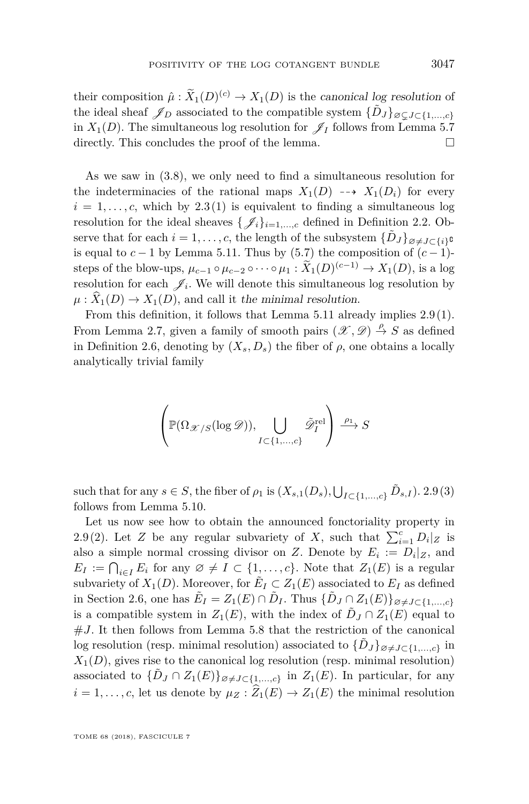their composition  $\hat{\mu}: \tilde{X}_1(D)^{(c)} \to X_1(D)$  is the canonical log resolution of the ideal sheaf  $\mathscr{J}_D$  associated to the compatible system  $\{\tilde{D}_J\}_{\varnothing \subsetneq J \subset \{1,\ldots,c\}}$ in  $X_1(D)$ . The simultaneous log resolution for  $\mathscr{J}_I$  follows from Lemma [5.7](#page-43-1) directly. This concludes the proof of the lemma.

As we saw in [\(3.8\)](#page-28-0), we only need to find a simultaneous resolution for the indeterminacies of the rational maps  $X_1(D) \dashrightarrow X_1(D_i)$  for every  $i = 1, \ldots, c$ , which by [2.3](#page-10-1)[\(1\)](#page-10-2) is equivalent to finding a simultaneous log resolution for the ideal sheaves  $\{\mathscr{J}_i\}_{i=1,\dots,c}$  defined in Definition [2.2.](#page-9-0) Observe that for each  $i = 1, \ldots, c$ , the length of the subsystem  $\{\tilde{D}_J\}_{\varnothing \neq J \subset \{i\}}$ **c** is equal to  $c - 1$  by Lemma [5.11.](#page-45-1) Thus by [\(5.7\)](#page-42-1) the composition of  $(c - 1)$ steps of the blow-ups,  $\mu_{c-1} \circ \mu_{c-2} \circ \cdots \circ \mu_1 : \tilde{X}_1(D)^{(c-1)} \to X_1(D)$ , is a log resolution for each  $\mathscr{J}_i$ . We will denote this simultaneous log resolution by  $\mu: \widehat{X}_1(D) \to X_1(D)$ , and call it the minimal resolution.

From this definition, it follows that Lemma [5.11](#page-45-1) already implies [2.9\(](#page-16-0)[1\)](#page-16-2). From Lemma [2.7,](#page-15-0) given a family of smooth pairs  $(\mathscr{X}, \mathscr{D}) \stackrel{\rho}{\to} S$  as defined in Definition [2.6,](#page-14-0) denoting by  $(X_s, D_s)$  the fiber of  $\rho$ , one obtains a locally analytically trivial family

$$
\left(\mathbb{P}(\Omega_{\mathscr{X}/S}(\log \mathscr{D})), \bigcup_{I \subset \{1,\dots,c\}} \tilde{\mathscr{D}}_I^{\text{rel}} \right) \xrightarrow{\rho_1} S
$$

such that for any  $s \in S$ , the fiber of  $\rho_1$  is  $(X_{s,1}(D_s), \bigcup_{I \subset \{1,\dots,c\}} \tilde{D}_{s,I})$ . [2.9](#page-16-0)[\(3\)](#page-16-1) follows from Lemma [5.10.](#page-45-2)

Let us now see how to obtain the announced fonctoriality property in [2.9](#page-16-0)[\(2\)](#page-16-3). Let *Z* be any regular subvariety of *X*, such that  $\sum_{i=1}^{c} D_i |z|$  is also a simple normal crossing divisor on *Z*. Denote by  $E_i := D_i | z$ , and  $E_I := \bigcap_{i \in I} E_i$  for any  $\emptyset \neq I \subset \{1, \ldots, c\}$ . Note that  $Z_1(E)$  is a regular subvariety of  $X_1(D)$ . Moreover, for  $\tilde{E}_I \subset Z_1(E)$  associated to  $E_I$  as defined in Section [2.6,](#page-17-0) one has  $\tilde{E}_I = Z_1(E) \cap \tilde{D}_I$ . Thus  $\{\tilde{D}_J \cap Z_1(E)\}_{\varnothing \neq J \subset \{1,\dots,c\}}$ is a compatible system in  $Z_1(E)$ , with the index of  $\tilde{D}_J \cap Z_1(E)$  equal to  $#J$ . It then follows from Lemma [5.8](#page-43-2) that the restriction of the canonical log resolution (resp. minimal resolution) associated to  $\{D_J\}_{\emptyset \neq J \subset \{1,\dots,c\}}$  in  $X_1(D)$ , gives rise to the canonical log resolution (resp. minimal resolution) associated to  $\{\tilde{D}_J \cap Z_1(E)\}_{\varnothing \neq J \subset \{1,\dots,c\}}$  in  $Z_1(E)$ . In particular, for any  $i = 1, \ldots, c$ , let us denote by  $\mu_Z : \widehat{Z}_1(E) \to Z_1(E)$  the minimal resolution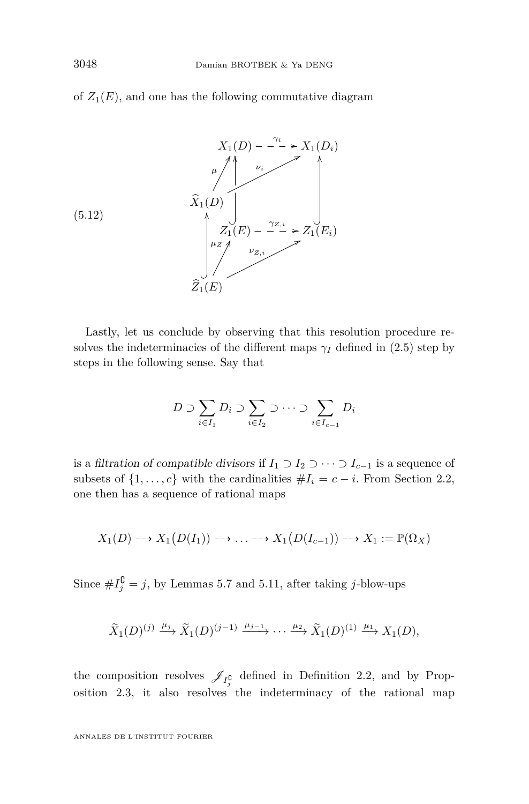of  $Z_1(E)$ , and one has the following commutative diagram



(5.12)

Lastly, let us conclude by observing that this resolution procedure resolves the indeterminacies of the different maps  $\gamma_I$  defined in [\(2.5\)](#page-10-3) step by steps in the following sense. Say that

$$
D \supset \sum_{i \in I_1} D_i \supset \sum_{i \in I_2} \supset \cdots \supset \sum_{i \in I_{c-1}} D_i
$$

is a filtration of compatible divisors if  $I_1 \supset I_2 \supset \cdots \supset I_{c-1}$  is a sequence of subsets of  $\{1, \ldots, c\}$  with the cardinalities  $\#I_i = c - i$ . From Section [2.2,](#page-6-1) one then has a sequence of rational maps

$$
X_1(D) \dashrightarrow X_1(D(I_1)) \dashrightarrow \ldots \dashrightarrow X_1(D(I_{c-1})) \dashrightarrow X_1 := \mathbb{P}(\Omega_X)
$$

Since  $\#I_j^{\complement} = j$ , by Lemmas [5.7](#page-43-1) and [5.11,](#page-45-1) after taking *j*-blow-ups

$$
\widetilde{X}_1(D)^{(j)} \xrightarrow{\mu_j} \widetilde{X}_1(D)^{(j-1)} \xrightarrow{\mu_{j-1}} \cdots \xrightarrow{\mu_2} \widetilde{X}_1(D)^{(1)} \xrightarrow{\mu_1} X_1(D),
$$

the composition resolves  $\mathscr{J}_{I_j^6}$  defined in Definition [2.2,](#page-9-0) and by Prop-osition [2.3,](#page-10-1) it also resolves the indeterminacy of the rational map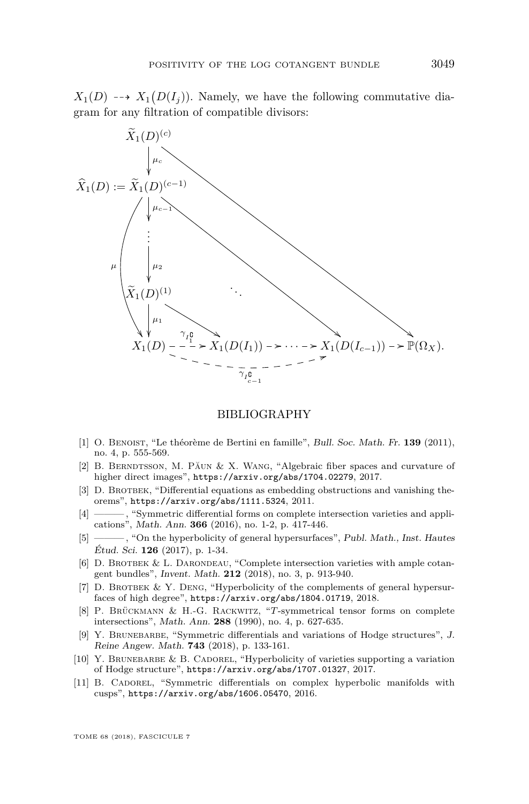$X_1(D) \longrightarrow X_1(D(I_j))$ . Namely, we have the following commutative diagram for any filtration of compatible divisors:



#### BIBLIOGRAPHY

- <span id="page-49-6"></span>[1] O. Benoist, "Le théorème de Bertini en famille", Bull. Soc. Math. Fr. **139** (2011), no. 4, p. 555-569.
- <span id="page-49-0"></span>[2] B. BERNDTSSON, M. PĂUN & X. WANG, "Algebraic fiber spaces and curvature of higher direct images", <https://arxiv.org/abs/1704.02279>, 2017.
- <span id="page-49-10"></span>[3] D. BROTBEK, "Differential equations as embedding obstructions and vanishing theorems", <https://arxiv.org/abs/1111.5324>, 2011.
- <span id="page-49-7"></span>[4] ——— , "Symmetric differential forms on complete intersection varieties and applications", Math. Ann. **366** (2016), no. 1-2, p. 417-446.
- <span id="page-49-4"></span>[5] ——— , "On the hyperbolicity of general hypersurfaces", Publ. Math., Inst. Hautes Étud. Sci. **126** (2017), p. 1-34.
- <span id="page-49-5"></span>[6] D. BROTBEK & L. DARONDEAU, "Complete intersection varieties with ample cotangent bundles", Invent. Math. **212** (2018), no. 3, p. 913-940.
- <span id="page-49-8"></span>[7] D. BROTBEK & Y. DENG, "Hyperbolicity of the complements of general hypersurfaces of high degree", <https://arxiv.org/abs/1804.01719>, 2018.
- <span id="page-49-9"></span>[8] P. Brückmann & H.-G. Rackwitz, "*T*-symmetrical tensor forms on complete intersections", Math. Ann. **288** (1990), no. 4, p. 627-635.
- <span id="page-49-1"></span>[9] Y. BRUNEBARBE, "Symmetric differentials and variations of Hodge structures", J. Reine Angew. Math. **743** (2018), p. 133-161.
- <span id="page-49-2"></span>[10] Y. BRUNEBARBE & B. CADOREL, "Hyperbolicity of varieties supporting a variation of Hodge structure", <https://arxiv.org/abs/1707.01327>, 2017.
- <span id="page-49-3"></span>[11] B. Cadorel, "Symmetric differentials on complex hyperbolic manifolds with cusps", <https://arxiv.org/abs/1606.05470>, 2016.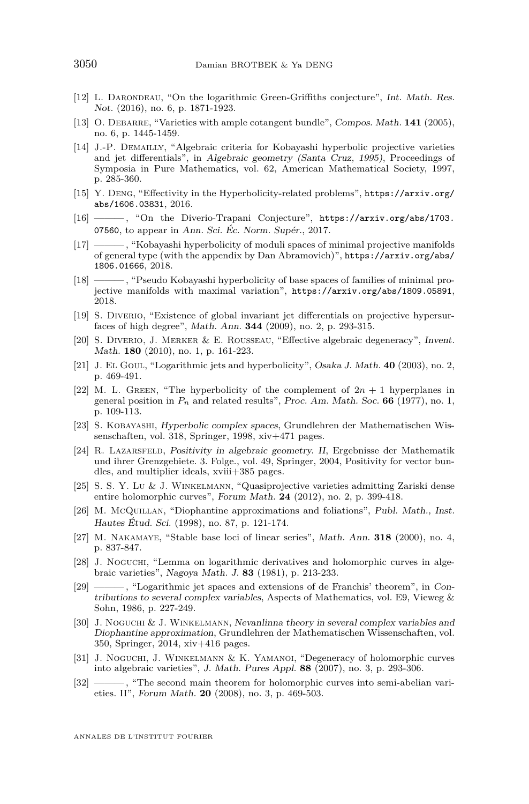- <span id="page-50-2"></span>[12] L. DARONDEAU, "On the logarithmic Green-Griffiths conjecture", Int. Math. Res. Not. (2016), no. 6, p. 1871-1923.
- <span id="page-50-12"></span>[13] O. Debarre, "Varieties with ample cotangent bundle", Compos. Math. **141** (2005), no. 6, p. 1445-1459.
- <span id="page-50-15"></span>[14] J.-P. Demailly, "Algebraic criteria for Kobayashi hyperbolic projective varieties and jet differentials", in Algebraic geometry (Santa Cruz, 1995), Proceedings of Symposia in Pure Mathematics, vol. 62, American Mathematical Society, 1997, p. 285-360.
- <span id="page-50-10"></span>[15] Y. Deng, "Effectivity in the Hyperbolicity-related problems", [https://arxiv.org/](https://arxiv.org/abs/1606.03831) [abs/1606.03831](https://arxiv.org/abs/1606.03831), 2016.
- <span id="page-50-11"></span>[16] ——— , "On the Diverio-Trapani Conjecture", [https://arxiv.org/abs/1703.](https://arxiv.org/abs/1703.07560) [07560](https://arxiv.org/abs/1703.07560), to appear in Ann. Sci. Éc. Norm. Supér., 2017.
- <span id="page-50-8"></span>[17] ——— , "Kobayashi hyperbolicity of moduli spaces of minimal projective manifolds of general type (with the appendix by Dan Abramovich)", [https://arxiv.org/abs/](https://arxiv.org/abs/1806.01666) [1806.01666](https://arxiv.org/abs/1806.01666), 2018.
- <span id="page-50-9"></span>[18] ——— , "Pseudo Kobayashi hyperbolicity of base spaces of families of minimal projective manifolds with maximal variation", <https://arxiv.org/abs/1809.05891>, 2018.
- <span id="page-50-18"></span>[19] S. Diverio, "Existence of global invariant jet differentials on projective hypersurfaces of high degree", Math. Ann. **344** (2009), no. 2, p. 293-315.
- <span id="page-50-4"></span>[20] S. Diverio, J. Merker & E. Rousseau, "Effective algebraic degeneracy", Invent. Math. **180** (2010), no. 1, p. 161-223.
- <span id="page-50-19"></span>[21] J. El Goul, "Logarithmic jets and hyperbolicity", Osaka J. Math. **40** (2003), no. 2, p. 469-491.
- <span id="page-50-3"></span>[22] M. L. GREEN, "The hyperbolicity of the complement of  $2n + 1$  hyperplanes in general position in  $P_n$  and related results", Proc. Am. Math. Soc. **66** (1977), no. 1, p. 109-113.
- <span id="page-50-1"></span>[23] S. Kobayashi, Hyperbolic complex spaces, Grundlehren der Mathematischen Wissenschaften, vol. 318, Springer, 1998, xiv+471 pages.
- <span id="page-50-14"></span>[24] R. Lazarsfeld, Positivity in algebraic geometry. II, Ergebnisse der Mathematik und ihrer Grenzgebiete. 3. Folge., vol. 49, Springer, 2004, Positivity for vector bundles, and multiplier ideals, xviii+385 pages.
- <span id="page-50-7"></span>[25] S. S. Y. Lu & J. Winkelmann, "Quasiprojective varieties admitting Zariski dense entire holomorphic curves", Forum Math. **24** (2012), no. 2, p. 399-418.
- <span id="page-50-16"></span>[26] M. McQuillan, "Diophantine approximations and foliations", Publ. Math., Inst. Hautes Étud. Sci. (1998), no. 87, p. 121-174.
- <span id="page-50-13"></span>[27] M. Nakamaye, "Stable base loci of linear series", Math. Ann. **318** (2000), no. 4, p. 837-847.
- <span id="page-50-20"></span>[28] J. Noguchi, "Lemma on logarithmic derivatives and holomorphic curves in algebraic varieties", Nagoya Math. J. **83** (1981), p. 213-233.
- <span id="page-50-0"></span>[29] ——— , "Logarithmic jet spaces and extensions of de Franchis' theorem", in Contributions to several complex variables, Aspects of Mathematics, vol. E9, Vieweg & Sohn, 1986, p. 227-249.
- <span id="page-50-17"></span>[30] J. Noguchi & J. Winkelmann, Nevanlinna theory in several complex variables and Diophantine approximation, Grundlehren der Mathematischen Wissenschaften, vol. 350, Springer, 2014, xiv+416 pages.
- <span id="page-50-5"></span>[31] J. Noguchi, J. Winkelmann & K. Yamanoi, "Degeneracy of holomorphic curves into algebraic varieties", J. Math. Pures Appl. **88** (2007), no. 3, p. 293-306.
- <span id="page-50-6"></span>[32] ——— , "The second main theorem for holomorphic curves into semi-abelian varieties. II", Forum Math. **20** (2008), no. 3, p. 469-503.